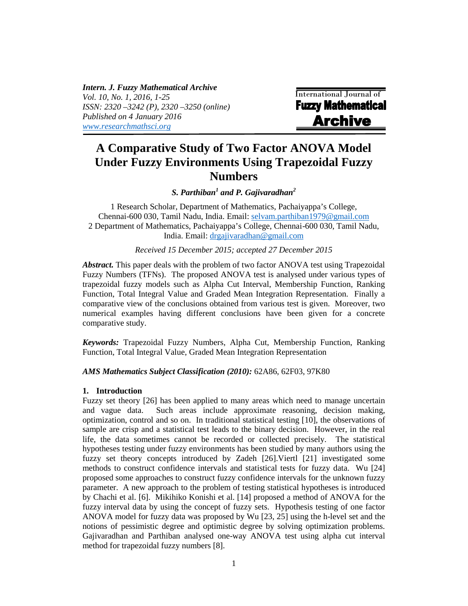*Intern. J. Fuzzy Mathematical Archive Vol. 10, No. 1, 2016, 1-25 ISSN: 2320 –3242 (P), 2320 –3250 (online) Published on 4 January 2016 www.researchmathsci.org*

International Journal of **Fuzzy Mathematical Archive** 

# **A Comparative Study of Two Factor ANOVA Model Under Fuzzy Environments Using Trapezoidal Fuzzy Numbers**

*S. Parthiban<sup>1</sup> and P. Gajivaradhan<sup>2</sup>*

1 Research Scholar, Department of Mathematics, Pachaiyappa's College, Chennai-600 030, Tamil Nadu, India. Email: selvam.parthiban1979@gmail.com 2 Department of Mathematics, Pachaiyappa's College, Chennai-600 030, Tamil Nadu, India. Email: drgajivaradhan@gmail.com

*Received 15 December 2015; accepted 27 December 2015*

*Abstract.* This paper deals with the problem of two factor ANOVA test using Trapezoidal Fuzzy Numbers (TFNs). The proposed ANOVA test is analysed under various types of trapezoidal fuzzy models such as Alpha Cut Interval, Membership Function, Ranking Function, Total Integral Value and Graded Mean Integration Representation. Finally a comparative view of the conclusions obtained from various test is given. Moreover, two numerical examples having different conclusions have been given for a concrete comparative study.

*Keywords:* Trapezoidal Fuzzy Numbers, Alpha Cut, Membership Function, Ranking Function, Total Integral Value, Graded Mean Integration Representation

*AMS Mathematics Subject Classification (2010):* 62A86, 62F03, 97K80

### **1. Introduction**

Fuzzy set theory [26] has been applied to many areas which need to manage uncertain and vague data. Such areas include approximate reasoning, decision making, optimization, control and so on. In traditional statistical testing [10], the observations of sample are crisp and a statistical test leads to the binary decision. However, in the real life, the data sometimes cannot be recorded or collected precisely. The statistical hypotheses testing under fuzzy environments has been studied by many authors using the fuzzy set theory concepts introduced by Zadeh [26].Viertl [21] investigated some methods to construct confidence intervals and statistical tests for fuzzy data. Wu [24] proposed some approaches to construct fuzzy confidence intervals for the unknown fuzzy parameter. A new approach to the problem of testing statistical hypotheses is introduced by Chachi et al. [6]. Mikihiko Konishi et al. [14] proposed a method of ANOVA for the fuzzy interval data by using the concept of fuzzy sets. Hypothesis testing of one factor ANOVA model for fuzzy data was proposed by Wu [23, 25] using the h-level set and the notions of pessimistic degree and optimistic degree by solving optimization problems. Gajivaradhan and Parthiban analysed one-way ANOVA test using alpha cut interval method for trapezoidal fuzzy numbers [8].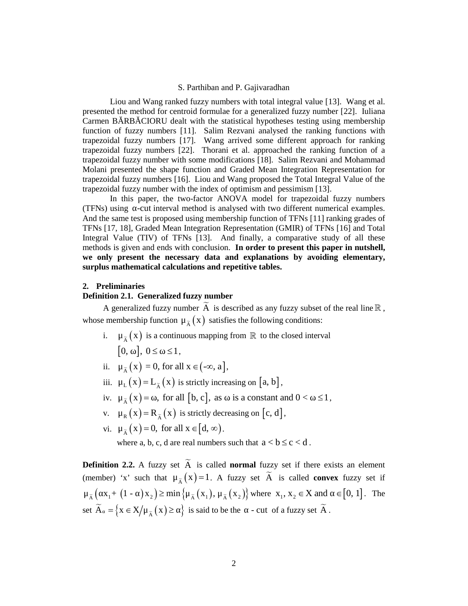Liou and Wang ranked fuzzy numbers with total integral value [13]. Wang et al. presented the method for centroid formulae for a generalized fuzzy number [22]. Iuliana Carmen B RB CIORU dealt with the statistical hypotheses testing using membership function of fuzzy numbers [11]. Salim Rezvani analysed the ranking functions with trapezoidal fuzzy numbers [17]. Wang arrived some different approach for ranking trapezoidal fuzzy numbers [22]. Thorani et al. approached the ranking function of a trapezoidal fuzzy number with some modifications [18]. Salim Rezvani and Mohammad Molani presented the shape function and Graded Mean Integration Representation for trapezoidal fuzzy numbers [16]. Liou and Wang proposed the Total Integral Value of the trapezoidal fuzzy number with the index of optimism and pessimism [13]. Liou and Wang rashed fuzzy number<br>sivit lotal integral value [13]. Wang et al.<br>Carnen B RB CIORU deal with the statisfial shypothese steeting using membership<br>function of tuzzy numbers [11]. Salim Rezvani analysed the ran in. B. The CIORU dealt with the statistical hypotheses testing using membership<br>in B. RB. CIORU dealt with the statistical hypotheses testing using membership<br>ordal fizzy numbers [11]. Saim Rezvani analysed the ranking fu **ION BEFORATE SET AS THE SET AND THE SET AND THE SET AND THE RESERVATION (FIGY) unner<br>
REP CIORU dealt with the statistical hypotheses testing using membership<br>
for farzy numbers [11]. Sains Rezvani analysed the ranking** 

In this paper, the two-factor ANOVA model for trapezoidal fuzzy numbers (TFNs) using -cut interval method is analysed with two different numerical examples. And the same test is proposed using membership function of TFNs [11] ranking grades of TFNs [17, 18], Graded Mean Integration Representation (GMIR) of TFNs [16] and Total Integral Value (TIV) of TFNs [13]. And finally, a comparative study of all these methods is given and ends with conclusion. **In order to present this paper in nutshell, we only present the necessary data and explanations by avoiding elementary, surplus mathematical calculations and repetitive tables.** n of fuzzy numbers [117]. Shim Rezvani analysed the ranking functions with<br>orient fuzzy numbers [17]. Wang rarived some different approach for ranking<br>oriental fuzzy numbers [22]. Thoroni et al. approached the ranking f ondar luzzy number win some inodulications [16]. Samin reaz-<br>ii presented the shape function and Graded Mean Integratio<br>oidal fuzzy numbers [16]. Liou and Wang proposed the Total<br>oidal fuzzy number with the index of optim respondantlangy number with solution product and the state of the state of the state for the state of the presentation for<br>transponding in the state of the matrix of the presentation for<br>transpondent through the matrix of

#### **2. Preliminaries**

# **Definition 2.1. Generalized fuzzy number**

- -
- 
- 
- 
- 
- 

we only present the recessury data and explanations by avoiding elementary,<br>surplus mathematical calculations and repetitive tables.<br>
2. Preliminaries<br>
A is described as any fuzzy subset of the real line  $\mathbb{R}$ ,<br>  $\lambda$  e we ouly present the necessary data and explanations by avoiding elementary,<br>surplus mathematical calculations and repetitive tables.<br>
2. Preliminaries<br>
A generalized fuzzy number<br>  $\overline{A}$  is a correlated fuzzy number<br> **2. Preliminaries**<br> **Definition 2.1. Generalized fuzzy number**<br>  $\overrightarrow{A}$  is described as any fuzzy subset of the real line  $\mathbb{R}$ ,<br>
whose membership function  $\mu_{\overline{A}}(x)$  is attention of  $\overline{B}$  to the closed interva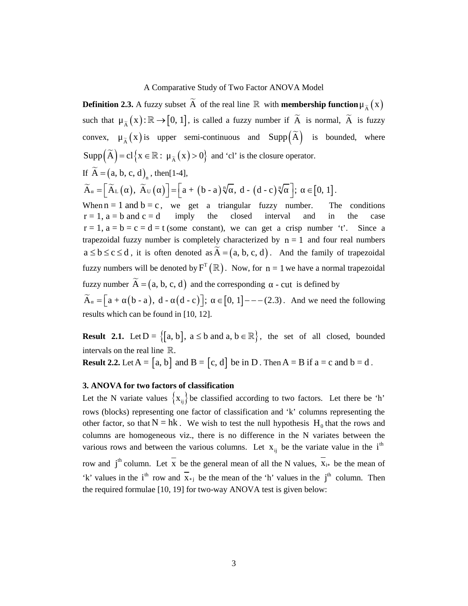A Comparative Study of Two Factor ANOVA Model<br>**Definition 2.3.** A fuzzy subset  $\tilde{A}$  of the real line  $\mathbb{R}$  with **membership function**  $\mu_{\tilde{A}}(x)$ <br>such that  $\mu_{\tilde{A}}(x): \mathbb{R} \rightarrow [0, 1]$ , is called a fuzzy number A Comparative Study of Two Factor ANOVA Model<br> **Definition 2.3.** A fuzzy subset  $\overline{A}$  of the real line  $\mathbb{R}$  with **membership function**  $\mu_{\overline{A}}(x)$ <br>
such that  $\mu_{\overline{A}}(x): \mathbb{R} \rightarrow [0, 1]$ , is called a fuzzy numbe A Comparative Study of Two Factor ANOVA Model<br> **Definition 2.3.** A fuzzy subset  $\tilde{A}$  of the real line  $\mathbb{R}$  with **membership function**  $\mu_{\tilde{A}}(x)$  is such that  $\mu_{\tilde{A}}(x) : \mathbb{R} \rightarrow [0, 1]$ , is called a fuzzy nu A Comparative Study of Two Factor ANOVA Model<br> **Definition 2.3.** A fuzzy subset  $\overrightarrow{A}$  of the real line  $\mathbb R$  with membership function  $\mu_{\overrightarrow{A}}(x)$ <br>
such that  $\mu_{\overrightarrow{A}}(x) : \mathbb R \rightarrow [0, 1]$ , is called a fuzzy number if A Comparative Study of Two Factor ANOVA Model<br> **Definition 2.3.** A fuzzy subset  $\vec{A}$  of the real line  $\mathbb{R}$  with **membership function** $\mu_{\vec{A}}(x)$ <br>
such that  $\mu_{\vec{A}}(x) := \mathbb{R} \rightarrow [0, 1]$ , is called a fuzzy number i  $r = 1$ ,  $a = b$  and  $c = d$  imply the closed interval and in the case  $r = 1$ ,  $a = b = c = d = t$  (some constant), we can get a crisp number 't'. Since a trapezoidal fuzzy number is completely characterized by  $n = 1$  and four real numbers A Comparative Study of Two Factor ANOVA Model<br> **Definition 2.3.** A fuzzy subset  $\overline{A}$  of the real line  $\mathbb{R}$  with **membership function**  $\mu_{\overline{A}}(x)$ <br>
such that  $\mu_{\overline{A}}(x): \mathbb{R} \rightarrow [0, 1]$ , is called a fuzzy numbe fuzzy numbers will be denoted by  $F^{T}(\mathbb{R})$ . Now, for  $n = 1$  we have a normal trapezoidal A Comparative Study of Two Factor ANOVA Model<br> **Definition 2.3.** A fuzzy subset  $\tilde{\Lambda}$  of the real line  $\mathbb{R}$  with membership function  $\mu_{\tilde{\Lambda}}(x)$ :  $\mathbb{R} \rightarrow [0, 1]$ , is called a fuzzy number if  $\tilde{\Lambda}$  is normal, results which can be found in [10, 12]. **Definition 2.3.** A fuzzy subset  $\overline{A}$  of the real line  $\mathbb{R}$  with membership function  $\mu_{\overline{A}}(x)$  such that  $\mu_{\overline{A}}(x): \mathbb{R} \rightarrow [0, 1]$ , is called a fuzzy number if  $\overline{A}$  is bounded, where Supp $\left(\overline{A}\right) = \alpha$ **EXECT:**  $\mu_{\tilde{\lambda}}(x)$  **Result** 2.2. Let  $\Lambda = \{a, b, c, d\}$ ,  $\mu_{\tilde{\lambda}}(x) = \{a, b, c, d\}$ ,  $\mu_{\tilde{\lambda}}(x) = \left[\tilde{\lambda}, \tilde{\lambda}, \tilde{\lambda}\right]$ , then  $\tilde{\lambda} = \left[\tilde{\lambda}, (c, d), (d, c), (e, d) \right] = \left[a + (b - a)\sqrt[3]{a}, d - (d - c)\sqrt[3]{a}\right]$ ;  $\tilde{\lambda} = [0, 1]$ .<br>
Whe

intervals on the real line  $\mathbb{R}$ .

Let the N variate values  $\{x_{ii}\}$  be classified according to two factors. Let there be 'h' rows (blocks) representing one factor of classification and 'k' columns representing the other factor, so that  $N = hk$ . We wish to test the null hypothesis  $H_0$  that the rows and columns are homogeneous viz., there is no difference in the N variates between the various rows and between the various columns. Let  $x_{ii}$  be the variate value in the i<sup>th</sup> row and j<sup>th</sup> column. Let x be the general mean of all the N values,  $\overline{x}_{i*}$  be the mean of 'k' values in the i<sup>th</sup> row and  $\overline{x}_{*j}$  be the mean of the 'h' values in the j<sup>th</sup> column. Then the required formulae [10, 19] for two-way ANOVA test is given below: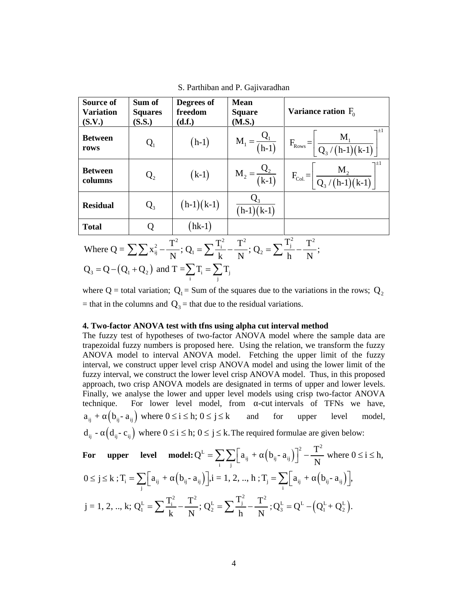|                                         |                                    |                                                       | S. Parthiban and P. Gajivaradhan                                                                                                               |                                                                                                                                                                                                                                                                                                                                                                                                                                                                                                                                                                                                                                                                                                                                                                                                        |
|-----------------------------------------|------------------------------------|-------------------------------------------------------|------------------------------------------------------------------------------------------------------------------------------------------------|--------------------------------------------------------------------------------------------------------------------------------------------------------------------------------------------------------------------------------------------------------------------------------------------------------------------------------------------------------------------------------------------------------------------------------------------------------------------------------------------------------------------------------------------------------------------------------------------------------------------------------------------------------------------------------------------------------------------------------------------------------------------------------------------------------|
| Source of<br><b>Variation</b><br>(S.V.) | Sum of<br><b>Squares</b><br>(S.S.) | Degrees of<br>freedom<br>(d.f.)                       | <b>Mean</b><br><b>Square</b><br>(M.S.)                                                                                                         | Variance ration $F_0$                                                                                                                                                                                                                                                                                                                                                                                                                                                                                                                                                                                                                                                                                                                                                                                  |
| <b>Between</b><br>rows                  | Q <sub>1</sub>                     | $(h-1)$                                               | $M_1 = -$<br>$\overline{(h-1)}$                                                                                                                | ∄±ך<br>$M_{1}$<br>$\rm F_{\rm{Rows}}\!=\!$<br>$Q_3/(h-1)(k-1)$                                                                                                                                                                                                                                                                                                                                                                                                                                                                                                                                                                                                                                                                                                                                         |
| <b>Between</b><br>columns               | Q <sub>2</sub>                     | $(k-1)$                                               | $M_2 = \frac{Q_2}{(k-1)}$                                                                                                                      | $M_{\alpha}$<br>$F_{\text{Col}} =$<br>$Q_3/(h-1)(k-1)$                                                                                                                                                                                                                                                                                                                                                                                                                                                                                                                                                                                                                                                                                                                                                 |
| <b>Residual</b>                         | $Q_3$                              | $(h-1)(k-1)$                                          | $Q_3$<br>$(h-1)(k-1)$                                                                                                                          |                                                                                                                                                                                                                                                                                                                                                                                                                                                                                                                                                                                                                                                                                                                                                                                                        |
| <b>Total</b>                            | Q                                  | $(hk-1)$                                              |                                                                                                                                                |                                                                                                                                                                                                                                                                                                                                                                                                                                                                                                                                                                                                                                                                                                                                                                                                        |
|                                         |                                    |                                                       | Where $Q = \sum \sum x_{ij}^2 - \frac{T^2}{N}$ ; $Q_1 = \sum \frac{T_i^2}{k} - \frac{T^2}{N}$ ; $Q_2 = \sum \frac{T_j^2}{N} - \frac{T^2}{N}$ ; |                                                                                                                                                                                                                                                                                                                                                                                                                                                                                                                                                                                                                                                                                                                                                                                                        |
|                                         |                                    | $Q_3 = Q - (Q_1 + Q_2)$ and $T = \sum T_i = \sum T_j$ |                                                                                                                                                |                                                                                                                                                                                                                                                                                                                                                                                                                                                                                                                                                                                                                                                                                                                                                                                                        |
|                                         |                                    |                                                       | = that in the columns and $Q_3$ = that due to the residual variations.                                                                         | where Q = total variation; $Q_1$ = Sum of the squares due to the variations in the rows; $Q_2$                                                                                                                                                                                                                                                                                                                                                                                                                                                                                                                                                                                                                                                                                                         |
|                                         |                                    |                                                       | 4. Two-factor ANOVA test with tfns using alpha cut interval method                                                                             | The fuzzy test of hypotheses of two-factor ANOVA model where the sample data are<br>trapezoidal fuzzy numbers is proposed here. Using the relation, we transform the fuzzy<br>ANOVA model to interval ANOVA model. Fetching the upper limit of the fuzzy<br>interval, we construct upper level crisp ANOVA model and using the lower limit of the<br>fuzzy interval, we construct the lower level crisp ANOVA model. Thus, in this proposed<br>approach, two crisp ANOVA models are designated in terms of upper and lower levels.<br>Finally, we analyse the lower and upper level models using crisp two-factor ANOVA<br>technique. For lower level model, from -cut intervals of TFNs we have,<br>$a_{ij}$ + $(b_{ij} - a_{ij})$ where $0 \le i \le h$ ; $0 \le j \le k$ and for upper level model, |
|                                         |                                    |                                                       |                                                                                                                                                | $d_{ij}$ - $(d_{ij} - c_{ij})$ where $0 \le i \le h$ ; $0 \le j \le k$ . The required formulae are given below:                                                                                                                                                                                                                                                                                                                                                                                                                                                                                                                                                                                                                                                                                        |
|                                         |                                    |                                                       |                                                                                                                                                | For upper level model: $Q^L = \sum_i \sum_i [a_{ij} + (b_{ij} - a_{ij})]^2 - \frac{T^2}{N}$ where $0 \le i \le h$ ,                                                                                                                                                                                                                                                                                                                                                                                                                                                                                                                                                                                                                                                                                    |
|                                         |                                    |                                                       |                                                                                                                                                | $0 \le j \le k$ ; $T_i = \sum_i [a_{ij} + (b_{ij} - a_{ij})]$ , $i = 1, 2, , h$ ; $T_j = \sum_i [a_{ij} + (b_{ij} - a_{ij})]$ ,                                                                                                                                                                                                                                                                                                                                                                                                                                                                                                                                                                                                                                                                        |
|                                         |                                    |                                                       |                                                                                                                                                | j = 1, 2, , k; $Q_1^L = \sum \frac{T_1^2}{k} - \frac{T^2}{N}$ ; $Q_2^L = \sum \frac{T_1^2}{k} - \frac{T^2}{N}$ ; $Q_3^L = Q^L - (Q_1^L + Q_2^L)$ .                                                                                                                                                                                                                                                                                                                                                                                                                                                                                                                                                                                                                                                     |
|                                         |                                    |                                                       |                                                                                                                                                |                                                                                                                                                                                                                                                                                                                                                                                                                                                                                                                                                                                                                                                                                                                                                                                                        |
|                                         |                                    |                                                       | $\overline{4}$                                                                                                                                 |                                                                                                                                                                                                                                                                                                                                                                                                                                                                                                                                                                                                                                                                                                                                                                                                        |
|                                         |                                    |                                                       |                                                                                                                                                |                                                                                                                                                                                                                                                                                                                                                                                                                                                                                                                                                                                                                                                                                                                                                                                                        |

S. Parthiban and P. Gajivaradhan

#### **4. Two-factor ANOVA test with tfns using alpha cut interval method**

fuzzy interval, we construct the lower level crisp ANOVA model. Thus, in this proposed approach, two crisp ANOVA models are designated in terms of upper and lower levels. Finally, we analyse the lower and upper level models using crisp two-factor ANOVA technique. For lower level model, from 
$$
-cut
$$
 intervals of TFNs we have,  $a_{ij} + (b_{ij} - a_{ij})$  where  $0 \leq i \leq h$ ;  $0 \leq j \leq k$  and for upper level model,  $d_{ij} - (d_{ij} - c_{ij})$  where  $0 \leq i \leq h$ ;  $0 \leq j \leq k$ . The required formulae are given below:\n\nFor **upper level model:**  $Q^L = \sum_{i} \sum_{j} \left[ a_{ij} + (b_{ij} - a_{ij}) \right]^2 - \frac{T^2}{N}$  where  $0 \leq i \leq h$ ,  $0 \leq j \leq k$ ;  $T_i = \sum_{j} \left[ a_{ij} + (b_{ij} - a_{ij}) \right], i = 1, 2, ..., h$ ;  $T_j = \sum_{i} \left[ a_{ij} + (b_{ij} - a_{ij}) \right], j = 1, 2, ..., k$ ;  $Q_1^L = \sum \frac{T_i^2}{k} - \frac{T^2}{N}$ ;  $Q_2^L = \sum \frac{T_j^2}{h} - \frac{T^2}{N}$ ;  $Q_3^L = Q^L - \left( Q_1^L + Q_2^L \right)$ .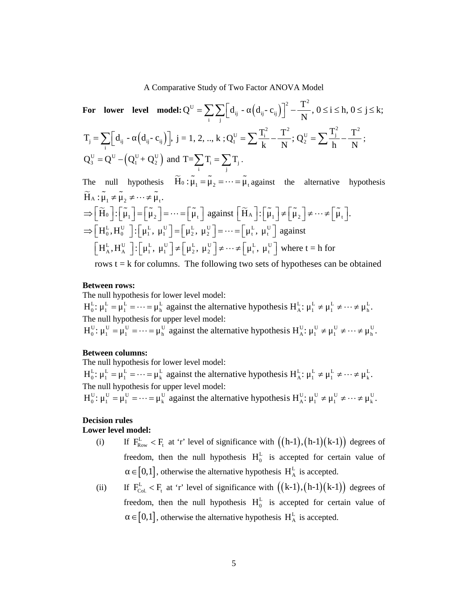A Comparative Study of Two Factor ANOVA Model  
\nFor lower level model: 
$$
Q^U = \sum_i \sum_j [d_{ij} - (d_{ij} - c_{ij})]^2 - \frac{T^2}{N}, 0 \le i \le h, 0 \le j \le k
$$
;  
\n $T_j = \sum_i [d_{ij} - (d_{ij} - c_{ij})]$ ,  $j = 1, 2, ..., k$ ;  $Q_i^U = \sum \frac{T_i^2}{k} - \frac{T^2}{N}$ ;  $Q_i^U = \sum \frac{T_j^2}{h} - \frac{T^2}{N}$ ;  
\n $Q_s^U = Q^U - (Q_i^U + Q_i^U)$  and  $T = \sum_i T_i = \sum_j T_j$ .  
\nThe null hypothesis  $\tilde{H}_0 : \tilde{\mu}_1 = \tilde{\mu}_2 = \cdots = \tilde{\mu}_i$  against the alternative hypothesis  
\n $\tilde{H}_0 : \tilde{\mu}_1 \neq \tilde{\mu}_2 \neq \cdots \neq \tilde{\mu}_i$ .  
\n $\Rightarrow [\tilde{H}_0] : [\tilde{\mu}_1] = [\tilde{\mu}_2] = \cdots = [\tilde{\mu}_i]$  against  $[\tilde{H}_\Lambda] : [\tilde{\mu}_1] \neq [\tilde{\mu}_2] \neq \cdots \neq [\tilde{\mu}_i]$ .  
\n $\Rightarrow [H_0^L, H_0^U] : [\mu_1^L, \mu_1^U] = [\mu_2^L, \mu_2^U] = \cdots = [\mu_i^L, \mu_i^U]$  against  
\n $[\mu_1^L, H_{\lambda}^U] : [\mu_1^L, \mu_1^U] \neq [\mu_2^L, \mu_2^U] \neq \cdots \neq [\mu_i^L, \mu_i^U]$  where  $t = h$  for  
\nrows  $t = k$  for columns. The following two sets of hypotheses can be obtained  
\nBetween rows:  
\nThe null hypothesis for lower level model:  
\n $H_0^L : \mu_1^L = \mu_1^L = \cdots = \mu_h^L$  against the alternative hypothesis  $H_{\lambda}^L : \mu_1^L \neq \mu_1^L \neq \cdots \neq \mu_h^L$ .  
\nThe null hypothesis for upper level model:  
\n $H_0^L : \mu_1^U = \mu_1^U = \cdots = \mu_h^U$  against the alternative hypothesis <

$$
T_{j} = \sum_{i} [d_{ij} - (d_{ij} - c_{ij})]_{,j} = 1, 2, ..., k: Q_{i}^{U} = \sum_{i} \frac{T_{i}^{2}}{k} - \frac{T_{i}^{2}}{N}; Q_{2}^{U} = \sum_{i} \frac{T_{i}^{2}}{k} - \frac{T_{i}^{2}}{N};
$$
  
\n
$$
Q_{3}^{U} = Q^{U} - (Q_{i}^{U} + Q_{2}^{U})
$$
 and 
$$
T = \sum_{j} T_{i} = \sum_{j} T_{j}.
$$
  
\nThe null hypothesis  $\widetilde{H}_{0} : \widetilde{\mu}_{1} = \widetilde{\mu}_{2} = \cdots = \widetilde{\mu}_{i}$  against the alternative hypothesis  
\n $\widetilde{H}_{\lambda} : \widetilde{\mu}_{1} \widetilde{\mu}_{2} \neq \cdots \neq \widetilde{\mu}_{i}$ .  
\n
$$
\Rightarrow [\widetilde{H}_{0}^{L}] : [\widetilde{\mu}_{1}^{L}] = [\widetilde{\mu}_{2}^{L}] = \cdots = [\widetilde{\mu}_{i}]
$$
 against  $[\widetilde{H}_{\lambda}] : [\widetilde{\mu}_{1}] \neq [\widetilde{\mu}_{2}] \neq \cdots \neq [\widetilde{\mu}_{i}].$   
\n
$$
\Rightarrow [\widetilde{H}_{0}^{L}] : [\widetilde{\mu}_{1}^{L}, \mu_{1}^{U}] = [\mu_{2}^{L}, \mu_{2}^{U}] = \cdots = [\mu_{i}^{L}, \mu_{i}^{U}]
$$
 against  
\n
$$
[\mu_{i}^{L}, \mu_{0}^{U}] : [\mu_{i}^{L}, \mu_{i}^{U}] \neq [\mu_{2}^{L}, \mu_{2}^{U}] \neq \cdots \neq [\mu_{i}^{L}, \mu_{i}^{U}]
$$
 where  $t = h$  for  
\nrows  $t = k$  for columns. The following two sets of hypotheses can be obtained  
\nBetween rows:  
\nThe null hypothesis for lower level model:  
\n $H_{0}^{U}: \mu_{i}^{U} = \mu_{i}^{U} = \cdots = \mu_{h}^{U}$  against the alternative hypothesis  $H_{\lambda}^{U}: \mu_{i}^{U} \neq \mu_{i}^{U} \neq \cdots \neq \mu_{h}^{U}$ .  
\nBetween columns:  
\nThe null hypothesis for

rows  $t = k$  for columns. The following two sets of hypotheses can be obtained

#### **Between rows:**

The null hypothesis for lower level model:

The null hypothesis for upper level model:<br>  $H_0^U$ :  $\mu_1^U = \mu_1^U = \cdots = \mu_h^U$  against the alternative hypothesis  $H_A^U$ :  $\mu_1^U \neq \mu_1^U \neq \cdots \neq \mu_h^U$ .

#### **Between columns:**

The null hypothesis for lower level model:

The null hypothesis for upper level model:<br>  $H_0^U: \mu_1^U = \mu_1^U = \cdots = \mu_k^U$  against the alternative hypothesis  $H_A^U: \mu_1^U \neq \mu_1^U \neq \cdots \neq \mu_k^U$ .

## **Decision rules**

#### **Lower level model:**

- freedom, then the null hypothesis  $H_0^L$  is accepted for certain value of  $\in [0,1]$  , otherwise the alternative hypothesis  $\,H_{\rm A}^{\rm L} \,$  is accepted.
- $\int \cdot [H_1, H_1] \cdot F [H_2, H_2] \cdot F^{n-1} \cdot F [H_1, H_1]$  which  $\iota = \pi$  to the formulans. The following two sets of hypotheses can be obtained when the alternative hypothesis H<sub>A</sub><sup>1</sup>:  $\mu_1^L \neq \mu_1^L \neq \cdots \neq \mu_n^L$ .<br>
othesis fo (i) If  $F_{\text{low}} = k$  at 'r' level of significance with  $(\mathbf{k-1}, \mathbf{l-1})$  degrees of  $\infty$  freedom, then the null hypothesis for lower level model:<br>  $\mu_1^L = \mu_1^L = \cdots = \mu_k^L$  against the alternative hypothesis  $H_\alpha^L: \mu_1^L \ne$ freedom, then the null hypothesis  $H_0^L$  is accepted for certain value of omesis to rower level model:<br>  $\int_{\alpha}^{\alpha} \mathbf{E}_{\alpha} \cdot \mathbf{F}_{\alpha} = \mathbf{F}_{\alpha}^{\dagger} \mathbf{F}_{\alpha} \cdot \mathbf{F}_{\alpha} = \mathbf{F}_{\alpha}^{\dagger} \mathbf{F}_{\alpha} \cdot \mathbf{F}_{\alpha} = \mathbf{F}_{\alpha}^{\dagger} \mathbf{F}_{\alpha} \cdot \mathbf{F}_{\alpha} = \mathbf{F}_{\alpha}^{\dagger} \mathbf{F}_{\alpha} \cdot \mathbf{F}_{\alpha} = \mathbf{F}_{\alpha}^{\dagger} \mathbf{F$  $\in [0,1]$ , otherwise the alternative hypothesis  $H_A^L$  is accepted.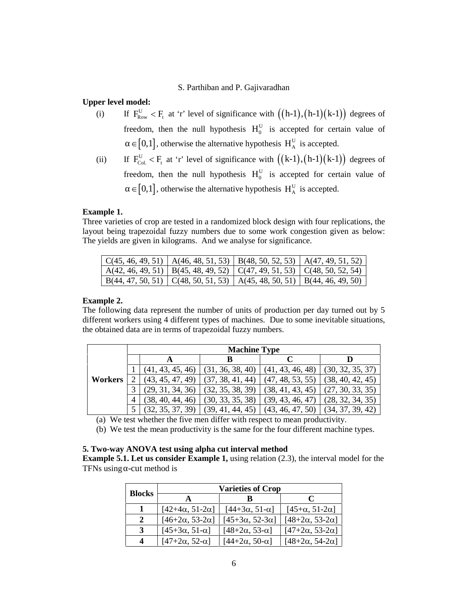# **Upper level model:**

- S. Parthiban and P. Gajivaradhan<br>
(i) If  $F_{\text{Row}}^U < F_i$  at 'r' level of significance with  $((h-1), (h-1)(k-1))$  degrees of<br>
freedom, then the null hypothesis  $H_0^U$  is accepted for certain value of<br>  $\in [0,1]$ , otherwise the a freedom, then the null hypothesis  $H_0^U$  is accepted for certain value of S. Parthiban and P. Gajivaradhan<br> **model:**<br>
If  $F_{Row}^{U} < F_{t}$  at 'r' level of significance with  $((h-1), (h-1)(k-1))$  degrees of<br>
freedom, then the null hypothesis  $H_{0}^{U}$  is accepted for certain value of<br>  $\in [0,1]$ , otherwi  $\in [0,1]$ , otherwise the alternative hypothesis  $H_A^U$  is accepted. **S.** Parthiban and P. Gajivaradhan<br>
(i) If  $F_{\text{low}}^U$   $\leq F_i$  at 'r' level of significance with  $((h-1), (h-1)(k-1))$  degrees of<br>
freedom, then the null hypothesis  $H_u^U$  is accepted for certain value of<br>  $\in [0,1]$ , otherwise **S.** Parthiban and P. Gajivaradhan<br> **model:**<br>
If  $F_{\text{Row}}^U < F_1$  at 'r' level of significance with  $((h-1),(h-1)(k-1))$  degrees of<br>
freedom, then the null hypothesis  $H_0^U$  is accepted for certain value of<br>  $\in [0,1]$ , otherwi
- freedom, then the null hypothesis  $H_0^U$  is accepted for certain value of  $\in [0,1]$ , otherwise the alternative hypothesis  $H_A^U$  is accepted.

#### **Example 1.**

Three varieties of crop are tested in a randomized block design with four replications, the layout being trapezoidal fuzzy numbers due to some work congestion given as below: The yields are given in kilograms. And we analyse for significance.

|  | $\mid$ C(45, 46, 49, 51) $\mid$ A(46, 48, 51, 53) $\mid$ B(48, 50, 52, 53) $\mid$ A(47, 49, 51, 52)     |  |
|--|---------------------------------------------------------------------------------------------------------|--|
|  | $\mid$ A(42, 46, 49, 51) $\mid$ B(45, 48, 49, 52) $\mid$ C(47, 49, 51, 53) $\mid$ C(48, 50, 52, 54)     |  |
|  | $\vert$ B(44, 47, 50, 51) $\vert$ C(48, 50, 51, 53) $\vert$ A(45, 48, 50, 51) $\vert$ B(44, 46, 49, 50) |  |

#### **Example 2.**

The following data represent the number of units of production per day turned out by 5 different workers using 4 different types of machines. Due to some inevitable situations, the obtained data are in terms of trapezoidal fuzzy numbers.

|         |                  | <b>Machine Type</b> |                  |                  |
|---------|------------------|---------------------|------------------|------------------|
|         |                  | В                   |                  |                  |
|         | (41, 43, 45, 46) | (31, 36, 38, 40)    | (41, 43, 46, 48) | (30, 32, 35, 37) |
| Workers | (43, 45, 47, 49) | (37, 38, 41, 44)    | (47, 48, 53, 55) | (38, 40, 42, 45) |
|         | (29, 31, 34, 36) | (32, 35, 38, 39)    | (38, 41, 43, 45) | (27, 30, 33, 35) |
|         | (38, 40, 44, 46) | (30, 33, 35, 38)    | (39, 43, 46, 47) | (28, 32, 34, 35) |
|         | (32, 35, 37, 39) | (39, 41, 44, 45)    | (43, 46, 47, 50) | (34, 37, 39, 42) |

(a) We test whether the five men differ with respect to mean productivity.

(b) We test the mean productivity is the same for the four different machine types.

# **5. Two-way ANOVA test using alpha cut interval method**

**Example 5.1. Let us consider Example 1,** using relation (2.3), the interval model for the TFNs using -cut method is

| <b>Blocks</b>    |                            | <b>Varieties of Crop</b>      |                                |
|------------------|----------------------------|-------------------------------|--------------------------------|
|                  |                            |                               | $\mathbf{C}$                   |
|                  | $[42+4\alpha, 51-2\alpha]$ | $[44+3\alpha, 51-\alpha]$     | [45+α, 51-2α]                  |
| 2                | $[46+2α, 53-2α]$           | $[45+3\alpha, 52-3\alpha]$    | $[48 + 2\alpha, 53 - 2\alpha]$ |
| 3                | $[45+3\alpha, 51-\alpha]$  | $[48 + 2\alpha, 53 - \alpha]$ | $[47 + 2\alpha, 53 - 2\alpha]$ |
| $\boldsymbol{4}$ | $[47+2α, 52-α]$            | $[44+2α, 50-α]$               | $[48 + 2\alpha, 54 - 2\alpha]$ |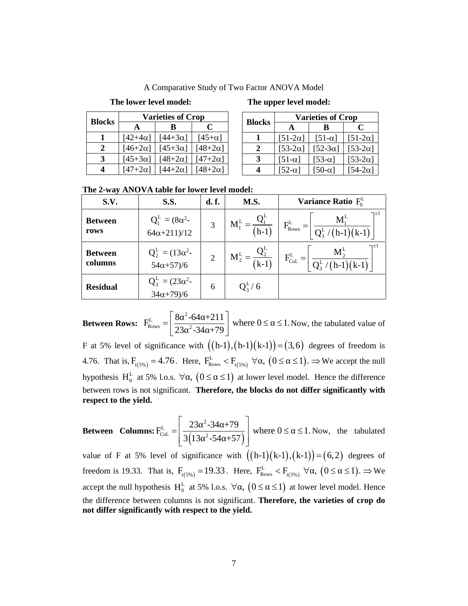A Comparative Study of Two Factor ANOVA Model

# **The lower level model: The upper level model:**

|               |                | <b>Varieties of Crop</b> |                |     |
|---------------|----------------|--------------------------|----------------|-----|
| <b>Blocks</b> |                | R                        | C              | Blo |
|               | $[42+4\alpha]$ | $[44+3\alpha]$           | $[45+\alpha]$  |     |
| 2             | $[46+2\alpha]$ | $[45+3\alpha]$           | $[48+2\alpha]$ |     |
| 3             | $[45+3\alpha]$ | $[48+2\alpha]$           | $[47+2\alpha]$ |     |
|               | $[47+2\alpha]$ | $[44+2\alpha]$           | $[48+2\alpha]$ |     |

|               | <b>Varieties of Crop</b> |                |                  |  |  |  |  |
|---------------|--------------------------|----------------|------------------|--|--|--|--|
| <b>Blocks</b> |                          | R              | C                |  |  |  |  |
|               | $[51-2\alpha]$           | $[51-\alpha]$  | $[51-2\alpha]$   |  |  |  |  |
| 2             | [ $53-2\alpha$ ]         | $[52-3\alpha]$ | [ $53-2\alpha$ ] |  |  |  |  |
| 3             | $[51-\alpha]$            | $[53-\alpha]$  | [ $53-2\alpha$ ] |  |  |  |  |
|               | $[52-\alpha]$            | $[50-\alpha]$  | [ $54-2\alpha$ ] |  |  |  |  |

**The 2-way ANOVA table for lower level model:**

|                |                  |                                                                                                                                                                                                                                                                                               |                                                                                                        | The upper level model:                                                                                                                                                                                                                                                                                                                                                                                                                                                                                                                                                                                                                                                                                                                                                                                                                                                                                                                                                                                                                                                                                                                                                                                                                                                                                                         |
|----------------|------------------|-----------------------------------------------------------------------------------------------------------------------------------------------------------------------------------------------------------------------------------------------------------------------------------------------|--------------------------------------------------------------------------------------------------------|--------------------------------------------------------------------------------------------------------------------------------------------------------------------------------------------------------------------------------------------------------------------------------------------------------------------------------------------------------------------------------------------------------------------------------------------------------------------------------------------------------------------------------------------------------------------------------------------------------------------------------------------------------------------------------------------------------------------------------------------------------------------------------------------------------------------------------------------------------------------------------------------------------------------------------------------------------------------------------------------------------------------------------------------------------------------------------------------------------------------------------------------------------------------------------------------------------------------------------------------------------------------------------------------------------------------------------|
|                |                  |                                                                                                                                                                                                                                                                                               | <b>Blocks</b>                                                                                          | <b>Varieties of Crop</b><br>$\mathbf C$<br>B<br>A                                                                                                                                                                                                                                                                                                                                                                                                                                                                                                                                                                                                                                                                                                                                                                                                                                                                                                                                                                                                                                                                                                                                                                                                                                                                              |
| $[42+4\alpha]$ | [ $44+3\alpha$ ] | $[45+\alpha]$                                                                                                                                                                                                                                                                                 | 1                                                                                                      | $[51-2\alpha]$<br>$[51-2\alpha]$<br>$[51-\alpha]$                                                                                                                                                                                                                                                                                                                                                                                                                                                                                                                                                                                                                                                                                                                                                                                                                                                                                                                                                                                                                                                                                                                                                                                                                                                                              |
| $[46+2\alpha]$ | $[45+3\alpha]$   |                                                                                                                                                                                                                                                                                               | $\boldsymbol{2}$                                                                                       | [ $53-2\alpha$ ]<br>[ $52-3\alpha$ ]<br>[ $53-2\alpha$ ]                                                                                                                                                                                                                                                                                                                                                                                                                                                                                                                                                                                                                                                                                                                                                                                                                                                                                                                                                                                                                                                                                                                                                                                                                                                                       |
|                |                  |                                                                                                                                                                                                                                                                                               |                                                                                                        | [ $53-2\alpha$ ]<br>$[51-\alpha]$<br>[53- $\alpha$ ]<br>[ $54-2\alpha$ ]<br>$[52-\alpha]$<br>$[50-\alpha]$                                                                                                                                                                                                                                                                                                                                                                                                                                                                                                                                                                                                                                                                                                                                                                                                                                                                                                                                                                                                                                                                                                                                                                                                                     |
|                |                  |                                                                                                                                                                                                                                                                                               |                                                                                                        |                                                                                                                                                                                                                                                                                                                                                                                                                                                                                                                                                                                                                                                                                                                                                                                                                                                                                                                                                                                                                                                                                                                                                                                                                                                                                                                                |
|                |                  |                                                                                                                                                                                                                                                                                               |                                                                                                        | Variance Ratio $F_0^L$                                                                                                                                                                                                                                                                                                                                                                                                                                                                                                                                                                                                                                                                                                                                                                                                                                                                                                                                                                                                                                                                                                                                                                                                                                                                                                         |
|                |                  |                                                                                                                                                                                                                                                                                               |                                                                                                        |                                                                                                                                                                                                                                                                                                                                                                                                                                                                                                                                                                                                                                                                                                                                                                                                                                                                                                                                                                                                                                                                                                                                                                                                                                                                                                                                |
|                |                  | 3                                                                                                                                                                                                                                                                                             |                                                                                                        | $F_{\rm{Rows}}^{\rm{L}} =$                                                                                                                                                                                                                                                                                                                                                                                                                                                                                                                                                                                                                                                                                                                                                                                                                                                                                                                                                                                                                                                                                                                                                                                                                                                                                                     |
|                |                  |                                                                                                                                                                                                                                                                                               |                                                                                                        | $(h-1)(k-1)$                                                                                                                                                                                                                                                                                                                                                                                                                                                                                                                                                                                                                                                                                                                                                                                                                                                                                                                                                                                                                                                                                                                                                                                                                                                                                                                   |
|                |                  | $\overline{2}$                                                                                                                                                                                                                                                                                |                                                                                                        | $F^{\rm L}_{\rm Col.} =$                                                                                                                                                                                                                                                                                                                                                                                                                                                                                                                                                                                                                                                                                                                                                                                                                                                                                                                                                                                                                                                                                                                                                                                                                                                                                                       |
|                |                  |                                                                                                                                                                                                                                                                                               |                                                                                                        |                                                                                                                                                                                                                                                                                                                                                                                                                                                                                                                                                                                                                                                                                                                                                                                                                                                                                                                                                                                                                                                                                                                                                                                                                                                                                                                                |
|                |                  | 6                                                                                                                                                                                                                                                                                             | $Q_3^L / 6$                                                                                            |                                                                                                                                                                                                                                                                                                                                                                                                                                                                                                                                                                                                                                                                                                                                                                                                                                                                                                                                                                                                                                                                                                                                                                                                                                                                                                                                |
|                |                  |                                                                                                                                                                                                                                                                                               |                                                                                                        |                                                                                                                                                                                                                                                                                                                                                                                                                                                                                                                                                                                                                                                                                                                                                                                                                                                                                                                                                                                                                                                                                                                                                                                                                                                                                                                                |
|                |                  |                                                                                                                                                                                                                                                                                               |                                                                                                        |                                                                                                                                                                                                                                                                                                                                                                                                                                                                                                                                                                                                                                                                                                                                                                                                                                                                                                                                                                                                                                                                                                                                                                                                                                                                                                                                |
|                |                  |                                                                                                                                                                                                                                                                                               |                                                                                                        |                                                                                                                                                                                                                                                                                                                                                                                                                                                                                                                                                                                                                                                                                                                                                                                                                                                                                                                                                                                                                                                                                                                                                                                                                                                                                                                                |
|                |                  |                                                                                                                                                                                                                                                                                               |                                                                                                        |                                                                                                                                                                                                                                                                                                                                                                                                                                                                                                                                                                                                                                                                                                                                                                                                                                                                                                                                                                                                                                                                                                                                                                                                                                                                                                                                |
|                |                  |                                                                                                                                                                                                                                                                                               |                                                                                                        |                                                                                                                                                                                                                                                                                                                                                                                                                                                                                                                                                                                                                                                                                                                                                                                                                                                                                                                                                                                                                                                                                                                                                                                                                                                                                                                                |
|                |                  |                                                                                                                                                                                                                                                                                               |                                                                                                        |                                                                                                                                                                                                                                                                                                                                                                                                                                                                                                                                                                                                                                                                                                                                                                                                                                                                                                                                                                                                                                                                                                                                                                                                                                                                                                                                |
|                |                  |                                                                                                                                                                                                                                                                                               |                                                                                                        |                                                                                                                                                                                                                                                                                                                                                                                                                                                                                                                                                                                                                                                                                                                                                                                                                                                                                                                                                                                                                                                                                                                                                                                                                                                                                                                                |
|                |                  |                                                                                                                                                                                                                                                                                               |                                                                                                        |                                                                                                                                                                                                                                                                                                                                                                                                                                                                                                                                                                                                                                                                                                                                                                                                                                                                                                                                                                                                                                                                                                                                                                                                                                                                                                                                |
|                |                  |                                                                                                                                                                                                                                                                                               |                                                                                                        |                                                                                                                                                                                                                                                                                                                                                                                                                                                                                                                                                                                                                                                                                                                                                                                                                                                                                                                                                                                                                                                                                                                                                                                                                                                                                                                                |
|                |                  |                                                                                                                                                                                                                                                                                               |                                                                                                        |                                                                                                                                                                                                                                                                                                                                                                                                                                                                                                                                                                                                                                                                                                                                                                                                                                                                                                                                                                                                                                                                                                                                                                                                                                                                                                                                |
|                |                  |                                                                                                                                                                                                                                                                                               |                                                                                                        |                                                                                                                                                                                                                                                                                                                                                                                                                                                                                                                                                                                                                                                                                                                                                                                                                                                                                                                                                                                                                                                                                                                                                                                                                                                                                                                                |
|                |                  |                                                                                                                                                                                                                                                                                               |                                                                                                        |                                                                                                                                                                                                                                                                                                                                                                                                                                                                                                                                                                                                                                                                                                                                                                                                                                                                                                                                                                                                                                                                                                                                                                                                                                                                                                                                |
|                |                  |                                                                                                                                                                                                                                                                                               |                                                                                                        |                                                                                                                                                                                                                                                                                                                                                                                                                                                                                                                                                                                                                                                                                                                                                                                                                                                                                                                                                                                                                                                                                                                                                                                                                                                                                                                                |
|                |                  |                                                                                                                                                                                                                                                                                               |                                                                                                        |                                                                                                                                                                                                                                                                                                                                                                                                                                                                                                                                                                                                                                                                                                                                                                                                                                                                                                                                                                                                                                                                                                                                                                                                                                                                                                                                |
|                | A                | The lower level model:<br>B<br>$[48+2\alpha]$<br>$[45+3\alpha]$<br>$[44+2\alpha]$<br>$[47+2\alpha]$<br><b>S.S.</b><br>$Q_1^L = (8\alpha^2 -$<br>$64\alpha + 211)/12$<br>$Q_2^L = (13\alpha^2 -$<br>$54\alpha + 57/6$<br>$Q_3^L = (23\alpha^2 -$<br>$34\alpha + 79/6$<br>respect to the yield. | <b>Varieties of Crop</b><br>$\mathbf C$<br>$[48+2\alpha]$<br>$[47+2\alpha]$<br>$[48+2\alpha]$<br>d. f. | A Comparative Study of Two Factor ANOVA Model<br>$\mathbf{3}$<br>$\overline{\mathbf{4}}$<br>The 2-way ANOVA table for lower level model:<br>M.S.<br>$M_1^L = \frac{Q_1^L}{(h-1)}$<br>$M_2^L =$<br><b>Between Rows:</b> $F_{\text{Rows}}^L = \left[\frac{8^{-2} - 64 + 211}{23^{-2} - 34 + 79}\right]$ where $0 \le 1$ . Now, the tabulated value of<br>F at 5% level of significance with $((h-1),(h-1)(k-1)) = (3,6)$ degrees of freedom is<br>4.76. That is, $F_{t(5\%)} = 4.76$ . Here, $F_{\text{Rows}}^L < F_{t(5\%)} \ \forall$ , $(0 \leq \leq 1)$ . $\Rightarrow$ We accept the null<br>hypothesis $H_0^L$ at 5% l.o.s. $\forall$ , $(0 \leq \leq 1)$ at lower level model. Hence the difference<br>between rows is not significant. Therefore, the blocks do not differ significantly with<br><b>Between Columns:</b> $F_{\text{Col}}^{\text{L}} = \left  \frac{23^{-2} \cdot 34 + 79}{3(13^{-2} \cdot 54 + 57)} \right $ where $0 \leq \leq 1$ . Now, the tabulated<br>value of F at 5% level of significance with $((h-1)(k-1), (k-1)) = (6, 2)$ degrees of<br>freedom is 19.33. That is, $F_{(5\%)} = 19.33$ . Here, $F_{\text{Rows}}^L < F_{(5\%)} \ \forall$ , $(0 \leq \leq 1)$ . $\Rightarrow$ We<br>accept the null hypothesis $H_0^L$ at 5% l.o.s. $\forall$ , $(0 \leq \leq 1)$ at lower level model. Hence |

**Between Rows:**  $L = 8^{-2}$ -64 +211 where 0  $R_{\text{rows}} = \left| \frac{6.01 \times 10^{-14} \text{ m}}{23.2 \times 24.1 \times 70} \right|$  where  $0 \le 1$ . Now, the tabulated value of 4.76. That is,  $F_{t(5\%)} = 4.76$ . Here,  $F_{Rows}^L < F_{t(5\%)} \ \forall$ ,  $(0 \le \le 1)$ .  $\Rightarrow$  We accept the null hypothesis  $H_0^L$  at 5% l.o.s.  $\forall$ ,  $(0 \leq \leq 1)$  at lower level model. Hence the difference between rows is not significant. **Therefore, the blocks do not differ significantly with respect to the yield.** 3 13α -54α+57 Fows<br>
For extreme of  $Q_2^2 = (13\alpha^2 - 11)(12$ <br>
Extreme of  $Q_2^2 = (13\alpha^2 - 11)(12 - 11)$ <br>
Extreme of  $Q_2^2 = (23\alpha^2 - 11)$ <br> **Residual**<br>  $Q_2^2 = (23\alpha^2 - 11)$ <br>  $Q_2^2 = (23\alpha^2 - 11)$ <br>  $Q_2^2 = (23\alpha^2 - 11)$ <br>  $Q_2^2 = (23\alpha^2 - 11)$ <br>  $Q_$ Between<br>
columns  $Q_z^+ = (13\alpha^2 - 2)$ <br>  $M_z^4 = \frac{Q_z^+}{(k-1)}$   $F_{\text{cut}}^2 = \left[\frac{M_z^2}{Q_x^+/(h-1)(k-1)}\right]^T$ <br>
Residual  $Q_z^+ = (23\alpha^2 - 6)$ <br>  $Q_z^+ / 6$ <br>
Between Rows:  $F_{\text{turn}}^+ = \left[\frac{8^{-2}c4 + 211}{23^{-2}c44 + 79}\right]$  where  $0 \le 1$ . Now, the  $\frac{Q_2^{L}}{k-1}$   $F_{\text{Col}}^{L} = \left[ \frac{M_2^{L}}{Q_3^{L}/(h-1)(k-1)} \right]^{2L}$ <br>  $\frac{Q_3^{L}}{k}$   $F_{\text{Col}}^{L} = \left[ \frac{M_2^{L}}{Q_3^{L}/(h-1)(k-1)} \right]^{2L}$ <br>
6<br>  $0 \leq \leq 1$ . Now, the tabulated value of<br>  $k-1$ ) = (3, 6) degrees of freedom is<br>  $\langle , ($ 2  $M_2^L = \frac{Q_2^L}{(k-1)}$   $F_{\text{Cat}}^L = \frac{M_2^L}{Q_3^L/(h-1)(k-1)}$ <br>
6  $Q_3^L/6$ <br>  $\frac{-64 + 211}{-34 + 79}$  where  $0 \le \le 1$ . Now, the tabulated value of<br>
with  $((h-1),(h-1)(k-1)) \in (3,6)$  degrees of freedom is<br>
ere,  $F_{\text{Kows}}^L < F_{\text{t(ss)}} \$ 

**Between Columns:** 
$$
F_{\text{Col.}}^{\text{L}} = \left[\frac{23^{-2} \cdot 34 + 79}{3(13^{-2} \cdot 54 + 57)}\right]
$$
 where  $0 \le 1$ . Now, the tabulated value of F at 5% level of significance with  $((h-1)(k-1), (k-1)) = (6, 2)$  degrees of

freedom is 19.33. That is,  $F_{t(5\%)} = 19.33$ . Here,  $F_{\text{Rows}}^L < F_{t(5\%)} \ \forall$ ,  $(0 \leq \leq 1)$ .  $\Rightarrow$  We accept the null hypothesis H<sub>0</sub><sup>L</sup> at 5% l.o.s.  $\forall$ ,  $(0 \leq \leq 1)$  at lower level model. Hence the difference between columns is not significant. **Therefore, the varieties of crop do not differ significantly with respect to the yield.**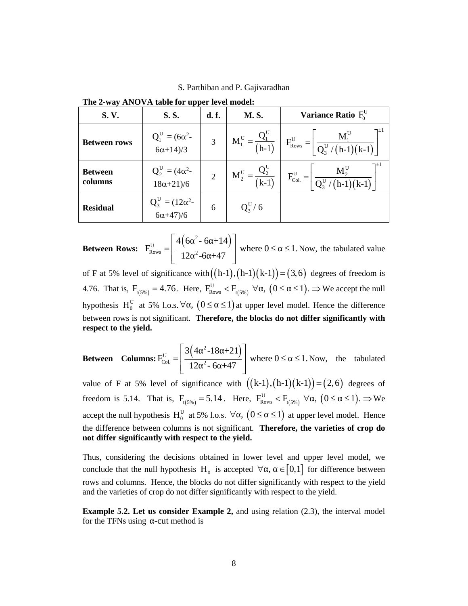S. Parthiban and P. Gajivaradhan

|                                                     |                                                                                                                                                |                | S. Parthiban and P. Gajivaradhan |                                                                                                                                                  |  |
|-----------------------------------------------------|------------------------------------------------------------------------------------------------------------------------------------------------|----------------|----------------------------------|--------------------------------------------------------------------------------------------------------------------------------------------------|--|
| The 2-way ANOVA table for upper level model:        |                                                                                                                                                |                |                                  |                                                                                                                                                  |  |
| S.V.                                                | S.S.                                                                                                                                           | d. f.          | <b>M.S.</b>                      | Variance Ratio $F_0^U$                                                                                                                           |  |
| <b>Between rows</b>                                 | $Q_1^U = (6\alpha^2 -$<br>$6\alpha + 14)/3$                                                                                                    | $\overline{3}$ | $M_1^U = \frac{Q_1^U}{(h-1)}$    | $F_{\text{Rows}}^{\text{U}}$                                                                                                                     |  |
| <b>Between</b><br>columns                           | $Q_2^U = (4\alpha^2 -$<br>$18\alpha + 21/6$                                                                                                    | $\overline{2}$ | $M_2^U = \frac{Q_2^U}{(k-1)}$    | $F_{\rm Col.}^{\rm U} =$                                                                                                                         |  |
| <b>Residual</b>                                     | $Q_3^U = (12\alpha^2 -$<br>$6\alpha + 47/6$                                                                                                    | 6              | $Q_3^U / 6$                      |                                                                                                                                                  |  |
|                                                     |                                                                                                                                                |                |                                  | <b>Between Rows:</b> $F_{\text{Rows}}^U = \left[ \frac{4(6^{-2} - 6 + 14)}{12^{-2} - 6 + 47} \right]$ where $0 \le 1$ . Now, the tabulated value |  |
|                                                     |                                                                                                                                                |                |                                  | of F at 5% level of significance with $((h-1), (h-1)(k-1)) = (3, 6)$ degrees of freedom is                                                       |  |
|                                                     |                                                                                                                                                |                |                                  | 4.76. That is, $F_{t(5\%)} = 4.76$ . Here, $F_{\text{Rows}}^U < F_{t(5\%)} \ \forall$ , $(0 \leq \leq 1)$ . $\Rightarrow$ We accept the null     |  |
|                                                     |                                                                                                                                                |                |                                  | hypothesis H <sub>0</sub> <sup>U</sup> at 5% l.o.s. $\forall$ , $(0 \leq \leq 1)$ at upper level model. Hence the difference                     |  |
| respect to the yield.                               |                                                                                                                                                |                |                                  | between rows is not significant. Therefore, the blocks do not differ significantly with                                                          |  |
|                                                     | <b>Between</b> Columns: $F_{\text{Col.}}^{U} = \left  \frac{3(4^{2} - 18 + 21)}{12^{2} - 6 + 47} \right $ where $0 \le 1$ . Now, the tabulated |                |                                  |                                                                                                                                                  |  |
|                                                     |                                                                                                                                                |                |                                  | value of F at 5% level of significance with $((k-1), (h-1)(k-1)) = (2, 6)$ degrees of                                                            |  |
|                                                     |                                                                                                                                                |                |                                  | freedom is 5.14. That is, $F_{(5\%)} = 5.14$ . Here, $F_{\text{Rows}}^U < F_{(5\%)} \ \forall$ , $(0 \leq \leq 1)$ . $\Rightarrow$ We            |  |
|                                                     |                                                                                                                                                |                |                                  | accept the null hypothesis $H_0^U$ at 5% l.o.s. $\forall$ , $(0 \leq \leq 1)$ at upper level model. Hence                                        |  |
| not differ significantly with respect to the yield. |                                                                                                                                                |                |                                  | the difference between columns is not significant. Therefore, the varieties of crop do                                                           |  |
|                                                     |                                                                                                                                                |                |                                  |                                                                                                                                                  |  |

**The 2-way ANOVA table for upper level model:**

**Between Rows:** 
$$
F_{\text{Rows}}^U = \left[ \frac{4(6^{2} - 6 + 14)}{12^{2} - 6 + 47} \right]
$$
 where  $0 \le 1$ . Now, the tabulated value

4.76. That is,  $F_{t(5\%)} = 4.76$ . Here,  $F_{\text{Rows}}^U < F_{t(5\%)} \ \forall$ ,  $(0 \leq \leq 1)$ .  $\Rightarrow$  We accept the null hypothesis  $H_0^U$  at 5% 1.o.s.  $\forall$ ,  $(0 \leq \leq 1)$  at upper level model. Hence the difference between rows is not significant. **Therefore, the blocks do not differ significantly with respect to the yield. Existed 1.**  $\frac{Q_2}{2} - \frac{Q_3}{2} = \frac{Q_4}{2}$  .  $\frac{Q_3}{2} = \frac{Q_4}{2}$  . Thus, considering the difference between columns is not significance with  $\left( [k-1) \cdot (h-1) \cdot (k-1) \right] = (3,6)$  degrees of freedom is 4.76. That is,  $F_{\text$  $\frac{Q_2^{U}}{(k-1)}$   $F_{\text{Col}}^{U} = \left[\frac{M_2^{U}}{Q_3^{U}/(h-1)(k-1)}\right]^{\pm 1}$ <br>
6<br>
6<br>  $(F-1) = (3,6)$  degrees of freedom is<br>  $\langle , (0 \leq \leq 1), \Rightarrow$  We accept the null<br>
or level model. Hence the difference<br>
ocks do not differ significantly wi  $rac{1}{2}$ <br>  $rac{1}{2}$ <br>  $rac{1}{2}$ <br>  $rac{1}{2}$ <br> **6**  $Q_3^{17}/6$ <br> **6**  $Q_3^{17}/6$ <br> **6**  $Q_3^{17}/6$ <br> **10**  $\frac{1}{2}$ ,  $rac{1}{6}$  **447**<br> **11 a** where 0 ≤ ≤ 1. Now, the tabulated value<br>
e with ((h-1),(h-1)(k-1)) = (3,6) degrees of free **EVALUATE:**<br>  $\begin{bmatrix}\n141 \\
47\n\end{bmatrix}$  where  $0 \le 1$ . Now, the tabulated value<br>  $\begin{bmatrix}\n(n-1), (h-1)(k-1)\n\end{bmatrix} = (3, 6)$  degrees of freedom is<br>  $\begin{bmatrix}\n(a \le k) \\
(b \le k)\n\end{bmatrix} \Rightarrow (0 \le k) \Rightarrow$  We accept the null<br>  $\begin{bmatrix}\n5 \\
1\n\end{bmatrix}$  at u

**Between Columns:** 
$$
F_{\text{Col}}^U = \left[ \frac{3\left(4^{-2} \cdot 18 + 21\right)}{12^{-2} \cdot 6 + 47} \right]
$$
 where  $0 \leq 1$ . Now, the tabulated

Thus, considering the decisions obtained in lower level and upper level model, we conclude that the null hypothesis H<sub>0</sub> is accepted  $\forall$ ,  $\in [0,1]$  for difference between rows and columns. Hence, the blocks do not differ significantly with respect to the yield and the varieties of crop do not differ significantly with respect to the yield.

**Example 5.2. Let us consider Example 2,** and using relation (2.3), the interval model for the TFNs using -cut method is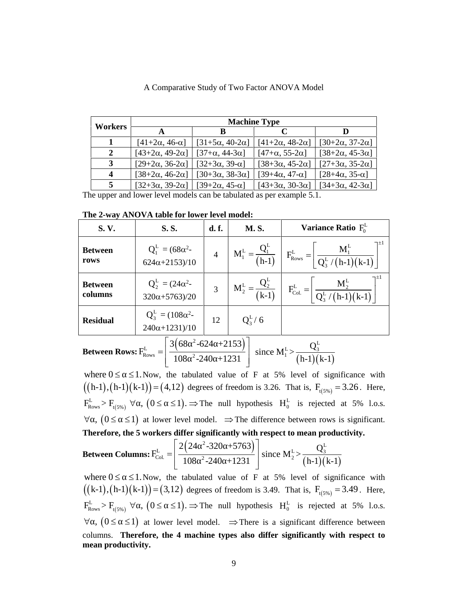|         |                                |                               | <b>Machine Type</b>            |                                |
|---------|--------------------------------|-------------------------------|--------------------------------|--------------------------------|
| Workers |                                | В                             |                                |                                |
|         | $[41+2\alpha, 46-\alpha]$      | $[31+5\alpha, 40-2\alpha]$    | $[41 + 2\alpha, 48 - 2\alpha]$ | $[30+2\alpha, 37-2\alpha]$     |
| 2       | $[43+2\alpha, 49-2\alpha]$     | $[37 + \alpha, 44 - 3\alpha]$ | $[47 + \alpha, 55 - 2\alpha]$  | $[38 + 2\alpha, 45 - 3\alpha]$ |
| 3       | $[29+2\alpha, 36-2\alpha]$     | $[32+3\alpha, 39-\alpha]$     | $[38+3\alpha, 45-2\alpha]$     | $[27+3α, 35-2α]$               |
| 4       | $[38 + 2\alpha, 46 - 2\alpha]$ | $[30+3\alpha, 38-3\alpha]$    | $[39+4\alpha, 47-\alpha]$      | $[28+4\alpha, 35-\alpha]$      |
|         | $[32+3\alpha, 39-2\alpha]$     | $[39+2\alpha, 45-\alpha]$     | $[43+3\alpha, 30-3\alpha]$     | $[34+3\alpha, 42-3\alpha]$     |

A Comparative Study of Two Factor ANOVA Model

**The 2-way ANOVA table for lower level model:**

|                    | A Comparative Study of Two Factor ANOVA Model                                                                                                                                                                     |                                       |                     |                                                       |                                                                                                                                     |
|--------------------|-------------------------------------------------------------------------------------------------------------------------------------------------------------------------------------------------------------------|---------------------------------------|---------------------|-------------------------------------------------------|-------------------------------------------------------------------------------------------------------------------------------------|
|                    |                                                                                                                                                                                                                   |                                       |                     |                                                       |                                                                                                                                     |
|                    |                                                                                                                                                                                                                   |                                       |                     |                                                       |                                                                                                                                     |
| Workers            |                                                                                                                                                                                                                   |                                       | <b>Machine Type</b> |                                                       |                                                                                                                                     |
| $\mathbf{1}$       | $\mathbf A$                                                                                                                                                                                                       | B                                     |                     | $\mathbf C$                                           | $\mathbf{D}$                                                                                                                        |
| $\boldsymbol{2}$   | $[41+2α, 46-α]$<br>$[43+2\alpha, 49-2\alpha]$                                                                                                                                                                     | [31+5α, 40-2α]<br>$[37 + α, 44 - 3α]$ |                     | $[41 + 2\alpha, 48 - 2\alpha]$<br>$[47 + α, 55 - 2α]$ | [ $30+2\alpha$ , $37-2\alpha$ ]<br>$[38 + 2\alpha, 45 - 3\alpha]$                                                                   |
| 3                  | $[29+2\alpha, 36-2\alpha]$                                                                                                                                                                                        | $[32+3α, 39-α]$                       |                     | $[38+3\alpha, 45-2\alpha]$                            | $[27+3α, 35-2α]$                                                                                                                    |
| 4                  | [38+2α, 46-2α]                                                                                                                                                                                                    | $[30+3α, 38-3α]$                      |                     | $[39+4\alpha, 47-\alpha]$                             | $[28+4\alpha, 35-\alpha]$                                                                                                           |
| 5                  | $[32+3\alpha, 39-2\alpha]$                                                                                                                                                                                        | $[39+2α, 45-α]$                       |                     | $[43+3\alpha, 30-3\alpha]$                            | $[34+3α, 42-3α]$                                                                                                                    |
|                    | The upper and lower level models can be tabulated as per example 5.1.                                                                                                                                             |                                       |                     |                                                       |                                                                                                                                     |
|                    | The 2-way ANOVA table for lower level model:                                                                                                                                                                      |                                       |                     |                                                       |                                                                                                                                     |
| S.V.               | S.S.                                                                                                                                                                                                              | d. f.                                 | M.S.                |                                                       | Variance Ratio $F_0^L$                                                                                                              |
|                    |                                                                                                                                                                                                                   |                                       |                     |                                                       |                                                                                                                                     |
| <b>Between</b>     | $Q_1^L = (68\alpha^2 -$                                                                                                                                                                                           | $\overline{4}$                        |                     |                                                       |                                                                                                                                     |
| rows               | $624\alpha + 2153)/10$                                                                                                                                                                                            |                                       |                     | $F_{\rm{Rows}}^{\rm{L}}$                              |                                                                                                                                     |
|                    |                                                                                                                                                                                                                   |                                       |                     |                                                       |                                                                                                                                     |
| <b>Between</b>     | $Q_2^L = (24\alpha^2 -$                                                                                                                                                                                           | $\overline{3}$                        |                     | $F^{\rm L}_{\rm Col.} =$                              |                                                                                                                                     |
| columns            | $320\alpha + 5763)/20$                                                                                                                                                                                            |                                       |                     |                                                       |                                                                                                                                     |
|                    | $Q_3^L = (108\alpha^2 -$                                                                                                                                                                                          |                                       |                     |                                                       |                                                                                                                                     |
| <b>Residual</b>    | $240\alpha + 1231)/10$                                                                                                                                                                                            | 12                                    | $Q_3^L / 6$         |                                                       |                                                                                                                                     |
|                    |                                                                                                                                                                                                                   |                                       |                     |                                                       |                                                                                                                                     |
|                    | $3(68 - 624 + 2153)$                                                                                                                                                                                              |                                       |                     | $Q_3^L$                                               |                                                                                                                                     |
|                    | <b>Between Rows:</b> $F_{\text{Rows}}^L = \left  \frac{3(\text{00} - \text{00}) + 255}{108^{-2} - 240 + 1231} \right $ since $M_1^L > \frac{3}{(h-1)(k-1)}$                                                       |                                       |                     |                                                       |                                                                                                                                     |
|                    | where $0 \leq \leq 1$ . Now, the tabulated value of F at 5% level of significance with                                                                                                                            |                                       |                     |                                                       |                                                                                                                                     |
|                    |                                                                                                                                                                                                                   |                                       |                     |                                                       | $((h-1), (h-1)(k-1)) = (4, 12)$ degrees of freedom is 3.26. That is, $F_{(5\%)} = 3.26$ . Here,                                     |
|                    |                                                                                                                                                                                                                   |                                       |                     |                                                       |                                                                                                                                     |
|                    |                                                                                                                                                                                                                   |                                       |                     |                                                       | $F_{\text{Rows}}^L > F_{t(5\%)} \ \forall$ , $(0 \leq \leq 1)$ . $\Rightarrow$ The null hypothesis $H_0^L$ is rejected at 5% l.o.s. |
|                    |                                                                                                                                                                                                                   |                                       |                     |                                                       | $\forall$ , $(0 \leq \leq 1)$ at lower level model. $\Rightarrow$ The difference between rows is significant.                       |
|                    | Therefore, the 5 workers differ significantly with respect to mean productivity.                                                                                                                                  |                                       |                     |                                                       |                                                                                                                                     |
|                    |                                                                                                                                                                                                                   |                                       |                     |                                                       |                                                                                                                                     |
|                    | <b>Between Columns:</b> $F_{\text{Col.}}^{\text{L}} = \left  \frac{2(24 \space ^2-320 \space ^+5763)}{108 \space ^2-240 \space ^+1231} \right  \text{ since } M_2^{\text{L}} > \frac{Q_3^{\text{L}}}{(h-1)(k-1)}$ |                                       |                     |                                                       |                                                                                                                                     |
|                    | where $0 \leq \leq 1$ . Now, the tabulated value of F at 5% level of significance with                                                                                                                            |                                       |                     |                                                       |                                                                                                                                     |
|                    |                                                                                                                                                                                                                   |                                       |                     |                                                       |                                                                                                                                     |
|                    |                                                                                                                                                                                                                   |                                       |                     |                                                       | $((k-1), (h-1)(k-1)) = (3,12)$ degrees of freedom is 3.49. That is, $F_{(5\%)} = 3.49$ . Here,                                      |
|                    |                                                                                                                                                                                                                   |                                       |                     |                                                       | $F_{\text{Rows}}^L > F_{t(5\%)} \ \forall$ , $(0 \leq \leq 1)$ . $\Rightarrow$ The null hypothesis $H_0^L$ is rejected at 5% l.o.s. |
|                    |                                                                                                                                                                                                                   |                                       |                     |                                                       | $\forall$ , $(0 \leq \leq 1)$ at lower level model. $\Rightarrow$ There is a significant difference between                         |
|                    |                                                                                                                                                                                                                   |                                       |                     |                                                       | columns. Therefore, the 4 machine types also differ significantly with respect to                                                   |
| mean productivity. |                                                                                                                                                                                                                   |                                       |                     |                                                       |                                                                                                                                     |

$$
\textbf{Between Rows:} \ F_{\text{Rows}}^{\text{L}} = \left| \frac{3 \left( 68^{-2} - 624 + 2153 \right)}{108^{-2} - 240 + 1231} \right| \text{ since } M_1^{\text{L}} > \frac{Q_3^{\text{L}}}{(h-1)(k-1)}
$$

$$
\textbf{Between Columns:} \ F_{\text{Col.}}^{\text{L}} = \left[ \frac{2\left(24^{-2} \cdot 320^{-1} + 5763\right)}{108^{-2} \cdot 240^{-1} + 1231} \right] \text{ since } M_2^{\text{L}} > \frac{Q_3^{\text{L}}}{\left(h-1\right)\left(k-1\right)}
$$

Between  $\frac{Q_2^L}{4} = \frac{Q_4L^2}{(k-1)}$   $\frac{Q_3^L}{(k-1)}$   $\frac{Q_4^L}{(k-1)(k-1)}$ <br>
Residual  $\frac{Q_4^L}{240\alpha(1+231)/10}$   $\frac{Q_4^L}{240\alpha(1+231)/10}$ <br>
Residual  $\frac{Q_4^L}{240\alpha(1+231)/10}$   $\frac{Q_4^L}{240\alpha(1+231)/10}$ <br>
Between Rows:  $\$  $E_{\text{rows}} > F_{\text{t(5%)}} \ \forall \ \ , \ (0 \leq \ \leq 1). \ \Rightarrow$  The null hypothesis  $H_0^L$  is rejected at 5% l.o.s. Retween<br>
Rows  $Q_2^+ = (24\alpha^2 - 3)$ <br>
Residual  $Q_2^+ = (108\alpha^2 - 12)$ <br>
Residual  $Q_3^+ = (108\alpha^2 - 12)$ <br>
Residual  $Q_3^+ = (108\alpha^2 - 12)$ <br>  $\frac{24(9\alpha + 1231)/10}{108^{-2} \cdot 240 + 1231}$ <br>
Surve Rows:  $F_{\text{flow}}^1 = \left[\frac{3(68^{-3} \cdot 624 + 2153)}$ Every and  $Q_2^* = (24\alpha^2 - 320\alpha + 5763)$ <br>
Residual  $Q_3^* = (108\alpha^2 - 12\alpha + 1231)/10$ <br>
Residual  $Q_3^* = (108\alpha^2 - 12\alpha + 1231)^2$ <br>
Between Rows:  $F_{\text{E,conv}}^k = \left[\frac{3(68^2 - 624 + 2153)}{108^2 - 240 + 1231}\right]$  since  $M_1^* > \frac{Q_2^k}{(h$ columns. **Therefore, the 4 machine types also differ significantly with respect to mean productivity.**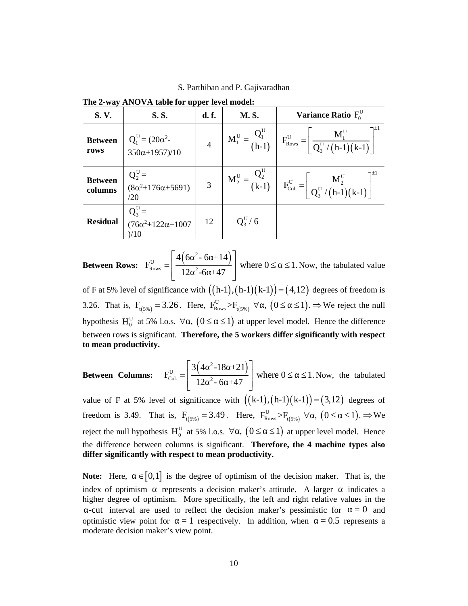S. Parthiban and P. Gajivaradhan

|                           | The 2-way ANOVA table for upper level model:            |                | S. Parthiban and P. Gajivaradhan  |                                                                                                                                                                      |
|---------------------------|---------------------------------------------------------|----------------|-----------------------------------|----------------------------------------------------------------------------------------------------------------------------------------------------------------------|
| S.V.                      | S.S.                                                    | d. f.          | <b>M.S.</b>                       | Variance Ratio $F_0^U$                                                                                                                                               |
| <b>Between</b><br>rows    | $Q_1^U = (20\alpha^2 -$<br>$350\alpha + 1957)/10$       | 4              | $M_1^U = -$<br>$\overline{(h-1)}$ | $F_{\rm{Rows}}^{\rm{U}}$                                                                                                                                             |
| <b>Between</b><br>columns | $Q_2^U =$<br>$(8\alpha^2+176\alpha+5691)$<br>/20        | $\mathfrak{Z}$ | $M_2^U = \frac{Q_2^U}{(k-1)}$     | $F_{\text{Col.}}^{\text{U}} =$                                                                                                                                       |
| <b>Residual</b>           | $Q_3^U =$<br>$(76\alpha^2+122\alpha+1007)$<br>)/10      | 12             | $Q_3^U/6$                         |                                                                                                                                                                      |
|                           |                                                         |                |                                   | <b>Between Rows:</b> $F_{\text{Rows}}^U = \left  \frac{4(6^{2} - 6 + 14)}{12^{2} - 6 + 47} \right $ where $0 \le 1$ . Now, the tabulated value                       |
|                           |                                                         |                |                                   | of F at 5% level of significance with $((h-1), (h-1)(k-1)) = (4, 12)$ degrees of freedom is                                                                          |
|                           |                                                         |                |                                   | 3.26. That is, $F_{t(5\%)} = 3.26$ . Here, $F_{\text{Rows}}^U > F_{t(5\%)} \ \forall$ , $(0 \leq \leq 1)$ . $\Rightarrow$ We reject the null                         |
|                           |                                                         |                |                                   | hypothesis H <sub>0</sub> <sup>U</sup> at 5% l.o.s. $\forall$ , $(0 \leq \leq 1)$ at upper level model. Hence the difference                                         |
| to mean productivity.     |                                                         |                |                                   | between rows is significant. Therefore, the 5 workers differ significantly with respect                                                                              |
|                           |                                                         |                |                                   | <b>Between Columns:</b> $F_{\text{Col}}^U = \left  \frac{3(4 \space 2 - 18 \space + 21)}{12 \space 2 - 6 \space + 47} \right $ where $0 \leq 1$ . Now, the tabulated |
|                           |                                                         |                |                                   | value of F at 5% level of significance with $((k-1),(h-1)(k-1))=(3,12)$ degrees of                                                                                   |
|                           |                                                         |                |                                   | freedom is 3.49. That is, $F_{(5\%)} = 3.49$ . Here, $F_{\text{Rows}}^U > F_{(5\%)} \ \forall$ , $(0 \leq \leq 1)$ . $\Rightarrow$ We                                |
|                           |                                                         |                |                                   | reject the null hypothesis $H_0^U$ at 5% l.o.s. $\forall$ , $(0 \leq \leq 1)$ at upper level model. Hence                                                            |
|                           | differ significantly with respect to mean productivity. |                |                                   | the difference between columns is significant. Therefore, the 4 machine types also                                                                                   |

**The 2-way ANOVA table for upper level model:**

3.26. That is,  $F_{t(5\%)} = 3.26$ . Here,  $F_{\text{Rows}}^U > F_{t(5\%)} \ \forall$ ,  $(0 \le \le 1)$ .  $\Rightarrow$  We reject the null hypothesis H<sub>0</sub><sup>U</sup> at 5% l.o.s.  $\forall$ ,  $(0 \leq \leq 1)$  at upper level model. Hence the difference between rows is significant. **Therefore, the 5 workers differ significantly with respect to mean productivity. Existed Mathematics**<br> **Residual**  $\begin{pmatrix} 25 \\ 20 \\ 10 \\ 3 \end{pmatrix}$ <br> **Residual**  $\begin{pmatrix} 2 \\ 2 \\ 3 \end{pmatrix}$ <br>  $\begin{pmatrix} 25 \\ 10 \\ 2 \end{pmatrix}$ <br> **Between Rows:**  $\begin{pmatrix} F_{\text{loss}} \\ F_{\text{loss}} \end{pmatrix} = \begin{pmatrix} \frac{4}{12} \frac{6}{2 \cdot 6} + 14 \\ \frac{1}{12} \frac{2}{2 \cdot 6} +$ F<sub>Col</sub> =  $\frac{M_2^{\text{U}}}{Q_s^{\text{U}}/(h-1)(k-1)}$ <br>  $\frac{1}{(h-1)(k-1)}$ <br>  $\frac{1}{(h-1)(k-1)}$  =  $(4,12)$  degrees of freedom is<br>  $\left(0 \leq \leq 1\right) \Rightarrow$  We reject the null<br>  $\frac{1}{(2h-1)(k-1)}$  =  $\frac{1}{(3h-1)(k-1)}$  =  $\frac{1}{(3h-1)(k-1)}$  =  $\frac{1}{(3h$  $\begin{bmatrix} 1 & 0 \ 0 & 0 \end{bmatrix}$ <br>  $\begin{bmatrix} 2 & 0 \ 0 & 0 \end{bmatrix}$  (b)  $\begin{bmatrix} 2 & 0 \ 0 & 0 \end{bmatrix}$  (b) where  $0 \le 1$ . Now, the tabulated value<br>
with  $((h-1), (h-1)(k-1)) = (4, 12)$  degrees of freedom is<br>
Here,  $\Gamma_{\text{flowas}}^{\text{U}} > \Gamma_{\text{U/N}}^{\text{U}} \ \$ **Between Rows:**  $F_{\text{loss}}^{U} = \left[ \frac{4(6 \times -6 + 14)}{12 \times 2 -6 + 47} \right]$  where  $0 \leq \leq 1$ . Now, the tabulated value of F at 5% level of significance with  $((h-1),(h-1)(k-1)) \in (4,12)$  degrees of freedom is 3.26. That is,  $F_{i(yn)} = 3.26$ 

$$
\textbf{Between Columns:} \quad \mathbf{F}_{\text{Col.}}^{\text{U}} = \left[ \frac{3\left(4^{-2} - 18 + 21\right)}{12^{-2} - 6 + 47} \right] \text{ where } 0 \leq s \leq 1. \text{ Now, the tabulated}
$$

index of optimism represents a decision maker's attitude. A larger indicates a higher degree of optimism. More specifically, the left and right relative values in the -cut interval are used to reflect the decision maker's pessimistic for  $= 0$  and optimistic view point for  $= 1$  respectively. In addition, when  $= 0.5$  represents a moderate decision maker's view point.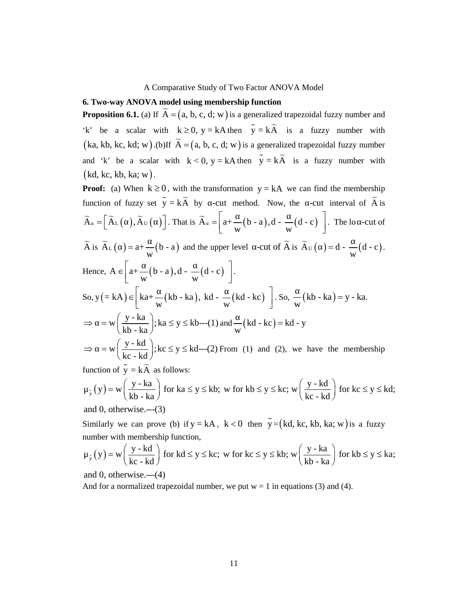# **6. Two-way ANOVA model using membership function**

**6. Two-way ANOVA model using membership function**<br>**Proposition 6.1.** (a) If  $\tilde{A} = (a, b, c, d; w)$  is a generalized trapezoidal fuzzy number and 'k' be a scalar with  $k \ge 0$ ,  $y = kA$  then  $\tilde{y} = k\tilde{A}$  is a fuzzy number A Comparative Study of Two Factor ANOVA Model<br>
6. Two-way ANOVA model using membership function<br>
Proposition 6.1. (a) If  $\tilde{A} = (a, b, c, d; w)$  is a generalized trapezoidal fuzzy number and<br>
'k' be a scalar with  $k \ge 0$ ,  $y$ A Comparative Study of Two Factor ANOVA Model<br>
6. Two-way ANOVA model using membership function<br>
Proposition 6.1. (a) If  $\tilde{A} = (a, b, c, d; w)$  is a generalized trapezoidal fuzzy number and<br>  $k^*$  be a scalar with  $k \ge 0$ , and 'k' be a scalar with  $k < 0$ ,  $y = kA$  then  $\tilde{y} = k\tilde{A}$  is a fuzzy number with  $(kd, kc, kb, ka; w).$ 

**Proof:** (a) H  $\overline{A}$  E  $\overline{A}$  (b)  $\overline{A} = \begin{pmatrix} 1 & 0 \\ 0 & 0 \end{pmatrix}$  with the transformation of **Proposition 6.1.** (a) If  $\overline{A} = \begin{pmatrix} a & b & c \\ a & b & c \end{pmatrix}$ , c, d; w) is a generalized transportant in the transformation function of fuzzy set  $\tilde{y} = k\tilde{A}$  by -cut method. Now, the -cut interval of  $\tilde{A}$  is A Comparative Study of Two Factor ANOVA Model<br> **A Two-way ANOVA model using membership function**<br> **Proposition 6.1.** (a) If  $\widetilde{A} = \begin{pmatrix} a, b, c, d; w \end{pmatrix}$  is a generalized trapezoidal fuzzy number and<br>  $k^*$  be a scalar A Comparative Study of Two Factor ANOVA Model<br> **Solution 6.1.** (a) If  $\overline{A} = \{a, b, c, d; w\}$  is a generalized trapezoidal fuzzy number and<br> **a** a scalar with  $k \ge 0$ ,  $y = kA$  then  $\tilde{y} = k\tilde{A}$  is a fuzzy number with<br> wo Factor ANOVA Model<br>ship function<br>a generalized trapezoidal fuzzy number and<br>en  $\tilde{y} = k\tilde{A}$  is a fuzzy number with<br>y) is a generalized trapezoidal fuzzy number<br>then  $\tilde{y} = k\tilde{A}$  is a fuzzy number with<br>nation  $y$ by of Two Factor ANOVA Model<br>
embership function<br>  $\therefore$  w) is a generalized trapezoidal fuzzy number and<br>
kA then  $\tilde{y} = k\tilde{A}$  is a fuzzy number with<br>
c, d; w) is a generalized trapezoidal fuzzy number<br>  $y = kA$  then  $\$ A Comparative Study of Two Factor ANOVA Model<br>
6. Two-way ANOVA model using membership function<br>
Proposition 6.1. (a) If  $\overline{A} = (a, b, c, d; w)$  is a generalized trapezoidal fuzzy numb<br>
(ka, kb, kc, kd; w) .(b)If  $\overline{A} = (a,$ A Comparative Study of Two Factor ANOVA Model<br> **ANOVA model using membership function**<br> **S.I.** (a) If  $\overline{A} = (a, b, c, d; w)$  is a generalized trapezoidal fuzzy number with<br>
dealar with  $k \ge 0$ ,  $y = kA$  then  $\overline{y} = k\overline{A}$   $\widetilde{A}$  is  $\widetilde{A}_L$  ( ) = a+ $\frac{1}{W}(b-a)$  and the upper level -cut of  $\widetilde{A}$  is  $\widetilde{A}_U$  ( ) = d -  $\frac{1}{W}(d-c)$ . A Comparative Study of Two Factor ANOVA Model<br>
6. Two-way ANOVA model using membership function<br>
Proposition 6.1. (a) If  $\overline{A} = \{a, b, c, d; w\}$  is a generalized trapezoidal fuzzy nu<br>
(ka, kb, kc, kd; w).(b)If  $\overline{A} = \{a,$ A Comparative Study of Two Factor ANOVA Model<br>
OVA model using membership function<br>
(a) If  $\overline{A} = (a, b, c, d; w)$  is a generalized trapezoidal fuzzy number and<br>
ar with  $k \ge 0$ ,  $y = kA$  then  $\tilde{y} = k\tilde{A}$  is a fuzzy numbe A Comparative Study of Two Factor ANOVA Model<br>
ANOVA model using membership function<br>
6.1. (a) If  $\tilde{A} = (a, b, c, d; w)$  is a generalized trapezoidal fuzzy number and<br>
scalar with  $k \ge 0$ ,  $y = kAn then$   $\tilde{y} = k\tilde{A}$  is a fuzz A Comparative Study of Two Factor ANOVA Model<br> **6. Two-way ANOVA model using membership function**<br> **Froposition 6.1.** (a) if  $\widetilde{A} = (a, b, c, d; w)$  is a generalized trapezoidal fuzzy number with<br>
(ka, kb, kc, kd; w), (b)If Comparative Study of Two Factor ANOVA Model<br> **model using membership function**<br>
f  $\vec{A} = (a, b, c, d; w)$  is a generalized trapezoidal fuzzy number and<br>
with  $k \ge 0$ ,  $y = kA$  then  $\tilde{y} = k\vec{A}$  is a fuzzy number with<br>
(b)If A Comparative Study of Two Factor ANOVA Model<br> **(OVA model using membership function**<br>
(a) If  $\vec{A} = (a, b, c, d; w)$  is a generalized trapezoidal fuzzy number and<br>
tlar with  $k \ge 0$ ,  $y = kA$  then  $\tilde{y} = k\tilde{A}$  is a fuzzy n A Comparative Study of Two Factor ANOVA Model<br> **ANOVA model using membership function**<br> **S.L.** (a) If  $\overline{A} = \{a, b, c, d; w\}$  is a generalized trapezoidal fuzzy number and<br>
scalar with  $k \ge 0$ ,  $y = kA$  then  $\tilde{y} = k\tilde{A}$ So,  $y = kA$ )  $\in$   $\left[ka+\frac{1}{w}(kb - ka), kd - \frac{1}{w}(kd - kc)\right]$ . So,  $\frac{1}{w}(kb - ka) = y - ka$ . Wo-way ANOVA model using membership function<br>position 6.1. (a) If  $\tilde{A} = (a, b, c, d; w)$  is a generalized trapezoic<br>be a scalar with  $k \ge 0$ ,  $y = kA$  then  $\tilde{y} = k\tilde{A}$  is a 1<br>i, kb, kc, kd; w).(b)If  $\tilde{A} = (a, b, c, d; w)$  A Comparative Study of Two Factor ANOVA Model<br> **6. Two-way ANOVA model ising membership function**<br> **fro-proposition 6.1. (a) if**  $\overrightarrow{A} = (\mathbf{u}, \mathbf{b}, \mathbf{c}, \mathbf{d}; \mathbf{w})$  is a generalized trapezoidal fuzzy number and<br> **Fro-** $\Rightarrow$  = w  $\left(\frac{y - ka}{kh - ka}\right); ka \le y \le kb$ ---(1) and  $\frac{w}{w}(kd - kc) = kd - y$ be a scalar with  $k \ge 0$ ,  $y = kA$  then  $y = kA$  is a 1<br>
k, kb, kc, kd; w).(b)If  $\widetilde{A} = (a, b, c, d; w)$  is a generalized trap<br>
'k' be a scalar with  $k < 0$ ,  $y = kA$  then  $\widetilde{y} = k\widetilde{A}$  is a<br>
1, kc, kb, ka; w).<br>
of: (a) When **Proposition 6.1.** (a) If  $\overline{A} = (a, b, c, d; w)$  is a generalized trapezoidal fuzzy number and<br>  $K^*$  be a scalar with  $k \ge 0$ ,  $y = kA$  then  $\overline{y} = k\overline{A}$  is a fuzzy number with<br>  $(ka, kh, kc, kd, w)$ .(b)If  $\overline{A} = (a, b, c, d; w)$  i and 'k' be a scalar with  $k < 0$ ,  $y = kA$  then  $y = kA$  is a fuzzy number with  $kR_0$ ,  $k_0$ ,  $k_0$ ,  $k_0$ ,  $k_0$ ,  $k_0$ ,  $k_0$ ,  $k_0$ ,  $k_0$ ,  $k_0$ ,  $k_0$ ,  $k_0$ ,  $k_0$ ,  $k_0$ ,  $k_0$ ,  $k_0$ ,  $k_0$ ,  $k_0$ ,  $k_0$  and  $k_0$   $k_$ A. s. s., we your a  $X = (a, b, c, d, w)$  is a generatized trajezonal nizzy number<br>  $\vec{r} \cdot \vec{r}$  is a scalar with  $k < 0$ ,  $y = kA$  then  $\vec{y} = k\vec{A}$  is a fuzzy number with<br>  $\vec{r} \cdot \vec{r}$ ,  $k \cdot \vec{b}$ ,  $k \cdot \vec{a}$ ,  $\vec{w}$ ,  $\vec$ function of fuzzy set  $\overline{y} = k\overline{A}$  by -cut method. Now, the -cut interval of  $\overline{A}$  is  $\overline{A} = [\overline{A}_L(\ ),\overline{A}_U(\ )]$ . That is  $\overline{A} = [a+\frac{1}{W}(b-a),d-\frac{1}{W}(d-c)]$ . The lo -cut of  $\overline{A}$  is  $\overline{A}_L(\ ) = a+\frac{1}{W}(b-a)$  and t  $x = \lfloor x \cdot (-1)^x \cdot x \cdot (1)^x \cdot x \cdot (1)^x \cdot x \cdot (1)^x \cdot x \cdot (1)^x \cdot (1)^x \cdot (1)^x \cdot (1)^x \cdot (1)^x \cdot (1)^x \cdot (1)^x \cdot (1)^x \cdot (1)^x \cdot (1)^x \cdot (1)^x \cdot (1)^x \cdot (1)^x \cdot (1)^x \cdot (1)^x \cdot (1)^x \cdot (1)^x \cdot (1)^x \cdot (1)^x \cdot (1)^x \cdot (1)^x \cdot (1)^x \cdot (1)^x \cdot (1)^x \cdot (1)^x \cdot (1)^x \cdot (1)^x \cdot (1)^x \cdot (1)^x \cdot$  $\overline{A}_L$  ( ),  $\overline{A}_U$  ( )]. That is  $\widetilde{A} = \left[a + \frac{1}{w}(b-a), d - \frac{1}{w}(d-c)\right]$ . The lo -cut of<br>  $L$  ( ) =  $a + \frac{1}{w}(b-a)$  and the upper level -cut of  $\widetilde{A}$  is  $\overline{A}_U$  ( ) =  $d - \frac{1}{w}(d-c)$ .<br>  $A \in \left[a + \frac{1}{w}(b-a), d - \frac{1}{w}($ 

function of  $\tilde{y} = k\tilde{A}$  as follows:

$$
\mu_{\tilde{y}}(y) = w \left( \frac{y - ka}{kb - ka} \right) \text{ for } ka \le y \le kb; \text{ w for } kb \le y \le kc; \ w \left( \frac{y - kd}{kc - kd} \right) \text{ for } kc \le y \le kd;
$$
  
and 0, otherwise---(3)

number with membership function,

$$
\mu_{\tilde{y}}(y) = w \left( \frac{y - kd}{kc - kd} \right) \text{ for } kd \le y \le kc; \text{ w for } kc \le y \le kb; \text{ w} \left( \frac{y - ka}{kb - ka} \right) \text{ for } kb \le y \le ka;
$$
  
and 0, otherwise, ---(4)

And for a normalized trapezoidal number, we put  $w = 1$  in equations (3) and (4).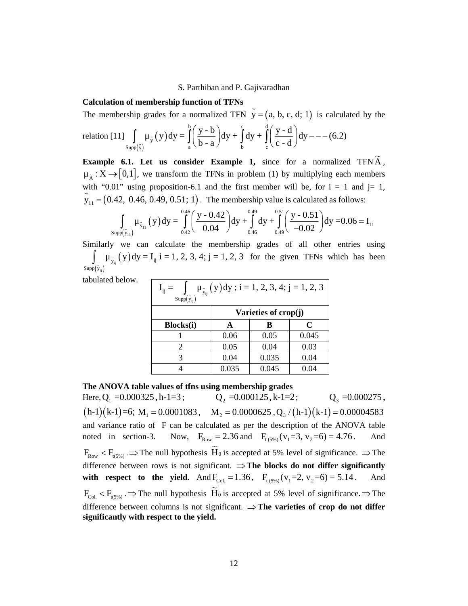# **Calculation of membership function of TFNs**

S. Parthiban and P. Gajivaradhan  
\nCalculation of membership function of TFNs  
\nThe membership grades for a normalized TFN 
$$
\tilde{y} = (a, b, c, d; 1)
$$
 is calculated by the  
\nrelation [11]  $\int_{Supp(\tilde{y})} \mu_{\tilde{y}}(y) dy = \int_{a}^{b} \left(\frac{y-b}{b-a}\right) dy + \int_{b}^{c} dy + \int_{c}^{d} \left(\frac{y-d}{c-d}\right) dy --- (6.2)$   
\nExample 6.1. Let us consider Example 1, since for a normalized TFN  $\tilde{A}$ ,  
\n $\mu_{\tilde{A}} : X \rightarrow [0,1]$ , we transform the TFNs in problem (1) by multiplying each members  
\nwith "0.01" using proposition 6.1 and the first member will be for  $i = 1$  and  $i = 1$ 

S. Parthiban and P. Gajivaradhan<br>
embership function of TFNs<br>
grades for a normalized TFN  $\tilde{y} = (a, b, c, d; 1)$  is calculated by the<br>  $\mu_{\tilde{y}}(y)dy = \int_{a}^{b} \left(\frac{y-b}{b-a}\right)dy + \int_{b}^{c} dy + \int_{c}^{d} \left(\frac{y-d}{c-d}\right)dy - --(6.2)$ <br>
et us c S. Parthiban and P. Gajivaradhan<br>
ip grades for a normalized TFN  $\tilde{y} = (a, b, c, d; 1)$  is calculated by the<br>
ip grades for a normalized TFN  $\tilde{y} = (a, b, c, d; 1)$  is calculated by the<br>  $\int_{w(\tilde{y})} \mu_{\tilde{y}}(y) dy = \int_{a}^{b} \left(\$ **Example 6.1. Let us consider Example 1,** since for a normalized TFN A , S. Parthiban and P. Gajivaradhan<br>
Calculation of **membership function of TFNs**<br>
The membership grades for a normalized TFN  $\tilde{y} = (a, b, c, d; 1)$  is calculated by the<br>
relation [11]  $\int_{\text{supp}(\tilde{y})} \mu_{\tilde{y}}(y) dy = \int_{a}^{b} \$ with "0.01" using proposition-6.1 and the first member will be, for  $i = 1$  and  $j = 1$ , S. Parthiban and P. Gajivaradhan<br>
Calculation of **membership function of TFNs**<br>
The membership grades for a normalized TFN  $\tilde{y} = (a, b, c, d; 1)$  is calculated by the<br>
relation [11]  $\int_{\text{Sup}(y)} \mu_{\tilde{y}}(y) dy = \int_{a}^{b} \left(\frac{y$ S. Parthiban and P. Gajivaradhan<br>
of membership function of TFNs<br>
ship grades for a normalized TFN  $\tilde{y} = (a, b, c, d; 1)$  is calculated b<br>  $\int_{supp(\tilde{y})} \mu_{\tilde{y}}(y) dy = \int_{a}^{b} \left(\frac{y-b}{b-a}\right) dy + \int_{b}^{c} dy + \int_{c}^{d} \left(\frac{y-d}{c-d}\right) dy$ the interesting interior of Trive<br>
nbership grades for a normalized TFN  $\tilde{y} = (a, b, c, d; 1)$  is calculated b<br>
[11]  $\int_{supp(\tilde{y})} \mu_{\tilde{y}}(y) dy = \int_{a}^{b} \left(\frac{y-b}{b-a}\right) dy + \int_{b}^{c} dy + \int_{c}^{d} \left(\frac{y-d}{c-d}\right) dy --- (6.2)$ <br> **e 6.1.** Let u S. Parthiban and P. Gajivaradhan<br>
ip grades for a normalized TFN  $\bar{y} = (a, b, c, d; 1)$  is calculated by the<br>
ip grades for a normalized TFN  $\bar{y} = (a, b, c, d; 1)$  is calculated by the<br>  $\int_{y_1^2}^{y_2} (y) dy = \int_0^b \left(\frac{y - b}{b - a}\$ arthiban and P. Gajivaradhan<br>
normalized TFN  $\tilde{y} = (a, b, c, d; 1)$  is calculated by the<br>  $\left(\frac{y-b}{b-a}\right) dy + \int_{0}^{a} dy + \int_{c}^{d} \left(\frac{y-d}{c-d}\right) dy = - (6.2)$ <br>
dder Example 1, since for a normalized TFN $\tilde{A}$ ,<br>
the TFNs in problem ( arthiban and P. Gajivaradhan<br>
nection of TFNs<br>
normalized TFN  $\tilde{y} = (a, b, c, d; 1)$  is calculated by the<br>  $\left(\frac{y-b}{b-a}\right)dy + \int_{b}^{a} dy + \int_{c}^{d} \left(\frac{y-d}{c-d}\right)dy = -(-6.2)$ <br>
dder Example 1, since for a normalized TFN $\tilde{A}$ ,<br>
the S. Parthiban and P. Gajivaradhan<br> **o** of membership function of TFNs<br>
ership grades for a normalized TFN  $\tilde{y} = (a, b, c, d; 1)$  is calculated by the<br>  $1 \int_{\text{supp}(\tilde{y})} \mu_{\tilde{y}}(y) dy = \int_{a}^{b} \left(\frac{y-b}{b-a}\right) dy + \int_{a}^{b} dy + \int_{c}^{b$ Example 6.1. Let us co<br>  $\mu_{\tilde{A}} : X \rightarrow [0,1]$ , we transfor<br>
with "0.01" using propositic<br>  $\tilde{y}_{11} = (0.42, 0.46, 0.49, 0.5$ <br>  $\int_{supp(\tilde{y}_{11})} \mu_{\tilde{y}_{11}}(y) dy =$ <br>
Similarly we can calculat<br>  $\int_{supp(\tilde{y}_{ij})} \mu_{\tilde{y}_{ij}}(y) dy = I_{$ S. Parthiban and P. C<br>
lculation of membership function of TFNs<br>
e membership grades for a normalized TFN<br>
ation [11]  $\int_{Supp(\tilde{y})} \mu_{\tilde{y}}(y) dy = \int_{a}^{b} \left(\frac{y-b}{b-a}\right) dy + \int_{b}^{c} G$ <br>
ample 6.1. Let us consider Example<br>  $\therefore X$ 

$$
\int_{\text{supp}(\tilde{y}_{11})}\mu_{\tilde{y}_{11}}(y)dy = \int_{0.42}^{0.46} \left(\frac{y - 0.42}{0.04}\right)dy + \int_{0.46}^{0.49} dy + \int_{0.49}^{0.51} \left(\frac{y - 0.51}{-0.02}\right)dy = 0.06 = I_{11}
$$

Similarly we can calculate the membership grades of all other entries using  $\tilde{y}_{1}$  ( )  $/$  Uy  $\bf{I}_{ij}$  1  $=$  $(\tilde{y}_{ii})$  $\mu_{\tilde{y}_{ij}}(y)dy = I_{ij}$  i = 1, 2, 3, 4; j = 1, 2, 3 for the given TFNs which has been  $\mu_{ij}$ 

tabulated below.

|                                                                                                                                                                        | S. Parthiban and P. Gajivaradhan                                                                                                                        |       |       |  |  |  |  |  |  |  |
|------------------------------------------------------------------------------------------------------------------------------------------------------------------------|---------------------------------------------------------------------------------------------------------------------------------------------------------|-------|-------|--|--|--|--|--|--|--|
| nbership function of TFNs                                                                                                                                              |                                                                                                                                                         |       |       |  |  |  |  |  |  |  |
| rades for a normalized TFN $y = (a, b, c, d; 1)$ is calculated by the                                                                                                  |                                                                                                                                                         |       |       |  |  |  |  |  |  |  |
|                                                                                                                                                                        | $\int_{\tilde{y}} (y) dy = \int_{0}^{b} \left( \frac{y-b}{b-a} \right) dy + \int_{0}^{c} dy + \int_{0}^{a} \left( \frac{y-d}{c-d} \right) dy - (-16.2)$ |       |       |  |  |  |  |  |  |  |
| it us consider Example 1, since for a normalized TFN $\widetilde{A}$ ,                                                                                                 |                                                                                                                                                         |       |       |  |  |  |  |  |  |  |
| e transform the TFNs in problem (1) by multiplying each members                                                                                                        |                                                                                                                                                         |       |       |  |  |  |  |  |  |  |
| proposition-6.1 and the first member will be, for $i = 1$ and $j = 1$ ,                                                                                                |                                                                                                                                                         |       |       |  |  |  |  |  |  |  |
| $(0.49, 0.51; 1)$ . The membership value is calculated as follows:                                                                                                     |                                                                                                                                                         |       |       |  |  |  |  |  |  |  |
|                                                                                                                                                                        |                                                                                                                                                         |       |       |  |  |  |  |  |  |  |
| $(y)dy = \int_{0.46}^{0.46} \left(\frac{y - 0.42}{0.04}\right) dy + \int_{0.49}^{0.49} dy + \int_{0.48}^{0.51} \left(\frac{y - 0.51}{-0.02}\right) dy = 0.06 = I_{11}$ |                                                                                                                                                         |       |       |  |  |  |  |  |  |  |
| calculate the membership grades of all other entries using                                                                                                             |                                                                                                                                                         |       |       |  |  |  |  |  |  |  |
| $I_{ij}$ i = 1, 2, 3, 4; j = 1, 2, 3 for the given TFNs which has been                                                                                                 |                                                                                                                                                         |       |       |  |  |  |  |  |  |  |
|                                                                                                                                                                        |                                                                                                                                                         |       |       |  |  |  |  |  |  |  |
| $I_{ij} = \int \mu_{\tilde{y}_{ij}}(y) dy$ ; i = 1, 2, 3, 4; j = 1, 2, 3<br>$Supp(\tilde{y}_{ij})$                                                                     |                                                                                                                                                         |       |       |  |  |  |  |  |  |  |
| Varieties of crop(j)                                                                                                                                                   |                                                                                                                                                         |       |       |  |  |  |  |  |  |  |
| <b>Blocks(i)</b>                                                                                                                                                       | A                                                                                                                                                       | B     | C     |  |  |  |  |  |  |  |
| 1                                                                                                                                                                      | 0.06                                                                                                                                                    | 0.05  | 0.045 |  |  |  |  |  |  |  |
| 2                                                                                                                                                                      | 0.05                                                                                                                                                    | 0.04  | 0.03  |  |  |  |  |  |  |  |
| 3                                                                                                                                                                      | 0.04                                                                                                                                                    | 0.035 | 0.04  |  |  |  |  |  |  |  |
| 4                                                                                                                                                                      | 0.035                                                                                                                                                   | 0.045 | 0.04  |  |  |  |  |  |  |  |

#### **The ANOVA table values of tfns using membership grades**

 $\mu_{\overline{X}} : X \rightarrow [0,1]$ , we transform the TFNs in problem (1) by r<br>with "0.01" using proposition-6.1 and the first member will<br> $\tilde{y}_{11} = (0.42, 0.46, 0.49, 0.51; 1)$ . The membership value is c<br> $\int_{\text{Supp}(\tilde{y}_{11})} \mu_{\tilde{y}_{1$ transform the TFNs in problem (1) by multiplying each members<br>
roposition-6.1 and the first member will be, for  $i = 1$  and  $j = 1$ ,<br>
49, 0.51; 1). The membership value is calculated as follows:<br>  $\left(\frac{y-0.42}{0.04}\right) dy + \int_{0.$ (1) by multiplying each members<br>ber will be, for  $i = 1$  and  $j = 1$ ,<br>alue is calculated as follows:<br> $\int_{0.49}^{0.15} \left(\frac{y \cdot 0.51}{-0.02}\right) dy = 0.06 = I_{11}$ <br>des of all other entries using<br>it also of all other entries using<br> $\frac{$  $Q_3 = 0.000275$ , with "0.01" using proposition 4.1 and the list mean list mean list then  $\vec{y}_1 = (0.42, 0.46, 0.49, 0.51; 1)$ . The membership value is calculated as follows:<br>  $\int_{3\pi/6\sqrt{t_2}}^{\pi/6} y_1^2 y_1^2 (y) dy = \int_{0.6}^{0.6} \frac{y^4}{20.04} dy$ and variance ratio of F can be calculated as per the description of the ANOVA table  $\int_{S_{\text{max}}} \mu_{\tilde{y}_{11}}(y) dy = \int_{0}^{0.25} \left(\frac{y \cdot 0.42}{0.44}\right) dy + \int_{0.46}^{1.25} \left(\frac{y \cdot 0.51}{0.02}\right) dy = 0.06 = I_{11}$ <br>
Similarly we can calculate the membership grades of all other entries using<br>  $\int_{S_{\text{max}}(x)} \mu_{\tilde{y}_{1}}(y) dy = I$ Sup(5,1)  $\frac{S_{\text{exp}}(5,1)}{5}$  ...  $\frac{1}{9}$  ...  $\frac{1}{9}$  ...  $\frac{1}{9}$  ...  $\frac{1}{9}$  ...  $\frac{1}{9}$  ...  $\frac{1}{9}$  ...  $\frac{1}{9}$  ...  $\frac{1}{9}$  ...  $\frac{1}{9}$  ...  $\frac{1}{9}$  ...  $\frac{1}{9}$  ...  $\frac{1}{9}$  ...  $\frac{1}{9}$  ...  $\frac$ difference between rows is not significant.  $\Rightarrow$  **The blocks do not differ significantly with respect to the yield.** And F<sub>0xi</sub> (y) dy : i = 1, 2, 3. for the given TFNs which has been<br>to the smooth below.<br> **Windelets of crop(j)**<br> **Blocks(i)**  $\frac{1}{\lambda} = \int_{\frac{300}{4}} \mu_{\frac{5}{21}}(y) dy$ ; i = 1, 2, 3, 4; j = 1, 2, EVALUATION  $I_{ij} = \int_{Susp(\zeta_{ij})} \mu_{\zeta_{ij}}(y) dy$ ;  $i = 1, 2, 3, 4; j = 1, 2, 3$ <br>
Varieties of crop(j)<br>
Blocks(i) A B C<br>  $\frac{2}{3}$  0.05 0.04 0.035<br>  $\frac{2}{3}$  0.04 0.035<br>
The ANOVA table values of the using membership grades<br>
Here, difference between columns is not significant.  $\Rightarrow$  The varieties of crop do not differ **significantly with respect to the yield.**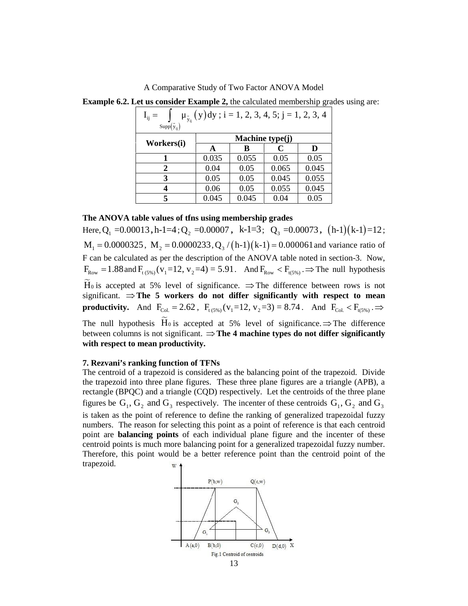| A Comparative Study of Two Factor ANOVA Model                                              |                                                                                   |       |                 |       |
|--------------------------------------------------------------------------------------------|-----------------------------------------------------------------------------------|-------|-----------------|-------|
| <b>Example 6.2. Let us consider Example 2,</b> the calculated membership grades using are: |                                                                                   |       |                 |       |
|                                                                                            | $I_{ij} =$ $\int$ $\mu_{\tilde{y}_{ii}}(y)dy$ ; i = 1, 2, 3, 4, 5; j = 1, 2, 3, 4 |       |                 |       |
| $Supp(\tilde{y}_{ij})$                                                                     |                                                                                   |       |                 |       |
|                                                                                            |                                                                                   |       | Machine type(j) |       |
| Workers(i)                                                                                 | A                                                                                 | B     | $\mathbf C$     | D     |
| 1                                                                                          | 0.035                                                                             | 0.055 | 0.05            | 0.05  |
| $\boldsymbol{2}$                                                                           | 0.04                                                                              | 0.05  | 0.065           | 0.045 |
| 3                                                                                          | 0.05                                                                              | 0.05  | 0.045           | 0.055 |
| 4                                                                                          | 0.06                                                                              | 0.05  | 0.055           | 0.045 |

#### **The ANOVA table values of tfns using membership grades**

Fwo Factor ANOVA Model<br>the calculated membership grades using are:<br>  $= 1, 2, 3, 4, 5; j = 1, 2, 3, 4$ <br> **Machine type(j)**<br> **B**<br>  $\frac{0.055}{0.05}$ <br>  $\frac{0.05}{0.05}$ <br>  $\frac{0.05}{0.045}$ <br>  $\frac{0.05}{0.045}$ <br>  $\frac{0.05}{0.045}$ <br>  $\frac{0.0$ examples using are:<br>  $\frac{4}{5}$ <br>  $\frac{5}{5}$ <br>  $\frac{5}{5}$ <br>  $\frac{5}{5}$ <br>  $\frac{1}{12}$ <br>  $\frac{1}{12}$ <br>  $\frac{1}{12}$ <br>  $\frac{1}{12}$ <br>  $\frac{1}{12}$ <br>  $\frac{1}{12}$ <br>  $\frac{1}{12}$ <br>  $\frac{1}{12}$ <br>  $\frac{1}{12}$ <br>  $\frac{1}{12}$ <br>  $\frac{1}{12}$ <br>  $\frac{1}{12}$ <br>  $\frac{1}{12}$ <br> A Comparative Study of Two Factor ANOVA Model<br>
Example 6.2. Let us consider Example 2, the calculated membership grades using are:<br>  $I_{ij} = \int_{S^{in}[S_i]} \mu_{\tilde{z}_i}(y) dy$ ;  $i = 1, 2, 3, 4, 5; j = 1, 2, 3, 4$ <br>
Workers(i)<br>
Workers(i) F can be calculated as per the description of the ANOVA table noted in section-3. Now, A Comparative Study of Two Factor ANOVA Model<br>
Example 6.2. Let us consider Example 2, the calculated membership grades using are:<br>  $\frac{1}{19} = \int_{\text{Sage}(\tilde{y}_1)} \sqrt{y} \, dy$ ;  $i = 1, 2, 3, 4, 5$ ;  $\frac{1}{2}$ <br>
Workers(i) **And FRON** significant.  $\Rightarrow$  The 5 workers do not differ significantly with respect to mean A Comparative Study of Two Factor ANOVA Model<br> **Fxample 5.2.** Let us consider Example 2, the calculated membership grades using are:<br>  $\frac{1}{3} = \int_{\frac{3\pi}{2}(\xi)} \frac{\mu_{\xi_3}(y)dy; i=1, 2, 3, 4, 5; j=1, 2, 3, 4}{10.05}$ <br> **RECOLEMENT** 

The null hypothesis  $H_0$  is accepted at 5% level of significance.  $\Rightarrow$  The difference between columns is not significant.  $\Rightarrow$  **The 4 machine types do not differ significantly with respect to mean productivity.**

#### **7. Rezvani's ranking function of TFNs**

The centroid of a trapezoid is considered as the balancing point of the trapezoid. Divide the trapezoid into three plane figures. These three plane figures are a triangle (APB), a rectangle (BPQC) and a triangle (CQD) respectively. Let the centroids of the three plane figures be G , G and G 1 2 3 respectively. The incenter of these centroids G , G and G 1 2 3 is taken as the point of reference to define the ranking of generalized trapezoidal fuzzy numbers. The reason for selecting this point as a point of reference is that each centroid point are **balancing points** of each individual plane figure and the incenter of these centroid points is much more balancing point for a generalized trapezoidal fuzzy number. Therefore, this point would be a better reference point than the centroid point of the trapezoid.

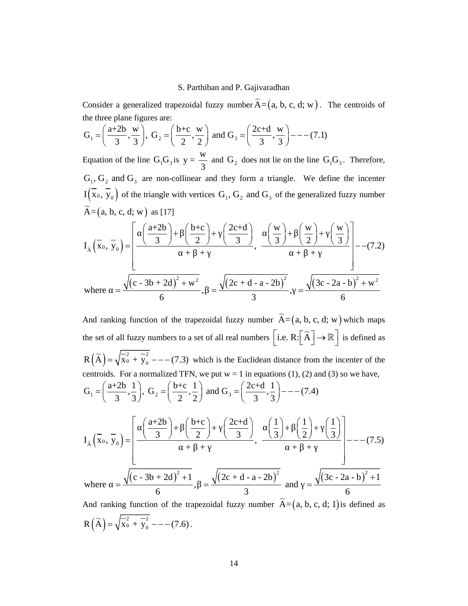the three plane figures are:

5. Parthiban and P. Gajivaradhan  
\nConsider a generalized trapezoidal fuzzy number 
$$
\tilde{A} = (a, b, c, d; w)
$$
. The centroids of  
\nthe three plane figures are:  
\n $G_1 = \left(\frac{a+2b}{3}, \frac{w}{3}\right)$ ,  $G_2 = \left(\frac{b+c}{2}, \frac{w}{2}\right)$  and  $G_3 = \left(\frac{2c+d}{3}, \frac{w}{3}\right) - -(-7.1)$   
\nEquation of the line  $G_1G_3$  is  $y = \frac{w}{3}$  and  $G_2$  does not lie on the line  $G_1G_3$ . Therefore,  
\n $G_1G_2$  and  $G_2$  are zero.

S. Parthiban and P. Gajivaradhan<br>
Consider a generalized trapezoidal fuzzy number  $\tilde{A} = (a, b, c, d; w)$ . The centroids of<br>  $G_1 = \left(\frac{a+2b}{3}, \frac{w}{3}\right), G_2 = \left(\frac{b+c}{2}, \frac{w}{2}\right)$  and  $G_3 = \left(\frac{2c+d}{3}, \frac{w}{3}\right) = -(-7.1)$ <br>
Equation S. Parthiban and P. Gajivaradhan<br>
sider a generalized trapezoidal fuzzy number  $\tilde{A} = (a, b, c, d; w)$ . The centroids of<br>
three plane figures are:<br>  $= \left(\frac{a+2b}{3}, \frac{w}{3}\right), G_2 = \left(\frac{b+c}{2}, \frac{w}{2}\right)$  and  $G_3 = \left(\frac{2c+d}{3}, \frac{w}{3}\right$ S. Parthiban and P. Gajivaradhan<br>
Consider a generalized trapezoidal fuzzy number  $\tilde{A} = (a, b, c, d; w)$ . The centroids of<br>
the three plane figures are:<br>  $G_1 = \left(\frac{a+2b}{3}, \frac{w}{3}\right)$ ,  $G_2 = \left(\frac{b+c}{2}, \frac{w}{2}\right)$  and  $G_3 = \left(\frac{$  $y = \frac{w}{2}$  and  $G_2$  does not lie on the line  $G_1G_3$ . T  $\frac{1}{3}$  and  $G_2$  does not lie on the line  $G_1G_3$ . Gajivaradhan<br>
ber  $\widetilde{A} = (a, b, c, d; w)$ . The centroids of<br>  $= \left(\frac{2c+d}{3}, \frac{w}{3}\right) - --(7.1)$ <br>
does not lie on the line  $G_1G_3$ . Therefore,<br>
form a triangle. We define the incenter<br>
and  $G_3$  of the generalized fuzzy number S. Parthiban and P. Gajivaradhan<br>
Consider a generalized trapezoidal fuzzy number  $\tilde{A} = (a, b, c, d; w)$ . The centroids of<br>  $G_1 = \left(\frac{a+2b}{3}, \frac{w}{3}\right)$ ,  $G_2 = \left(\frac{b+c}{2}, \frac{w}{2}\right)$  and  $G_3 = \left(\frac{2c+d}{3}, \frac{w}{3}\right) - - - (7.1)$ <br>
Equa S. Parthiban and P. Gaj<br>
Consider a generalized trapezoidal fuzzy number  $\overline{A}$ <br>
the three plane figures are:<br>  $G_1 = \left(\frac{a+2b}{3}, \frac{w}{3}\right), G_2 = \left(\frac{b+c}{2}, \frac{w}{2}\right)$  and  $G_3 = \left(\frac{2}{3}\right)$ <br>
Equation of the line  $G_1G_3$  is S. Parthiban and P. Gajivaradhan<br>
Consider a generalized trapezoidal fuzzy number  $\widetilde{A} = (a, b, c, d; w)$ . The centroids of<br>  $G_1 = \left(\frac{a+2b}{3}, \frac{w}{3}\right)$ ,  $G_2 = \left(\frac{b+c}{2}, \frac{w}{2}\right)$  and  $G_3 = \left(\frac{2c+d}{3}, \frac{w}{3}\right) - -(-7.1)$ <br>
Equa

S. Parthiban and P. Gajivaradhan  
\nConsider a generalized trapezoidal fuzzy number 
$$
\tilde{A} = (a, b, c, d; w)
$$
. The centroids of  
\nthe three plane figures are:  
\n $G_1 = \left(\frac{a+2b}{3}, \frac{w}{3}\right)$ ,  $G_2 = \left(\frac{b+c}{2}, \frac{w}{2}\right)$  and  $G_3 = \left(\frac{2c+d}{3}, \frac{w}{3}\right) - --(7.1)$   
\nEquation of the line  $G_1G_3$  is  $y = \frac{w}{3}$  and  $G_2$  does not lie on the line  $G_1G_3$ . Therefore,  
\n $G_1, G_2$  and  $G_3$  are non-collinear and they form a triangle. We define the incenter  
\n $I(\overline{x}_0, \overline{y}_0)$  of the triangle with vertices  $G_1, G_2$  and  $G_3$  of the generalized fuzzy number  
\n $\tilde{A} = (a, b, c, d; w)$  as [17]  
\n $I_{\tilde{A}}(\overline{x}_0, \overline{y}_0) = \left[\frac{\left(\frac{a+2b}{3}\right) + \left(\frac{b+c}{2}\right) + \left(\frac{2c+d}{3}\right)}{+\left(\frac{w}{3}\right)^2}, \frac{\left(\frac{w}{3}\right) + \left(\frac{w}{2}\right) + \left(\frac{w}{3}\right)}{+\left(\frac{w}{3}\right)^2}\right] - -(7.2)$   
\nwhere  $= \frac{\sqrt{(c-3b+2d)^2 + w^2}}{6}$ ,  $= \frac{\sqrt{(2c+d-a-2b)^2}}{3}$ ,  $= \frac{\sqrt{(3c-2a-b)^2 + w^2}}{6}$   
\nAnd ranking function of the trapezoidal fuzzy number  $\tilde{A} = (a, b, c, d; w)$  which maps  
\nthe set of all fuzzy numbers to a set of all real numbers  $[i.e. R: [\tilde{A}] \rightarrow \mathbb{R}]$  is defined as  
\n $R(\tilde{A}) = \sqrt{x_0^2 + y_0^2 - -(-7.3)}$  which is the Euclidean distance from the incenter of the  
\ncentroids. For a normalized TFN, we put  $w = |w|$  equation (1), (2) and (3) so we have,  
\n $(a+2b+1)$ 

Consider a generalized trapezoidal fuzzy number  $\overline{A} = (a, b, c, d; w)$ . The centroids of<br>
the three plane figures are:<br>  $G_1 = \left(\frac{a+2b}{3}, \frac{w}{3}\right)$ ,  $G_2 = \left(\frac{b+c}{2}, \frac{w}{2}\right)$  and  $G_3 = \left(\frac{2c+d}{3}, \frac{w}{3}\right) = -(-7.1)$ <br>
Equation  $\frac{\left(\frac{a+2b}{3}\right)+\left(\frac{b+c}{2}\right)+\left(\frac{2b}{2}\right)}{4+2b+4}$   $\frac{\left((c-3b+2d)^2 + w^2\right)}{6}$   $\frac{\sqrt{(c-3b+2d)^2 + w^2}}{2+2b+4}$   $\frac{2}{a+b+c}$   $\frac{2}{a+b+c}$   $\frac{2}{a+b}$   $\frac{2}{a+b}$   $\frac{2}{a+b}$   $\frac{2}{a+b}$   $\frac{2}{a+b}$   $\frac{2}{a+b}$   $\frac{2}{a+b}$   $\frac{2}{a+b}$  G<sub>1</sub> =  $\left(\frac{a+2b}{3}, \frac{w}{3}\right)$ , G<sub>2</sub> =  $\left(\frac{b+c}{2}, \frac{w}{2}\right)$  and G<sub>3</sub> =  $\left(\frac{2c+d}{3}, \frac{w}{3}\right)$  - - - (7.1)<br>
Equation of the line G<sub>1</sub>G<sub>3</sub> is  $y = \frac{w}{3}$  and G<sub>3</sub> does not lie on the line G<sub>1</sub>G<sub>3</sub>. Therefore,<br>
G<sub>1</sub>, G<sub>2</sub>, which is the Euclidean distance from the incenter of the centroids. For a normalized TFN, we put  $w = 1$  in equations (1), (2) and (3) so we have, And ranking function of the trapezoidal fuzzy number  $\tilde{A} = (a, b, c, d; w)$  which maps<br>the set of all fuzzy numbers to a set of all real numbers  $\left[ i.e. R: \left[ \tilde{A} \right] \rightarrow \mathbb{R} \right]$  is defined as<br> $R(\tilde{A}) = \sqrt{\tilde{x}_0^2 + \tilde{y}_0^2}$ equation of the line G<sub>1</sub>O<sub>3</sub>, is  $y = \frac{1}{3}$  and G<sub>3</sub> does not he on the line G<sub>1</sub>O<sub>3</sub>. Therefore,<br>  $G_1$ ,  $G_2$  and  $G_3$  are non-collinear and they form a triangle. We define the incenter<br>  $I(\overline{x}_0, \overline{y}_0)$  of the tri ation of the line G,G, is  $y = \frac{w}{3}$  and G, does not lie on the line G,G<sub>3</sub>. Therefore,<br>
G<sub>3</sub> and G<sub>3</sub> are non-collinear and they form a triangle. We define the incenter<br>
(a, b, c, d; w) as [17]<br>  $\vec{x}_3$ ,  $\vec{y}_0$  of the  $\tilde{A} \left( X_0, Y_0 \right) = \begin{array}{c} 0 & 0 \\ 0 & 0 \\ 0 & 0 \\ 0 & 0 \end{array}, \frac{0}{(0, 0)^2}$ E(x, b, c, d, w) s f(x)<br>  $\overline{X} = (a, b, c, d; w)$  as f(x)<br>  $I_{\overline{X}}(\overline{x}_0, \overline{y}_0) = \left[ \frac{(\frac{a+2b}{3}) + (\frac{b+c}{2}) + (\frac{2c+d}{3})}{+\cdots + (\frac{b+c}{2}) + (\frac{w}{2}) + (\frac{w}{3})}{+\cdots + (\frac{b+c}{2}) + (\frac{w}{3}) + (\frac{w}{2}) + (\frac{w}{3})}{6} \right] - -(7.2)$ <br>
where  $= \frac{\sqrt{(c-3b+2d)^2 +$  $\left(\frac{b+c}{2}\right) + \left(\frac{2c+d}{3}\right)$ ,  $\left(\frac{w}{3}\right) + \left(\frac{w}{2}\right) + \left(\frac{w}{3}\right)$ <br>  $+ w^2$ ,  $= \frac{\sqrt{(2c+d-a-2b)^2}}{3}$ ,  $= \frac{\sqrt{(3c-2a-b)^2 + w^2}}{6}$ <br>
to a set of all real numbers  $\left[ i.e. R: \left[ \tilde{A} \right] \rightarrow \mathbb{R} \right]$  is defined as<br>
(3) which is the f the triangle with vertices  $G_1$ ,  $G_2$  and  $G_3$  of the generalized fuzzy number<br>
d; w) as [17]<br>  $\frac{1}{\left(\frac{3}{3} + \left(\frac{1}{2}\right) + \left(\frac{1}{2}\right) + \left(\frac{2}{3}\right) + \left(\frac{w}{3}\right) + \left(\frac{w}{2}\right) + \left(\frac{w}{3}\right) + \left(\frac{w}{2}\right) + \left(\frac{w}{3}\right) - (-7.2)$ <br>  $\frac{\left(\frac{a+2b}{3}\right)+\left(\frac{b+c}{2}\right)+\left(\frac{2c+d}{3}\right)}{c-3b+2d)^2+w^2}, \frac{\left(\frac{w}{3}\right)+\left(\frac{w}{2}\right)+\left(\frac{w}{3}\right)}{3}\Bigg|^{-(7.2)}$ <br>  $\frac{c-3b+2d)^2+w^2}{6}$ ,  $=\frac{\sqrt{(2c+d-a-2b)^2}}{3}$ ,  $=\frac{\sqrt{(3c-2a-b)^2+w^2}}{6}$ <br>
unction of the trapezoidal fuzzy number  $\tilde{A}$ where  $=\frac{\sqrt{(c-3b+2d)^2+1}}{2}$ ,  $=\frac{\sqrt{(2c+d-a-2b)^2}}{2}$  and  $=\frac{\sqrt{(3c-2a-b)^2+1}}{2}$  $\frac{1}{2}$   $\frac{1}{2}$   $\frac{1}{2}$   $\frac{1}{2}$   $\frac{1}{2}$   $\frac{1}{2}$   $\frac{1}{2}$   $\frac{1}{2}$   $\frac{1}{2}$   $\frac{1}{2}$   $\frac{1}{2}$   $\frac{1}{2}$   $\frac{1}{2}$   $\frac{1}{2}$   $\frac{1}{2}$   $\frac{1}{2}$   $\frac{1}{2}$   $\frac{1}{2}$   $\frac{1}{2}$   $\frac{1}{2}$   $\frac{1}{2}$   $\frac{1}{2}$  where  $\frac{1}{\sqrt{(c-3b+2d)^2+w^2}}$ ,  $-\frac{\sqrt{(2c+4-a-2b)^2}}{3}$ ,  $-\frac{\sqrt{(3c-2a-b)^2+w^2}}{6}$ <br>And ranking function of the trapezoidal fuzzy number  $\tilde{A} = (a, b, c, d; w)$  which maps<br>he set of all fuzzy numbers to a set of all real numbers  $[\$  $\frac{1}{2}$   $\left(\frac{3}{5}\right)$ ,  $\frac{3}{4}$ ,  $\frac{1}{2}$   $\left(\frac{3}{5}\right)$  =  $\frac{1}{4}$  +  $\frac{1}{4}$  =  $\frac{1}{2}$  =  $\frac{\sqrt{(2c + d - a - 2b)^2}}{3}$ , =  $\frac{\sqrt{(3c - 2a - b)^2 + w^2}}{6}$ <br>trapezoidal fuzzy number  $\tilde{A} = (a, b, c, d; w)$  which maps o a set of al  $\int \frac{1}{\sqrt{(c-3b+2d)^2 + w^2}}$ ,  $= \frac{\sqrt{(2c+4-a-2b)^2}}{3}$ ,  $= \frac{\sqrt{(3c-2a-b)^2 + w^2}}{6}$ <br>
ing function of the trapezoidal fuzzy number  $\overline{A} = (a, b, c, d; w)$  which maps<br>
all fuzzy numbers to a set of all real numbers [i.e. R:  $\left[\overline{A}\$ where  $= \frac{\sqrt{(c \cdot 3b + 2d)^2 + w^2}}{6}$ ,  $= \frac{\sqrt{(2c + d - a - 2b)^2}}{3}$ ,  $= \frac{\sqrt{(3c - 2a - b)^2 + w^2}}{6}$ <br>And ranking function of the trapezoidal fuzzy number  $\overline{A} = (a, b, c, d; w)$  which maps<br>the set of all fuzzy numbers to a set of all re  $\left(\frac{1}{2}, \frac{1}{3}\right)$ ,  $G_2 = \left(\frac{3}{2}, \frac{1}{2}\right)$  and  $G_3$ <br>  $= \left[\frac{\left(\frac{a+2b}{3}\right) + \left(\frac{b+c}{2}\right) + \left(\frac{b+c}{2}\right) + \cdots + \left(\frac{c-3b+2d}{6}\right)^2 + 1}{6}, \frac{\sqrt{2c}}{6} \right]$ <br>
function of the trapezoidal from  $\frac{2}{b^2 + b^2} = -1$  (7.6). where  $= \frac{\sqrt{1-\frac{1}{2}} + \frac{1}{2-\frac{1}{2}}}{6}$ ,  $= \frac{\sqrt{1-\frac{1}{2}} + \frac{1}{2-\frac{1}{2}}}{3}$ ,  $= \frac{\sqrt{1-\frac{1}{2}} + \frac{1}{2-\frac{1}{2}}}{6}$ <br>
And ranking function of the trapezoidal fuzzy number  $\overline{A} = (a, b, c, d; w)$  which maps<br>
the set of all fuzzy num

 $R(\widetilde{A}) = \sqrt{\overline{X_0}^2 + \overline{Y_0}^2}$  --- (7.6).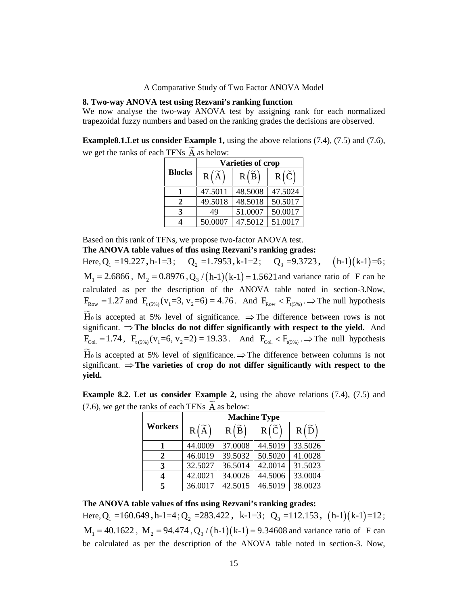## **8. Two-way ANOVA test using Rezvani's ranking function**

We now analyse the two-way ANOVA test by assigning rank for each normalized trapezoidal fuzzy numbers and based on the ranking grades the decisions are observed.

**Example8.1.Let us consider Example 1,** using the above relations (7.4), (7.5) and (7.6), we get the ranks of each TFNs  $\widetilde{A}$  as below:

|                  | nparative Study of Two Factor ANOVA Model                                                                                                                                                                                                               |                           |                   |
|------------------|---------------------------------------------------------------------------------------------------------------------------------------------------------------------------------------------------------------------------------------------------------|---------------------------|-------------------|
|                  |                                                                                                                                                                                                                                                         |                           |                   |
|                  | est using Rezvani's ranking function<br>wo-way ANOVA test by assigning rank for each normalized<br>ers and based on the ranking grades the decisions are observed.<br><b>sider Example 1,</b> using the above relations $(7.4)$ , $(7.5)$ and $(7.6)$ , |                           |                   |
|                  | TFNs $\widetilde{A}$ as below:                                                                                                                                                                                                                          |                           |                   |
| <b>Blocks</b>    | A)<br>R(                                                                                                                                                                                                                                                | Varieties of crop<br>R(B) | $R(\overline{C})$ |
| 1                | 47.5011                                                                                                                                                                                                                                                 | 48.5008                   | 47.5024           |
| $\boldsymbol{2}$ | 49.5018                                                                                                                                                                                                                                                 | 48.5018                   | 50.5017           |
| 3                | 49                                                                                                                                                                                                                                                      | 51.0007                   | 50.0017           |

Based on this rank of TFNs, we propose two-factor ANOVA test.

**The ANOVA table values of tfns using Rezvani's ranking grades:**<br>Here,  $Q_1 = 19.227$ ,  $h-1=3$ ;  $Q_2 = 1.7953$ ,  $k-1=2$ ;  $Q_3 = 9.3723$ ,  $(h-1)(k-1)=6$ ; A Comparative Study of Two Factor ANO<br>
8. Two-way ANOVA test using Rezvani's ranking function<br>
We now analyse the two-way ANOVA test by assigning<br>
trapezoidal fuzzy numbers and based on the ranking grades to<br>
Example 8.1. **A** Comparative Study of Two Factor ANOVA Model<br> **VA test using Rezvani's ranking function**<br>
the two-way ANOVA test by assigning rank for each normali<br>
umbers and based on the ranking grades the decisions are observed.<br> wo Factor ANOVA Model<br> **ranking function**<br>
est by assigning rank for each normalized<br>
ranking grades the decisions are observed.<br>
<br> **R** ( $\tilde{B}$ ) R ( $\tilde{C}$ )<br> **R** ( $\tilde{B}$ ) R ( $\tilde{C}$ )<br> **43.5008** 47.5024<br> **48.5008** 47 beta and the mormalized<br>
in a conserved.<br> **(1.4)**, (7.5) and (7.6),<br> **,** (h-1)(k-1)=6;<br> **e** ratio of F can be<br>
in section-3. Now,<br>
The null hypothesis<br>
tween rows is not<br> **to the vield.** And A Comparative Study of Two Factor ANOVA Model<br>
We now analyse the two-way ANOVA test by assigning rank for each normalized<br>
We now analyse the two-way ANOVA test by assigning rank for each normalized<br>
Example 8.1.Let us c calculated as per the description of the ANOVA table noted in section-3.Now, A Comparative Study of Two Factor ANOVA Model<br>We now analyse the two-way ANOVA test using Reavani's ranking function<br>range rank for each normalized with convent in the set of and the mathing grades the decisions are obser significant.  $\Rightarrow$  The blocks do not differ significantly with respect to the yield. And For soon tangive unit over why ratio of the total ogen collections are observed.<br>
Example 8.1.Let us consider Example 1, using the above relations (7.4), (7.5) and (7.6),<br>
we get the ranks of each TFNs  $\overline{A}$  as below:<br> significant.  $\Rightarrow$  The varieties of crop do not differ significantly with respect to the **yield.** caculated as per lie usestiplion of the ANOVA table<br>  $F_{\text{Row}} = 1.27$  and  $F_{\text{(SM)}} (v_1 = 3, v_2 = 6) = 4.76$ . And  $F_{\text{Row}} < F_1$ <br>
H<sub>6</sub> is accepted at 5% level of significance.  $\Rightarrow$  The different in the E<sub>Col</sub> = 1.74,  $F_{\text{(SM)}} (v$ In determining the ANOVA tante model in section-5.1x<br>
s<sub>\$6,9</sub>(v<sub>1</sub>=3, v<sub>2</sub>=6) = 4.76. And F<sub>kow</sub> < F<sub>i(5%)</sub> .⇒ The null hypoth<br>
blocks do not differ significance. ⇒ The difference between rows is<br>
blocks do not differ s **FANOVA** table intered in section-5.Now,<br> **3.** And  $F_{\text{Row}} < F_{\text{R,SW}}$ .  $\Rightarrow$  The null hypothesis<br> **c.**  $\Rightarrow$  The difference between rows is not<br> **ggnificantly with respect to the yield.** And<br>
And  $F_{\text{COA}} < F_{\text{H,SW}}$ .  $\Rightarrow$ **,** h-1 k-1 =12 ; **Example 3.2. Let us consider Example 2.** where  $\vec{F}_{\text{Cak}} = 1.74$ ,  $\vec{F}_{\text{L(SM)}} = (39.82 \times 10^{-10} \text{ m})$  and  $\vec{F}_{\text{Cak}} = 1.74$ ,  $\vec{F}_{\text{L(SM)}} = (39.82 \times 10^{-10} \text{ m})$  and  $\vec{F}_{\text{Cak}} = 1.74$ ,  $\vec{F}_{\text{CAM}} = (39.8 \times 10^{-10} \text{$ 49 51.0007 50.0017<br>
50.0007 47.5012 51.0017<br>
propose two-factor ANOVA test.<br>
The using Rezvani's ranking grades:<br>  $Q_2 = 1.7953$ ,  $k-1=2$ ;  $Q_3 = 9.3723$ ,  $(h-1)(k-1) = Q_3/(h-1)(k-1) = 1.5621$  and variance ratio of F can<br>
bion of 51.0007 50.0017<br>
47.5012 51.0017<br>
vo-factor ANOVA test.<br> **Rezvani's ranking grades:**<br>
(k-1) =1.5621 and variance ratio of F can be<br>
he ANOVA table noted in section-3.Now,<br>
76. And F<sub>Row</sub> < F<sub>uS%</sub>) => The null hypothesis<br> **7** 50.0017<br>
2 51.0017<br>
NOVA test.<br> **C<sub>3</sub>** =9.3723, (h-1)(k-1)=6;<br>
5621 and variance ratio of F can be<br>
7A table noted in section-3.Now,<br>
F<sub>kow</sub> < F<sub>i(5%)</sub> => The null hypothesis<br>
the difference between rows is not<br> **tly** 7<br>
Fundamental<br>
st.<br>
addes:<br>
.3723, (h-1)(k-1)=6;<br>
araiance ratio of F can be<br>
noted in section-3.Now,<br>  $\Rightarrow$  The null hypothesis<br>
noce between rows is not<br>
spect to the yield. And<br>
, .⇒ The null hypothesis<br>
between colum

**Example 8.2. Let us consider Example 2,** using the above relations (7.4), (7.5) and (7.6), we get the ranks of each TFNs  $\widetilde{A}$  as below:

|                  |                    |                | <b>Machine Type</b> |                |
|------------------|--------------------|----------------|---------------------|----------------|
| Workers          | $R(\widetilde{A})$ | $R(\tilde{B})$ | $R(\tilde{C})$      | $R(\tilde{D})$ |
|                  | 44.0009            | 37.0008        | 44.5019             | 33.5026        |
| $\boldsymbol{2}$ | 46.0019            | 39.5032        | 50.5020             | 41.0028        |
| 3                | 32.5027            | 36.5014        | 42.0014             | 31.5023        |
|                  | 42.0021            | 34.0026        | 44.5006             | 33.0004        |
| 5                | 36.0017            | 42.5015        | 46.5019             | 38.0023        |

### **The ANOVA table values of tfns using Rezvani's ranking grades:**

be calculated as per the description of the ANOVA table noted in section-3. Now,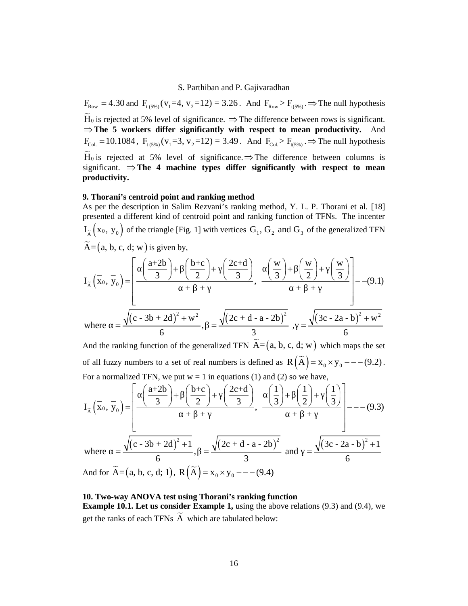S. Parthiban and P. Gajivaradhan<br>
F<sub>kow</sub> = 4.30 and F<sub>(5%)</sub> (v<sub>1</sub>=4, v<sub>2</sub>=12) = 3.26. And F<sub>kow</sub> > F<sub>(5%)</sub> .  $\Rightarrow$  The null hypothesis H<sub>0</sub> is rejected at 5% level of significance.  $\Rightarrow$  The difference between rows is signi **The 5 workers differ significantly with respect to mean productivity.** And S. Parthiban and P. Gajivaradhan<br>
F<sub>Row</sub> = 4.30 and F<sub><sub>CON</sub>( $v_1$ =4,  $v_2$ =12) = 3.26. And F<sub>Row</sub> > F<sub>n(5%)</sub> . $\Rightarrow$  The null hypothesis<br>
H<sub>0</sub> is rejected at 5% level of significance.  $\Rightarrow$  The difference between rows is sig</sub> significant.  $\Rightarrow$  The 4 machine types differ significantly with respect to mean **productivity.** S. Parthiban and P. Gajiv<br>  $F_{Row} = 4.30$  and  $F_{(5\%)}(v_1=4, v_2=12) = 3.26$ . And<br>  $\widetilde{H}_0$  is rejected at 5% level of significance.  $\Rightarrow$  The di<br>  $\Rightarrow$  The 5 workers differ significantly with respectively.<br>  $F_{Col} = 10.1084$ , S. Parthiban and P. Gajivaradhan<br>  $F_{\text{low}} = 4.30$  and  $F_{\text{low}}(v_1=4, v_2=12) = 3.26$ . And  $F_{\text{low}} = F_{\text{low}}$ . The null hypothesis<br>  $\overline{F}_{\text{low}}$  is rejected at 5% level of significance,  $\Rightarrow$  The difference between rows is s S. Parthiban and P. Gajivaradhan<br>  $cos_0 (v_1 = 4, v_2 = 12) = 3.26$ . And  $F_{Row} > F_{(259)^{-2}}$  The null hypothesis<br>
believed of significance.  $\Rightarrow$  The difference between rows is significant.<br>
differ significance,  $\Rightarrow$  The differen S. Parthiban and P. Gajivaradhan<br>  $F_{6,99} = 4.30$  and  $F_{(599)}(v_1=4, v_2=12) = 3.26$ . And  $F_{6,99} \rightarrow F_{(599)} \rightarrow F_{(599)}$  and the region of a spin lived of significance.  $\Rightarrow$  The afference between rows is significant.<br>  $F_{1,$ S. Parthiban and P. Gajivaradhan<br>
4, v<sub>2</sub>=12) = 3.26. And F<sub>Row</sub> > F<sub>i(S%)</sub> :⇒ The null hypothesis<br>
f significance. ⇒ The difference between rows is significant.<br> **significantly with respect to mean productivity.** And<br> S. Parthiban and P. Gajivaradhan<br>
and F<sub>1(55)</sub>( $v_1=4$ ,  $v_2=12$ ) = 3.26. And F<sub>80</sub>, > F<sub>1(250</sub>) :⇒ The null hypothesis<br>
dat 5% level of significance. ⇒ The difference between rows is significant.<br>
dat 5% level of signif S. Parthiban and P. Gajivaradhan<br>
d F<sub>1(5%</sub>)( $v_1=4$ ,  $v_2=12$ ) = 3.26. And F<sub>Row</sub> >  $\Rightarrow$  The null hypothesis<br>
at 5% level of significance.  $\Rightarrow$  The difference between rows is significant.<br>
rkers, dffer eignificantly with d F<sub>1086</sub> ( $v_1$ =4,  $v_2$ =12) = 3.26. And F<sub>Row</sub>> F<sub>1096</sub> .  $\Rightarrow$  The null hypothesis<br>at 5% level of significance.  $\Rightarrow$  The difference between rows is significant.<br>then s differ significantly with respect to mean productiv I. Parthiban and P. Gajivaradhan<br>  $v_2=12$ ) = 3.26. And  $F_{k_0w} > F_{u_0s_0}$ , ⇒ The null hypothesis<br>
significance. ⇒ The difference between rows is significant.<br>
significantly with respect to mean productivity. And<br>  $v_2=$ 30 and  $F_{1,0,0}(x_1=4, x_1=12) = 3.26$ . And  $F_{1,0,0}(x_1=4, x_1=12) = 3.26$ . And  $F_{1,0,0}(x_1=4, x_2=12) = 3.26$ . And  $F_{1,0,0}(x_1=3, x_2=12) = 3.49$ . The full typothesis is significant if workers differ significantly with respec

#### **9. Thorani's centroid point and ranking method**

As per the description in Salim Rezvani's ranking method, Y. L. P. Thorani et al. [18] presented a different kind of centroid point and ranking function of TFNs. The incenter

$$
F_{\text{Row}} = +3.5 \text{ u}
$$
 and  $F_{\text{G,US}}(V_1 \rightarrow V_2 - 12) = 3.26$ . And  $F_{\text{Row}} = 7 \cdot F_{\text{G,US}} = 2 \cdot F_{\text{H,US}} = 2 \cdot F_{\text{H,US}} = 2 \cdot F_{\text{H,US}} = 2 \cdot F_{\text{H,US}} = 2 \cdot F_{\text{H,US}} = 2 \cdot F_{\text{H,US}} = 2 \cdot F_{\text{H,US}} = 2 \cdot F_{\text{H,US}} = 2 \cdot F_{\text{H,US}} = 2 \cdot F_{\text{H,US}} = 2 \cdot F_{\text{H,US}} = 2 \cdot F_{\text{H,US}} = 2 \cdot F_{\text{H,US}} = 2 \cdot F_{\text{H,US}} = 2 \cdot F_{\text{H,US}} = 2 \cdot F_{\text{H,US}} = 2 \cdot F_{\text{H,US}} = 2 \cdot F_{\text{H,US}} = 2 \cdot F_{\text{H,US}} = 2 \cdot F_{\text{H,US}} = 2 \cdot F_{\text{H,US}} = 2 \cdot F_{\text{H,US}} = 2 \cdot F_{\text{H,US}} = 2 \cdot F_{\text{H,US}} = 2 \cdot F_{\text{H,US}} = 2 \cdot F_{\text{H,US}} = 2 \cdot F_{\text{H,US}} = 2 \cdot F_{\text{H,US}} = 2 \cdot F_{\text{H,US}} = 2 \cdot F_{\text{H,US}} = 2 \cdot F_{\text{H,US}} = 2 \cdot F_{\text{H,US}} = 2 \cdot F_{\text{H,US}} = 2 \cdot F_{\text{H,US}} = 2 \cdot F_{\text{H,US}} = 2 \cdot F_{\text{H,US}} = 2 \cdot F_{\text{H,US}} = 2 \cdot F_{\text{H,US}} = 2 \cdot F_{\text{H,US}} = 2 \cdot F_{\text{H,US}} = 2 \cdot F_{\text{H,US}} = 2 \cdot F_{\text{H,US}} = 2 \cdot F_{\text{H,US}} = 2 \cdot F_{\text{H,US}} = 2 \cdot F_{\text{H,US}} = 2 \cdot F_{\text{H,US}} = 2 \cdot F_{\text{H,US}} = 2 \cdot F_{\text{H,US}} = 2 \cdot F_{$ 

significant. 
$$
\Rightarrow
$$
 The 4 machine types differ significantly with respect to mean  
productivity.  
9. Thorani's centroid point and ranking method  
9. Thorani's centroid point and ranking method, Y. L. P. Thorani et al. [18]  
presented a different kind of centroid point and ranking function of TFNs. The incenter  
 $I_{\overline{X}}(\overline{x}_0, \overline{y}_0)$  of the triangle [Fig. 1] with vertices  $G_1$ ,  $G_2$  and  $G_3$  of the generalized TFN  
 $\widetilde{A}=(a, b, c, d; w)$  is given by,  
 $I_{\overline{A}}(\overline{x}_0, \overline{y}_0) = \begin{bmatrix} \frac{a+2b}{3} + \frac{b+c}{2} + \frac{2c+d}{3} \\ \frac{b+c}{3} \end{bmatrix} + \frac{b^2 + \frac{b^2}{3}}{1} + \frac{b^2 + \frac{b^2}{3}}{1} - (9.1)$   
where  $= \frac{\sqrt{(c-3b+2d)^2 + w^2}}{6}$ ,  $= \frac{\sqrt{(2c+d-a-2b)^2}}{3}$ ,  $= \frac{\sqrt{(3c-2a-b)^2 + w^2}}{6}$   
And the ranking function of the generalized TFN  $\widetilde{A}=(a, b, c, d; w)$  which maps the set  
of all fuzzy numbers to a set of real numbers is defined as R( $\widetilde{A}$ ) =  $x_0 \times y_0$ ---(9.2).  
For a normalized TFN, we put  $w = 1$  in equations (1) and (2) so we have,  
 $I_{\overline{X}}(\overline{x}_0, \overline{y}_0) = \begin{bmatrix} \frac{(a+2b)}{3} + \frac{(b+c)}{2} + \frac{(2c+d)}{3} \\ \frac{1}{3} + \frac{1}{2} + \frac{1}{1} \\ \frac{1}{3} + \frac{1}{2} + \frac{1}{1} \end{bmatrix} - -(9.3)$   
where  $= \frac{\sqrt{(c-3b+2d)^2 + 1}}{6}$ ,  $= \frac{\sqrt{(2c+d-a-2b)^2}}{3}$  and  $= \frac{\sqrt{(3c-2a-b)^2 + 1}}{6}$   
And for  $\widetilde{A}=(a, b, c, d; 1)$ ,  $R(\widetilde{A}) = x_0 \times y_0$ ---(9.4

# **10. Two-way ANOVA test using Thorani's ranking function**

**Example 10.1. Let us consider Example 1,** using the above relations (9.3) and (9.4), we get the ranks of each TFNs  $\widetilde{A}$  which are tabulated below: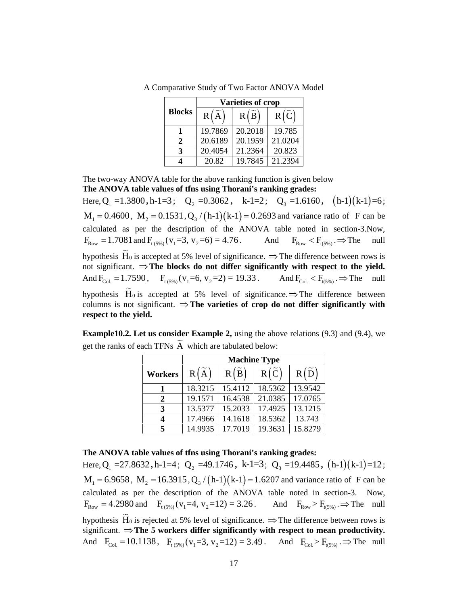|                              |                    | mparative Study of Two Factor ANOVA Model |                   |
|------------------------------|--------------------|-------------------------------------------|-------------------|
|                              |                    | Varieties of crop                         |                   |
| <b>Blocks</b>                | $R(\widetilde{A})$ | R(B)                                      | $R(\tilde{C})$    |
| $\mathbf{1}$                 | 19.7869            | 20.2018                                   | 19.785            |
| $\boldsymbol{2}$             | 20.6189            | 20.1959                                   | 21.0204           |
| 3<br>$\overline{\mathbf{4}}$ | 20.4054<br>20.82   | 21.2364<br>19.7845                        | 20.823<br>21.2394 |

A Comparative Study of Two Factor ANOVA Model

The two-way ANOVA table for the above ranking function is given below **The ANOVA table values of tfns using Thorani's ranking grades:**

A Comparative Study of Two Factor ANO<br> **Blocks** R  $\left(\overline{A}\right)$  R  $\left(\overline{B}\right)$  R  $\left(\frac{1}{2}\right)$ <br> **Blocks** R  $\left(\overline{A}\right)$  R  $\left(\overline{B}\right)$  R  $\left(\frac{1}{2}\right)$ <br> **Blocks** R  $\left(\overline{A}\right)$  R  $\left(\overline{B}\right)$  P  $\left(\overline{B}\right)$ <br> **1** 19.7869 20. **A** Comparative Study of Two Factor ANOVA Model<br> **Rivarieties of crop**<br> **Blocks** R( $\tilde{A}$ ) R( $\tilde{B}$ ) R( $\tilde{C}$ )<br> **1** 19.7869 20.2018 19.785<br> **2** 20.6189 20.1959 21.0204<br> **3** 20.4054 21.2364 20.823<br> **4** 20.82 19.7845 Five Factor ANOVA Model<br> **rieties of crop**<br>  $R(\tilde{B})$   $R(\tilde{C})$ <br>  $20.2018$   $19.785$ <br>  $20.1959$   $21.0204$ <br>  $21.2364$   $20.823$ <br>  $19.7845$   $21.2394$ <br>
making grades:<br> **,** k-1=2; Q<sub>3</sub> =1.6160, (h-1)(k-1)=6;<br>
, k-1=2; Q<sub>3</sub> =1.6 1<br> **,** (h-1)(k-1)=6;<br>
ratio of F can be<br>
in section-3.Now,<br>  $\lim_{(5\%)} \Rightarrow$  The null<br>
ce between rows is<br>
neet to the vield. A Comparative Study of Two Factor ANOVA Model<br> **Blocks** R  $(\overline{A})$  R  $(\overline{B})$  R  $(\overline{C})$ <br> **Blocks** R  $(\overline{A})$  R  $(\overline{B})$  R  $(\overline{C})$ <br> **1** 9.7869 20.2018 19.785<br> **2** 20.6189 20.1031 19.785<br> **2** 20.6189 20.1034 31.2334<br> **11** calculated as per the description of the ANOVA table noted in section-3.Now, A Comparative Study of Two Factor ANOVA Model<br> **Elocks R** ( $\hat{A}$ ) **R** ( $\hat{B}$ ) **R** ( $\hat{C}$ )<br> **Elocks R** ( $\hat{A}$ ) **R** ( $\hat{B}$ ) **R** ( $\hat{C}$ )<br> **Elocks Elocks B** ( $\hat{B}$ ) **R** ( $\hat{B}$ ) **R** ( $\hat{C}$ )<br> **Elocks** hypothesis H<sub>0</sub> is accepted at 5% level of significance.  $\Rightarrow$  The difference between rows is not significant.  $\Rightarrow$  The blocks do not differ significantly with respect to the yield. A Comparative Study of Two Factor ANOVA Model<br> **Blocks** R( $\tilde{A}$ ) R( $\tilde{B}$ ) R( $\tilde{C}$ )<br> **Blocks** R( $\tilde{B}$ ) R( $\tilde{B}$ ) R( $\tilde{C}$ )<br> **E** 19.7869 20.2018 1978 21.2364<br> **B** 2.20.6189 20.1959 21.0304<br> **B** 2.20.6189 20. hypothesis  $\widetilde{H}_0$  is accepted at 5% level of significance.  $\Rightarrow$  The difference between columns is not significant.  $\Rightarrow$  The varieties of crop do not differ significantly with **respect to the yield.** F<sub>Row</sub> = 1./081 and  $F_{(5\%)}(v_1=3, v_2=6) = 4.76$ . And<br>
hypothesis  $\tilde{H}_0$  is accepted at 5% level of significance.  $\Rightarrow$  The<br>
not significant.  $\Rightarrow$  **The blocks do not differ significantly**<br>
And F<sub>Col.</sub> = 1.7590, F<sub>1(5%)</sub> **Figstary** ( $V_1 = 3$ ,  $V_2 = 6$ ) = 4.76. And  $V_{\text{Row}} < V_{\text{R-SW}}$  = The difference between rows<br> **The blocks do not differ significantly with respect to the yie**<br>  $F_{\text{R-SW}}(V_1 = 6$ ,  $V_2 = 2) = 19.33$ . And  $F_{\text{Ca}} < F_{\text{R-S$ **.** And  $F_{\text{Row}} < F_{\text{H,SW}} > \text{The null}$ <br>
inficance.  $\Rightarrow$  The difference between rows is<br> **19.33**. And  $F_{\text{Col}} < F_{\text{H,SW}} \Rightarrow$  The null<br> **19.33**. And  $F_{\text{Col}} < F_{\text{H,SW}} \Rightarrow$  The null<br> **19.53**. And  $F_{\text{Col}} < F_{\text{H,SW}} \Rightarrow$  The null<br> **,** h-1 k-1 =12 ; 20.4054 21.2364 20.823<br>
20.82 19.7845 21.2394<br>
the above ranking function is given below<br>
the above ranking function is given below<br>
the above ranking function is given below<br>  $Q_2 = 0.3062$ , k-1=2;  $Q_3 = 1.6160$ , (h-1)(k-<sup>4</sup> 21.2364 20.823<br>
19.7845 21.2394<br>
ranking function is given below<br> **Chorani's ranking grades:**<br>
2, k-1=2; Q<sub>3</sub> =1.6160, (h-1)(k-1)=6;<br>
[k-1) = 0.2693 and variance ratio of F can be<br>
he ANOVA table noted in section-3.N <sup>4</sup> 20.823<br>
<sup>5</sup> 21.2394<br>
nction is given below<br>
ranking grades:<br>
2; Q<sub>3</sub> = 1.6160, (h-1)(k-1)=6;<br>
693 and variance ratio of F can be<br>
<sup>7</sup>A table noted in section-3.Now,<br>
And F<sub>kow</sub> < F<sub>i(5%)</sub> .⇒ The null<br>
a. ⇒ The differ i<br>
i<br>
i (1.6160, (h-1)(k-1)=6;<br>
ariance ratio of F can be<br>
noted in section-3.Now,<br>  $R_{\text{low}} < F_{(5\%)}$ .  $\Rightarrow$  The null<br>
difference between rows is<br> **iith respect to the yield.**<br>
F<sub>CoL</sub> < F<sub>(5%)</sub>,  $\Rightarrow$  The null<br>
The differen

**Example10.2. Let us consider Example 2,** using the above relations (9.3) and (9.4), we get the ranks of each TFNs  $\widetilde{A}$  which are tabulated below:

|                             | <b>Machine Type</b> |                |                |                |  |
|-----------------------------|---------------------|----------------|----------------|----------------|--|
| Workers                     | R(A)                | $R(\tilde{B})$ | $R(\tilde{C})$ | $R(\tilde{D})$ |  |
|                             | 18.3215             | 15.4112        | 18.5362        | 13.9542        |  |
| $\mathcal{D}_{\mathcal{L}}$ | 19.1571             | 16.4538        | 21.0385        | 17.0765        |  |
| 3                           | 13.5377             | 15.2033        | 17.4925        | 13.1215        |  |
|                             | 17.4966             | 14.1618        | 18.5362        | 13.743         |  |
|                             | 14.9935             | 17.7019        | 19.3631        | 15.8279        |  |

**The ANOVA table values of tfns using Thorani's ranking grades:**

My forest Hois accepted at 5% level of significance.  $\Rightarrow$  The difference between rows is not significant.  $\Rightarrow$  The blocks do not differ significante,  $\frac{1}{2}$  and  $F_{tot} < F_{t, SMB}$ ,  $\Rightarrow$  The null hypothesis  $\vec{H}_0$  is acce calculated as per the description of the ANOVA table noted in section-3. Now, From the symple of the sign of the significance  $\Rightarrow$  The difference between<br>pypofiesis  $\overline{H}_0$  is  $\cos(\cos \theta)$  and  $\cos(\theta)$  is  $\cos(\theta)$  and  $\cos(\theta)$  and  $\cos(\theta)$  and  $\cos(\theta)$  is not significant.  $\Rightarrow$  The urieties of crop do not hypothesis  $\widetilde{H}_0$  is rejected at 5% level of significance.  $\Rightarrow$  The difference between rows is significant.  $\Rightarrow$  The 5 workers differ significantly with respect to mean productivity. Example 10.2. Let us consider Example 2, using the above relations (9.3) and (9.4), we<br>get the ranks of cost IFNs  $\vec{A}$  which are tabulated below:<br>
Morkins Type<br>
Workers  $R(\vec{A})$   $R(\vec{B})$   $R(\vec{C})$   $R(\vec{D})$ <br>
1 8.3215 154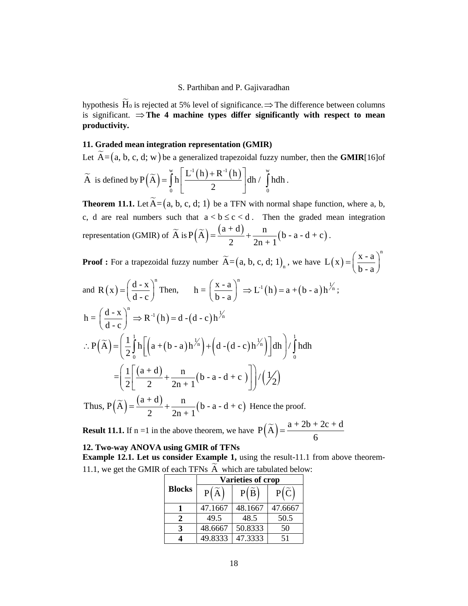hypothesis  $\widetilde{H}_0$  is rejected at 5% level of significance.  $\Rightarrow$  The difference between columns is significant.  $\Rightarrow$  The 4 machine types differ significantly with respect to mean **productivity.**

# **11. Graded mean integration representation (GMIR)**

S. Parthiban and P. Gajivaradhan<br>hypothesis  $\widetilde{H}_0$  is rejected at 5% level of significance.  $\Rightarrow$  The difference between columns<br>is significant.  $\Rightarrow$  The 4 machine types differ significantly with respect to mean<br>produc  $\widetilde{A}$  is defined by  $P(\widetilde{A}) = \int_0^{\infty} h \left| \frac{L^1(h) + R^{-1}(h)}{2} \right| dh / \int_0^{\infty} h dh$ . S. Parthiban and P. Gajivaradhan<br>at 5% level of significance.  $\Rightarrow$  The difference between columns<br>**machine types differ significantly with respect to mean**<br>**ation representation (GMIR)**<br>a generalized trapezoidal fuzzy num S. Parthiban and P. Gajivaradhan<br>at 5% level of significance.  $\Rightarrow$  The difference between<br>**machine types differ significantly with respect**<br>**ation representation (GMIR)**<br>a generalized trapezoidal fuzzy number, then the **G** 2  $\frac{1}{2}$ 3. Parthiban and P. Gajivaradhan<br>5% level of significance.  $\Rightarrow$  The difference between columns<br>achine types differ significantly with respect to mean<br>n representation (GMIR)<br>generalized trapezoidal fuzzy number, then the

Parthiban and P. Gajivaradhan<br>
% level of significance.  $\Rightarrow$  The difference between column<br>
thine types differ significantly with respect to mea<br>
representation (GMIR)<br>
neralized trapezoidal fuzzy number, then the GMIR[16 S. Parthiban and P. Gajivaradhan<br>
rejected at 5% level of significance.  $\Rightarrow$  The difference between columns<br>  $\Rightarrow$  The 4 machine types differ significantly with respect to mean<br>
n integration representation (GMIR)<br>
d; w) b S. Parthiban and P. Gajivaradhan<br>
is significant.  $\Rightarrow$  The 4 machine types differ significance.  $\Rightarrow$  The difference between columns<br>
productivity.<br>
11. Graded mean integration representation (GMIR)<br>
Let  $\overline{A} = \{a, b, c, d;$ S. Parthiban and P. Gajivaradhan<br>
is significant.  $\Rightarrow$  The 4 machine types differ significantly with respect to mean<br>
productivity.<br>
11. Graded mean integration representation (GMIR)<br>
Let  $\tilde{\Lambda} = (a, b, c, d; w)$  be a general representation (GMIR) of  $\widetilde{A}$  is  $P(\widetilde{A}) = \frac{(a+d)}{2} + \frac{n}{2(n+1)}(b-a-d+c)$ . Parthiban and P. Gajivaradhan<br>
level of significance. ⇒ The difference between columns<br> **hine types differ significantly with respect to mean**<br> **representation (GMIR)**<br>  $\left[\frac{e^x(t_0) + R^{-1}(h)}{2}\right]$  dh /  $\int_0^{\pi} h dh$ .<br>  $\left[\$ d P. Gajivaradhan<br>
mificance.  $\Rightarrow$  The difference between columns<br>
differ significantly with respect to mean<br>
ion (GMIR)<br>
pezoidal fuzzy number, then the GMIR[16]of<br>
(h)  $\frac{1}{0}$ dh /  $\int_{0}^{x}$ hdh.<br>
TFN with normal shape S. Parthiban and P. Gajivaradhan<br>
hypothesis  $\overline{H}_0$  is rejected at 5% level of significance  $\Rightarrow$  The difference between columns<br>
is significant,  $\Rightarrow$  The 4 machine types differ significantly with respect to mean<br> **prod** between columns<br>respect to mean<br>the GMIR[16]of<br>cition, where a, b,<br>mean integration<br>).<br> $L(x) = \left(\frac{x-a}{b-a}\right)^n$ en columns<br> **IXIIR**[16]of<br>
Where a, b,<br>
integration<br>  $=\left(\frac{x-a}{b-a}\right)^n$ 

 $\mathbf{b}$  - a  $\mathbf{d}$ 

S. Parthiban and P. Gajivarahan  
\nhypothesis 
$$
\tilde{H}_0
$$
 is rejected at 5% level of significance. ⇒ The difference between columns  
\nis significant. ⇒ The 4 machine types differ significantly with respect to mean  
\nproductivity.  
\n11. Graded mean integration representation (GMIR)  
\nLet  $\tilde{A}=(a, b, c, d; w)$  be a generalized trapezoidal fuzzy number, then the GMIR[16]of  
\n $\tilde{A}$  is defined by  $P(\tilde{A}) = \int_0^{\tilde{A}} \left[ \frac{\tilde{L}^{\perp}(\ln) + R^{\perp}(\ln)}{2} \right] dh / \int_0^{\tilde{B}} h dh$ .  
\nTheorem 11.1. Let  $\tilde{A}=(a, b, c, d; 1)$  be a TFN with normal shape function, where a, b,  
\nc, d are real numbers such that  $a < b \le c < d$ . Then the graded mean integration  
\nrepresentation (GMIR) of  $\tilde{A}$  is  $P(\tilde{A}) = \frac{(a+d)}{a} + \frac{1}{2n+1}(b-a-d+c)$ .  
\nProof : For a trapezoidal fuzzy number  $\tilde{A} = (a, b, c, d; 1)_a$ , we have  $L(x) = \left(\frac{x-a}{b-a}\right)^n$   
\nand  $R(x) = \left(\frac{d-x}{d-c}\right)^n$  Then,  $h = \left(\frac{x-a}{b-a}\right)^n \Rightarrow L^{-1}(h) = a + (b-a)h^{\frac{1}{2}k}$ ;  
\n $h = \left(\frac{d-x}{d-c}\right)^n \Rightarrow R^{-1}(h) = d - (d - c)h^{\frac{1}{2}k}$   
\n $\therefore P(\tilde{A}) = \left(\frac{1}{2} \int_0^1 \ln \left( a + (b-a)h^{1/6} \right) + \left(d - (d - c)h^{1/6} \right) \right] dh \right) / \int_0^1 h dh$   
\n $= \left(\frac{1}{2} \left[\frac{(a+d)}{2} + \frac{1}{2n+1}(b-a-d+c)\right] / (\frac{1}{2})$   
\nThus,  $P(\overline{A}) = \left(\frac{1}{2} \int_0^1 \ln \left( a + (b-a)h^{1/6} \right) + \left(d - (d - c)h^{1/6} \right) \right] dh \right) / \$ 

**Result 11.1.** If n =1 in the above theorem, we have  $P(\widetilde{A}) = \frac{a + 2b + 2c + d}{6}$ 

# **12. Two-way ANOVA using GMIR of TFNs**

**Example 12.1. Let us consider Example 1,** using the result-11.1 from above theorem- 11.1, we get the GMIR of each TFNs  $\widetilde{A}$  which are tabulated below:

|               |                    | <b>Varieties of crop</b> |                |
|---------------|--------------------|--------------------------|----------------|
| <b>Blocks</b> | $P(\widetilde{A})$ | $P(\widetilde{B})$       | $P(\tilde{C})$ |
|               | 47.1667            | 48.1667                  | 47.6667        |
| 2             | 49.5               | 48.5                     | 50.5           |
| 3             | 48.6667            | 50.8333                  | 50             |
|               | 49.8333            | 47.3333                  | 51             |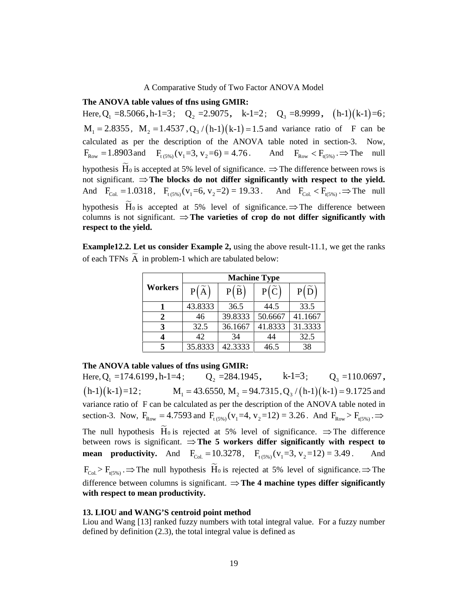**The ANOVA table values of tfns using GMIR:**

A Comparative Study of Two Factor ANO<br> **The ANOVA table values of ths using GMIR:**<br>
Here,  $Q_1 = 8.5066$ ,  $h-1=3$ ;  $Q_2 = 2.9075$ ,  $k-1=2$ ;  $Q_3$ <br>  $M_1 = 2.8355$ ,  $M_2 = 1.4537$ ,  $Q_3/(h-1)(k-1) = 1.5$  and va<br>
calculated as per A Comparative Study of Two Factor ANOVA Model<br> **e values of ths using GMIR:**<br>
,h-1=3; Q<sub>2</sub>=2.9075, k-1=2; Q<sub>3</sub>=8.9999, (h-1)(k-1)<br>  $\frac{1}{2}$ =1.4537, Q<sub>3</sub> (h-1)(k-1)=1.5 and variance ratio of F car<br>
the description of the Two Factor ANOVA Model<br> **MIR:**<br>
, k-1=2; Q<sub>3</sub> =8.9999, (h-1)(k-1)=6;<br>
k-1) =1.5 and variance ratio of F can be<br>
ANOVA table noted in section-3. Now,<br>
4.76. And F<sub>Row</sub> < F<sub>(5%)</sub> .⇒ The null<br>
gnificance. ⇒ The difference b 1<br> **,**  $(h-1)(k-1)=6$ ;<br>
tio of F can be<br>
section-3. Now,<br>  $F_{t(5\%)} \Rightarrow$  The null<br>
ce between rows is<br>
nect to the vield. A Comparative Study of Two Factor ANOVA Model<br>
The ANOVA table values of this using GMIR:<br>
Here, Q<sub>1</sub> =8.5066, h-1=3; Q<sub>2</sub> =2.9075, k-1=2; Q<sub>3</sub> =8.9999, (h-1)(k-1)=6;<br>
M<sub>1</sub> = 2.8355, M<sub>2</sub> = 1.4537, Q<sub>3</sub> / (h-1)(k-1) = 1.5 calculated as per the description of the ANOVA table noted in section-3. Now, A Comparative Study of Two Factor ANOVA Model<br> **The ANOVA table values of this using GMIR:**<br>
Here,  $Q_1 = 8.5066$ , h-1=3;  $Q_2 = 2.9075$ , k-1=2;  $Q_3 = 8.9999$ , (h-1)(k-1)=6;<br>  $M_1 = 2.8355$ ,  $M_2 = 1.4537$ ,  $Q_2/(h-1)(k-1) = 1.5$ hypothesis  $\widetilde{H}_0$  is accepted at 5% level of significance.  $\Rightarrow$  The difference between rows is not significant.  $\Rightarrow$  The blocks do not differ significantly with respect to the yield. A Comparative Study of Two Factor ANOVA Model<br>
The ANOVA table values of this using GMIR:<br>
Here,  $Q_1 = 8.5066$ , h-1=3;  $Q_2 = 2.9075$ , k-1=2;  $Q_3 = 8.9999$ , (h-1)(k-1)=6;<br>  $M_1 = 2.8355$ ,  $M_2 = 1.4537$ ,  $Q_2/(h_11)(k_1) = 1.5$ hypothesis  $\widetilde{H}_0$  is accepted at 5% level of significance.  $\Rightarrow$  The difference between columns is not significant.  $\Rightarrow$  The varieties of crop do not differ significantly with **respect to the yield.** F<sub>Row</sub> = 1.8903 and F<sub>(SW)</sub>( $v_1$ =3,  $v_2$ =6) = 4.76. And I<br>hypothesis Ho is accepted at 5% level of significance.  $\Rightarrow$  The contributions:  $\Rightarrow$  The blocks do not differ significantly w<br>And F<sub>Col</sub> = 1.0318, F<sub>(SW)</sub>( $v_1$ =6 F<sub>1(5%)</sub>( $v_1$ =3,  $v_2$ =6) = 4.76. And F<sub>kow</sub>  $\in$  F<sub>1(5%)</sub> => The null<br>phed at 5% level of significance.  $\Rightarrow$  The difference between rows is<br>the blocks do not differ significantly with respect to the yield.<br>F<sub>1(5%)</sub>( $v_1$ And  $F_{Row} < F_{(f5W_0)} \Rightarrow$  The null<br>  $e. \Rightarrow$  The difference between rows is<br> **ificantly with respect to the yield.**<br>
And  $F_{COL} < F_{i(f5W_0)} \Rightarrow$  The null<br>
ificance.  $\Rightarrow$  The difference between<br>
op do not differ significantly with<br> e Study of Two Factor ANOVA Model<br> **Ins using GMIR:**<br>  $P_2 = 2.9075$ , k-1=2;  $Q_3 = 8.9999$ ,  $(h-1)(k-1) =$ <br>  $Q_3/(h-1)(k-1) = 1.5$  and variance ratio of F can<br>
ion of the ANOVA table noted in section-3. No<br>  $3, v_2=6$ ) = 4.76. An Two Factor ANOVA Model<br> **EMIR:**<br>
5, k-1=2; Q<sub>3</sub> =8.9999, (h-1)(k-1)=6;<br>
(k-1) = 1.5 and variance ratio of F can be<br>
ANOVA table noted in section-3. Now,<br>
= 4.76. And  $F_{Row} < F_{(S\%)} \Rightarrow$  The null<br>
ignificance.  $\Rightarrow$  The differ or ANOVA Model<br>
2:  $Q_3 = 8.9999$ , (h-1)(k-1)=6;<br>
siand variance ratio of F can be<br>
table noted in section-3. Now,<br>
And  $F_{\text{Row}} < F_{(S\%)} \Rightarrow$  The null<br>
2: ⇒ The difference between rows is<br>
ficantly with respect to the yield A Model<br>
3.9999, (h-1)(k-1)=6;<br>
nnce ratio of F can be<br>
ted in section-3. Now,<br>  $F_{\text{Row}}^T < F_{\text{t(s$)}}$ .  $\Rightarrow$  The null<br>
difference between rows is<br> **ith respect to the yield.**<br>  $F_{\text{col}} < F_{\text{t(s$)}}$ .  $\Rightarrow$  The null<br>
The differ

**Example12.2. Let us consider Example 2,** using the above result-11.1, we get the ranks of each TFNs  $\widetilde{A}$  in problem-1 which are tabulated below:

|         | <b>Machine Type</b> |                |                |                    |
|---------|---------------------|----------------|----------------|--------------------|
| Workers | P(A)                | $P(\tilde{B})$ | $P(\tilde{C})$ | $P(\widetilde{D})$ |
|         | 43.8333             | 36.5           | 44.5           | 33.5               |
|         | 46                  | 39.8333        | 50.6667        | 41.1667            |
| 3       | 32.5                | 36.1667        | 41.8333        | 31.3333            |
|         | 42                  | 34             | 44             | 32.5               |
|         | 35.8333             | 42.3333        | 46.5           | 38                 |

**The ANOVA table values of tfns using GMIR:**

Here, Q<sub>1</sub> = 174.6199, h-1=4;  $Q_2$  = 284.1945, k-1=3;  $Q_3$  = 110.0697, my policies: His is accepted at 5% level of significance.  $\Rightarrow$  The difference between rows is  $F_{\text{L,1}} = 1.0318$ ,  $F_{\text{L,105}}(v_1 = 6$ ,  $v_2 = 2) = 19.33$ . And  $F_{\text{L,2}} < F_{\text{L,105}}$ ,  $\Rightarrow$  The multipology and  $F_{\text{L,2}} = F$ variance ratio of F can be calculated as per the description of the ANOVA table noted in And  $P_{\text{train}} = 1.0318$ ,  $P_{\text{top},1} (V_1 = 0, V_2 = 2/3 = 19.33$ . And  $P_{\text{test}} \times P_{\text{top},1} \Rightarrow P_{\text{II}}$  and  $P_{\text{test}} \times P_{\text{top},2} \Rightarrow P_{\text{II}}$  and  $P_{\text{test}} \Rightarrow P_{\text{test}}$  of a spintarion,  $\Rightarrow$  The varieties of crop do not differ significantly The null hypothesis  $\tilde{H}_0$  is rejected at 5% level of significance.  $\Rightarrow$  The difference between rows is significant.  $\Rightarrow$  The 5 workers differ significantly with respect to **Example 12.2.** Let us consider Example 2, using the above result-11.1, we get the ranks<br>
of each TFNs  $\overline{A}$  in problem-1 which are tabulated below:<br> **Machine Type**<br> **Morkers**  $\overline{P(\overline{A})}$   $\overline{P(\overline{B})}$   $\overline{P(\overline{C})$ **Example 12.2.** Let us consider Example 2, using the above result-11.1, we get the ranks<br>
of each TFNs  $\vec{A}$  in problem-1 which are tabulated below:<br> **EVOLE 18.4.1.1.1.** The null hypothesis However at  $\vec{B}$  is  $\vec{B}$ difference between columns is significant.  $\Rightarrow$  The 4 machine types differ significantly **with respect to mean productivity.**

#### **13. LIOU and WANG'S centroid point method**

Liou and Wang [13] ranked fuzzy numbers with total integral value. For a fuzzy number defined by definition (2.3), the total integral value is defined as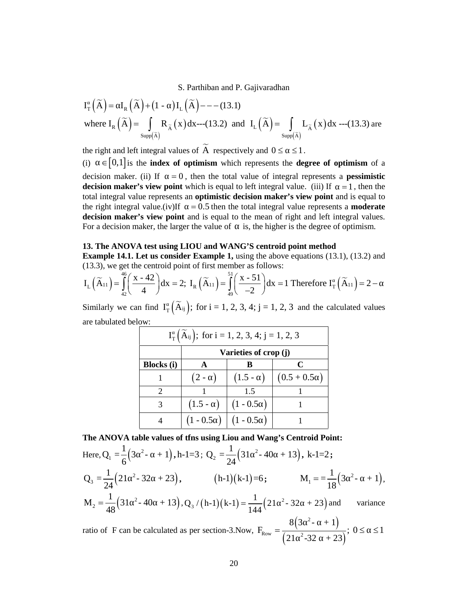S. Parthiban and P. Gajivaradhan  
\n
$$
I_{T}(\widetilde{A}) = I_{R}(\widetilde{A}) + (1 - )I_{L}(\widetilde{A}) - - (13.1)
$$
\nwhere  $I_{R}(\widetilde{A}) = \int_{\text{Supp}(\widetilde{A})} R_{\widetilde{A}}(x) dx$ ---(13.2) and  $I_{L}(\widetilde{A}) = \int_{\text{Supp}(\widetilde{A})} L_{\widetilde{A}}(x) dx$ ---(13.3) are  
\nthe right and left integral values of  $\widetilde{A}$  respectively and  $0 \leq \leq 1$ .  
\n(i)  $\in [0,1]$  is the **index of optimism** which represents the **degree of optimism** of a decision maker. (ii) If  $-0$ , then the total value of integral represents a **positive**.

S. Parthiban and P. Gajivaradhan<br>  $I_{\rm T}(\widetilde{A}) = I_{\rm R}(\widetilde{A}) + (1 - )I_{\rm L}(\widetilde{A}) - - - (13.1)$ <br>
where  $I_{\rm R}(\widetilde{A}) = \int_{\text{Supp}(\widetilde{A})} R_{\widetilde{A}}(x) dx$  ---(13.2) and  $I_{\rm L}(\widetilde{A}) = \int_{\text{Supp}(\widetilde{A})} L_{\widetilde{A}}(x) dx$  ---(13.3) are<br> S. Parthiban and P. Gajivaradhan<br>  $I_{\tau}(\overline{A}) = I_{\tilde{R}}(\overline{A}) + (1 - )I_{\tilde{L}}(\overline{A}) - - - (13.1)$ <br>
where  $I_{\tilde{R}}(\overline{A}) = \int_{\text{supp}(\overline{A})} R_{\tilde{X}}(x)dx - -(13.2)$  and  $I_{\tilde{L}}(\overline{A}) = \int_{\text{supp}(\overline{A})} L_{\tilde{X}}(x)dx - (13.3)$  are<br>
the ri S. Parthiban and P. Gajivaradhan<br>  $I_{\tau}(\tilde{A}) = I_{\kappa}(\tilde{A}) + (1 - )I_{\iota}(\tilde{A}) = -(13.1)$ <br>
where  $I_{\kappa}(\tilde{A}) = \int_{\text{sup}(\tilde{A})} R_{\tilde{A}}(x) dx$  ...(13.2) and  $I_{\iota}(\tilde{A}) = \int_{\text{sup}(\tilde{A})} L_{\tilde{A}}(x) dx$  ...(13.3) are<br>
the right an **decision maker's view point and is equal to left integral values.**<br>**Example 14.** ( $\overline{A}$ ) =  $\overline{A}$ ,  $\overline{A}$  ( $\overline{A}$ ) decays  $\overline{A}$ ,  $\overline{A}$  ( $\overline{A}$ )  $\overline{A}$ ,  $\overline{A}$  ( $\overline{A}$ )  $\overline{A}$ ,  $\overline{A}$  ( $\overline{A}$ ) total integral value represents an **optimistic decision maker's view point** and is equal to **Example 1**  $\mathbf{I}_R(\widetilde{\mathbf{A}}) = \mathbf{I}_R(\widetilde{\mathbf{A}}) + (1 - \mathbf{I}_L(\widetilde{\mathbf{A}}) = -(-13.1)$ <br>where  $\mathbf{I}_R(\widetilde{\mathbf{A}}) = \int_{\text{Supp}(\widetilde{\mathbf{A}})} \mathbf{R}_{\overline{\mathbf{A}}}(\mathbf{x}) d\mathbf{x} - (-13.2)$  and  $\mathbf{I}_L(\widetilde{\mathbf{A}}) = \int_{\text{Supp}(\widetilde{\mathbf{A}})} \mathbf{L}_{\overline{\mathbf{A$ **decision maker's view point** and is equal to the mean of right and left integral values. For a decision maker, the larger the value of is, the higher is the degree of optimism. d left integral values of  $\tilde{A}$  respectively and  $0 \leq \leq 1$ .<br>
l] is the **index of optimism** which represents the **degre**<br>
aker. (ii) If = 0, then the total value of integral repr<br>
aker's **view point** which is equal to  $\in$  [0,1] is the **index of optimism** which represents the **de**<br>ecision maker. (ii) If = 0, then the total value of integral re<br>**ecision maker's view point** which is equal to left integral value.<br>total integral value re and the metal of optimism which represents the degree<br>aker. (ii) If = 0, then the total value of integral represents the degree<br>aker's view point which is equal to left integral value. (i)<br>al value represents an **optimist** S. Parthiban and P. Gajivaradhan<br>  $I_{\rm T}(\overline{A}) = I_{\rm R}(\overline{A}) + (1 - )I_{\rm L}(\overline{A}) - - - (13.1)$ <br>
where  $I_{\rm R}(\overline{A}) = \int_{\rm S_{\rm SFR}(\overline{A})} R_{\rm R}(\mathbf{x}) d\mathbf{x}$   $-(13.2)$  and  $I_{\rm T}(\overline{A}) = \int_{\rm S_{\rm SFR}(\overline{A})} L_{\rm R}(\mathbf{x}) d\mathbf{x}$   $-(13.3)$  S. Parthiban and P. Gajivaradhan<br>  $]+(1 - )I_L(\tilde{A}) = -(13.1)$ <br>  $\int_{supp(\tilde{A})} R_{\tilde{A}}(x) dx---(13.2)$  and  $I_L(\tilde{A}) = \int_{supp(\tilde{A})} L_{\tilde{A}}(x) dx---(13.3)$  are<br>
integral values of  $\tilde{A}$  respectively and  $0 \le \le 1$ .<br>
integral values of S. Parthiban and P. Gajivaradhan<br>  $I_R(\overline{A}) + (1 - 1)I_L(\overline{A}) = --(13.1)$ <br>  $(\widetilde{A}) = \int_{S_{\text{top}}(A)} R_{\overline{A}}(x) dx - (13.2)$  and  $I_L(\widetilde{A}) = \int_{S_{\text{top}}(A)} L_{\overline{A}}(x) dx - (13.3)$  are<br>
and Eti integral values of  $\overline{A}$  respectively and  $0$ S. Parthiban and P. Gajivaradhan<br>  $\int_R (\widetilde{A}) + (1 - 1)I_L (\widetilde{A}) = -(3.1)$ <br>  $\widetilde{A} = \int_{\text{exp}(A)} R_{\lambda}(x) dx - (13.2)$  and  $I_L (\widetilde{A}) = \int_{\text{exp}(A)} L_{\lambda}(x) dx - (13.3)$  are<br>
let  $\text{int integral}$   $\text{log}(A)$  and  $\text{log}(A) = (1, 1)$ <br>  $\text{log}(A) = (1, 1)$  and  $\$ S. Parthiban and P. Gajivaradhan<br>  $I_r(\overline{A}) = I_s(\overline{A}) + (1 - )I_t(\overline{A}) = -(13.1)$ <br>
where  $I_s(\overline{A}) = \int_{S_{\text{sup}}(\overline{A})} R_{\overline{A}}(x) dx$   $-(13.2)$  and  $I_c(\overline{A}) = \int_{S_{\text{sup}}(\overline{A})} L_{\overline{A}}(x) dx$   $-(13.3)$  are<br>
the right and leli integral val  $\mathcal{F}_2(x)$ <br>  $\mathcal{F}_3(x) dx$  and  $I_L(\overline{A}) = \int_{Sapp(\overline{A})} L_{\overline{A}}(x) dx$  ---(13.3) are<br>
values of  $\overline{A}$  respectively and  $0 \leq 1$ .<br> **of optimism** which represents the **degree of optimism** of a<br>  $= 0$ , then the total value of

#### **13. The ANOVA test using LIOU and WANG'S centroid point method**

$$
I_{L}(\widetilde{A}_{11}) = \int_{42}^{46} \left(\frac{x - 42}{4}\right) dx = 2; I_{R}(\widetilde{A}_{11}) = \int_{49}^{51} \left(\frac{x - 51}{-2}\right) dx = 1 \text{ Therefore } I_{T}(\widetilde{A}_{11}) = 2 -
$$

| (13.3), we get the centroid point of first member as follows: |                   |                         |                                                                   | 13. The ANOVA test using LIOU and WANG'S centroid point method                                                                                                                                            | <b>Example 14.1. Let us consider Example 1,</b> using the above equations $(13.1)$ , $(13.2)$ and             |  |
|---------------------------------------------------------------|-------------------|-------------------------|-------------------------------------------------------------------|-----------------------------------------------------------------------------------------------------------------------------------------------------------------------------------------------------------|---------------------------------------------------------------------------------------------------------------|--|
|                                                               |                   |                         |                                                                   | $I_{L}(\widetilde{A}_{11}) = \int_{L}^{46} \left(\frac{x-42}{4}\right) dx = 2; I_{R}(\widetilde{A}_{11}) = \int_{L}^{51} \left(\frac{x-51}{-2}\right) dx = 1$ Therefore $I_{T}(\widetilde{A}_{11}) = 2 -$ |                                                                                                               |  |
|                                                               |                   |                         |                                                                   |                                                                                                                                                                                                           | Similarly we can find $I_T(\tilde{A}_{ij})$ ; for $i = 1, 2, 3, 4$ ; $j = 1, 2, 3$ and the calculated values  |  |
| are tabulated below:                                          |                   |                         |                                                                   |                                                                                                                                                                                                           |                                                                                                               |  |
|                                                               |                   |                         | $I_{\rm T}(\widetilde{A}_{ij})$ ; for i = 1, 2, 3, 4; j = 1, 2, 3 |                                                                                                                                                                                                           |                                                                                                               |  |
|                                                               |                   |                         | Varieties of crop (j)                                             |                                                                                                                                                                                                           |                                                                                                               |  |
|                                                               | <b>Blocks</b> (i) | $\mathbf{A}$            | B                                                                 | $\mathbf C$                                                                                                                                                                                               |                                                                                                               |  |
|                                                               | 1                 | $(2 - )$                | $(1.5 - )$                                                        | $(0.5 + 0.5)$                                                                                                                                                                                             |                                                                                                               |  |
|                                                               | $\overline{2}$    |                         | 1.5                                                               |                                                                                                                                                                                                           |                                                                                                               |  |
|                                                               | 3 <sup>7</sup>    |                         | $(1.5 - )   (1 - 0.5)$                                            | $\mathbf{1}$                                                                                                                                                                                              |                                                                                                               |  |
|                                                               | $\overline{4}$    | $(1 - 0.5)   (1 - 0.5)$ |                                                                   | 1                                                                                                                                                                                                         |                                                                                                               |  |
|                                                               |                   |                         |                                                                   | The ANOVA table values of tfns using Liou and Wang's Centroid Point:                                                                                                                                      |                                                                                                               |  |
|                                                               |                   |                         |                                                                   | Here, Q <sub>1</sub> = $\frac{1}{6}$ (3 <sup>2</sup> - +1), h-1=3; Q <sub>2</sub> = $\frac{1}{24}$ (31 <sup>2</sup> - 40 + 13), k-1=2;                                                                    |                                                                                                               |  |
|                                                               |                   |                         |                                                                   |                                                                                                                                                                                                           | $Q_3 = \frac{1}{24}(21^{-2}-32 + 23),$ (h-1)(k-1)=6; $M_1 = \frac{1}{18}(3^{-2}-+1),$                         |  |
|                                                               |                   |                         |                                                                   | $M_2 = \frac{1}{48} (31^{-2} - 40 + 13), Q_3/(h-1)(k-1) = \frac{1}{144} (21^{-2} - 32 + 23)$ and                                                                                                          | variance                                                                                                      |  |
|                                                               |                   |                         |                                                                   |                                                                                                                                                                                                           | ratio of F can be calculated as per section-3. Now, $F_{Row} = \frac{8(3^{2}-1)}{(21^{2}-32+23)}$ ; $0 \le 1$ |  |
|                                                               |                   |                         | 20                                                                |                                                                                                                                                                                                           |                                                                                                               |  |
|                                                               |                   |                         |                                                                   |                                                                                                                                                                                                           |                                                                                                               |  |

Example 14.1. Let us consider Example 1, using the above equations (13.1), (13.2) and  
\n(13.3), we get the centroid point of first member as follows:  
\n
$$
I_L(\tilde{A}_{11}) = \int_{\frac{1}{2}}^{\frac{1}{2}} \left( \frac{X - 42}{4} \right) dx = 2; I_R(\tilde{A}_{11}) = \int_{\frac{1}{2}}^{\frac{1}{2}} \left( \frac{X - 51}{-2} \right) dx = 1
$$
 Therefore  $I_T(\tilde{A}_{11}) = 2 -$   
\nSimilarly we can find  $I_T(\tilde{A}_{10})$ ; for  $i = 1, 2, 3, 4; j = 1, 2, 3$  and the calculated values  
\nare tabulated below:  
\n $I_T(\tilde{A}_{10})$ ; for  $i = 1, 2, 3, 4; j = 1, 2, 3$   
\n**varieties (i)** A B C  
\n1 (2 - ) (1.5 - ) (0.5 + 0.5 )  
\n1 (2 - ) (1.5 - ) (0.5 + 0.5 )  
\n1 (1 - 0.5 ) 1  
\n4 (1 - 0.5 ) (1 - 0.5 ) 1  
\n4 (1 - 0.5 ) (1 - 0.5 )  
\nHere,  $Q_1 = \frac{1}{6} (3^{-2} - 1) , h - 1 = 3; Q_2 = \frac{1}{24} (31^{-2} - 40 + 13), k - 1 = 2;$   
\n $Q_3 = \frac{1}{24} (21^{-2} - 32 + 23),$   $(h-1)(k-1) = 6;$   $M_1 = \frac{1}{18} (3^{-2} - 1),$   
\n $M_2 = \frac{1}{48} (31^{-2} - 40 + 13), Q_3/(h-1)(k-1) = \frac{1}{144} (21^{-2} - 32 + 23)$  and variance  
\nratio of F can be calculated as per section-3. Now,  $F_{\text{Row}} = \frac{8(3^{-2} - 1)}{(21^{-2} - 32 - 72)};$   $0 \le 1$   
\n20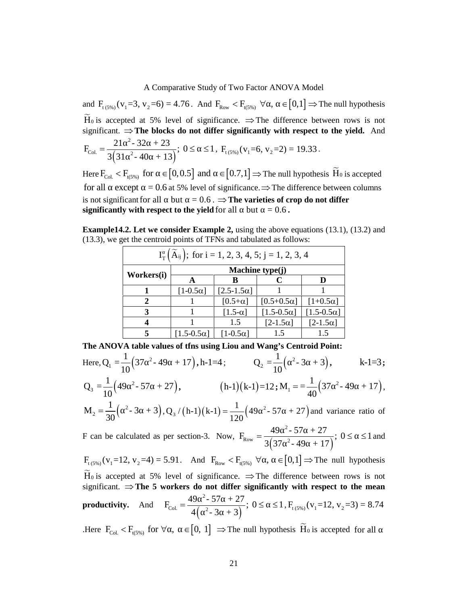A Comparative Study of Two Factor ANOVA Model<br>
and F<sub>(5%)</sub> ( $v_1$ =3,  $v_2$ =6) = 4.76. And F<sub>kow</sub>  $\lt F_{R_0}$ ,  $\lt F_{R_0}$  is accepted at 5% level of significance.  $\Rightarrow$  The difference between rows is not<br>
significant.  $\Rightarrow$  significant.  $\Rightarrow$  The blocks do not differ significantly with respect to the yield. And  $(31^2-40+13)$ 2 22  $\sqrt{2}$ Col.  $\begin{bmatrix} 2 & 2 & 2 & 4 & 1 & 2 \end{bmatrix}$ ,  $\begin{bmatrix} 0 & 2 & 3 & 1 \end{bmatrix}$ A Comparative Study of Two Factor ANOVA Model<br>
and  $F_{(6\%)}(v_1=3, v_2=6) = 4.76$ . And  $F_{Row} < F_{(6\%)} \forall$ ,  $\in [0,1] \Rightarrow$  The null hy<br>  $\widetilde{H}_0$  is accepted at 5% level of significance.  $\Rightarrow$  The difference between row<br>
signific A Comparative Study of Two Factor ANOVA Mo<br>  $S_{5\%}$  ( $v_1$ =3,  $v_2$ =6) = 4.76. And  $F_{Row} < F_{t(5\%)} \forall$ ,  $\in [0,1]$  =<br>
accepted at 5% level of significance.  $\Rightarrow$  The difference t<br>
ant.  $\Rightarrow$  The blocks do not differ significa A Comparative Study of Two Factor ANOVA Model<br>
and  $F_{t_1, y_0}$  ( $v_1 = 3$ ,  $v_2 = 6$ ) = 4.76. And  $F_{\text{low}} < F_{t_1, y_0}$   $\forall$ , =  $[0,1] \Rightarrow$  The null hypothesis<br>  $\overline{H}_0$  is accepted at 5% level of significance.  $\Rightarrow$  The di mparative Study of Two Factor ANOVA Model<br>  $S = 4.76$ . And  $F_{\text{Row}} < F_{\text{t,SW}} \forall$ ,  $\in [0,1] \Rightarrow$  The null hypothesis<br>  $S = 4.76$ . And  $F_{\text{Row}} < F_{\text{t,SW}} \forall$ ,  $\in [0,1] \Rightarrow$  The null hypothesis<br>  $1.3$ ;  $0 \leq \leq 1$ ,  $F_{\text{t,SW}}(v_1$ 

**Example14.2. Let we consider Example 2,** using the above equations (13.1), (13.2) and (13.3), we get the centroid points of TFNs and tabulated as follows:

| $F_{\text{Col.}} = \frac{21^{-2} - 32 + 23}{3(31^{-2} - 40 + 13)}$ ; $0 \le 1$ , $F_{\text{t}(5\%)}(v_1 = 6, v_2 = 2) = 19.33$ .                                          |                                                                                                    |                              |                     |                                                                   |                     |          |  |
|---------------------------------------------------------------------------------------------------------------------------------------------------------------------------|----------------------------------------------------------------------------------------------------|------------------------------|---------------------|-------------------------------------------------------------------|---------------------|----------|--|
| Here $F_{\text{col.}} < F_{\text{t(5%)}}$ for $\in [0, 0.5]$ and $\in [0.7, 1] \Rightarrow$ The null hypothesis $\widetilde{H}_0$ is accepted                             |                                                                                                    |                              |                     |                                                                   |                     |          |  |
| for all except = 0.6 at 5% level of significance. $\Rightarrow$ The difference between columns                                                                            |                                                                                                    |                              |                     |                                                                   |                     |          |  |
| is not significant for all but = $0.6$ . $\Rightarrow$ The varieties of crop do not differ                                                                                |                                                                                                    |                              |                     |                                                                   |                     |          |  |
| significantly with respect to the yield for all but $= 0.6$ .                                                                                                             |                                                                                                    |                              |                     |                                                                   |                     |          |  |
| <b>Example 14.2.</b> Let we consider Example 2, using the above equations $(13.1)$ , $(13.2)$ and<br>(13.3), we get the centroid points of TFNs and tabulated as follows: |                                                                                                    |                              |                     |                                                                   |                     |          |  |
|                                                                                                                                                                           |                                                                                                    |                              |                     | $I_T(\widetilde{A}_{ij})$ ; for i = 1, 2, 3, 4, 5; j = 1, 2, 3, 4 |                     |          |  |
|                                                                                                                                                                           | Workers(i)                                                                                         |                              |                     | Machine type(j)                                                   |                     |          |  |
|                                                                                                                                                                           |                                                                                                    | $\mathbf{A}$                 | B                   | $\mathbf C$                                                       | D                   |          |  |
|                                                                                                                                                                           | 1                                                                                                  | [ $1-0.5\alpha$ ]            | $[2.5 - 1.5\alpha]$ |                                                                   |                     |          |  |
|                                                                                                                                                                           | $\overline{2}$                                                                                     | 1                            | $[0.5+\alpha]$      | $[0.5+0.5\alpha]$                                                 | $[1+0.5\alpha]$     |          |  |
|                                                                                                                                                                           | 3                                                                                                  | 1                            | [ $1.5-\alpha$ ]    | $[1.5-0.5\alpha]$                                                 | $[1.5 - 0.5\alpha]$ |          |  |
|                                                                                                                                                                           | 4                                                                                                  | 1                            | 1.5                 | $[2-1.5\alpha]$                                                   | $[2-1.5\alpha]$     |          |  |
|                                                                                                                                                                           | 5                                                                                                  | $\left[1.5-0.5\alpha\right]$ | $[1-0.5\alpha]$     | 1.5                                                               | 1.5                 |          |  |
| The ANOVA table values of tfns using Liou and Wang's Centroid Point:                                                                                                      |                                                                                                    |                              |                     |                                                                   |                     |          |  |
| Here, $Q_1 = \frac{1}{10} (37^{-2} - 49 + 17)$ , h-1=4; $Q_2 = \frac{1}{10} (2 - 3 + 3)$ ,                                                                                |                                                                                                    |                              |                     |                                                                   |                     | $k-1=3;$ |  |
|                                                                                                                                                                           | $Q_3 = \frac{1}{10} (49^{-2} - 57 + 27),$ (h-1)(k-1)=12; $M_1 = \frac{1}{40} (37^{-2} - 49 + 17),$ |                              |                     |                                                                   |                     |          |  |
| $M_2 = \frac{1}{30}$ $\left( \begin{array}{cc} 2-3 & +3 \end{array} \right)$ , $Q_3 / (h-1) (k-1) = \frac{1}{120} (49 \tbinom{2}{3} - 57 + 27)$ and variance ratio of     |                                                                                                    |                              |                     |                                                                   |                     |          |  |
| F can be calculated as per section-3. Now, $F_{Row} = \frac{49^{2} - 57 + 27}{3(37^{2} - 49 + 17)}$ ; $0 \le 1$ and                                                       |                                                                                                    |                              |                     |                                                                   |                     |          |  |
| $F_{t(5\%)}(v_1=12, v_2=4) = 5.91$ . And $F_{Row} < F_{t(5\%)} \ \forall$ , $\in [0,1] \Rightarrow$ The null hypothesis                                                   |                                                                                                    |                              |                     |                                                                   |                     |          |  |
| $H_0$ is accepted at 5% level of significance. $\Rightarrow$ The difference between rows is not                                                                           |                                                                                                    |                              |                     |                                                                   |                     |          |  |

F<sub>ext</sub> = 
$$
\frac{21^{-2} \cdot 32 + 23}{3(31^{-2} \cdot 40 + 13)}
$$
; 0 ≤ ≤1, F<sub>1,5%0</sub> (v<sub>1</sub>=6, v<sub>2</sub>=2) = 19.33.  
\nHere F<sub>ext</sub>  $\in$  F<sub>ext</sub> = F<sub>ext</sub> = F<sub>ext</sub> = F<sub>ext</sub> = F<sub>ext</sub> = F<sub>ext</sub> = 0.6 and 5% level of significance. ⇒ The difference between columns is not significantly with respect to the yield for all but = 0.6.  
\nExample 14.2. Let we consider Example 2, using the above equations (13.1), (13.2) and (13.3), we get the centroid points of TFNs and tabulated as follows:  
\n $I_T(\tilde{A}_{ij})$ ; for i = 1, 2, 3, 4, 5; j = 1, 2, 3, 4  
\nWorkers(1)  
\n $I = \frac{110.5 \text{c}1}{10.5 \text{c}1} = \frac{12.5 \text{c}1}{10.5 \text{c}1} = \frac{12.5 \text{c}1 \cdot 15}{10.5 \text{c}1} = \frac{12.5 \text{c}1 \cdot 15}{10.5 \text{c}1} = \frac{12.5 \text{c}1 \cdot 15}{10.5 \text{c}1} = \frac{12.5 \text{c}1 \cdot 15}{10.5 \text{c}1} = \frac{12.5 \text{c}1 \cdot 15}{10.5 \text{c}1} = \frac{12.5 \text{c}1 \cdot 15}{10.5 \text{c}1} = \frac{12.5 \text{c}1 \cdot 15}{10.5 \text{c}1} = \frac{12.5 \text{c}1 \cdot 15}{10.5 \text{c}1} = \frac{12.5 \text{c}1 \cdot 15}{10.5 \text{c}1} = \frac{12.5 \text{c}1 \cdot 15}{10.5 \text{c}1} = \frac{12.5 \text{c}1 \cdot 15}{10.5 \text{c}1} = \frac{12.5 \text{c}1 \cdot 15}{10.5 \text{c}1} = \frac{12.5 \text{c}1 \cdot 1$ 

significant.  $\Rightarrow$  The 5 workers do not differ significantly with respect to the mean **productivity.** And  $F_{\text{Col.}} = \frac{12(12.6 \times 10^{-3})}{4(12.6 \times 10^{-3})}$ ;  $0 \le 1$ ,  $F_{\text{t(5%)}}(v_1 = 12, v_2 = 3) = 8.74$  $2\sqrt{57}$   $27$ Col.  $\begin{bmatrix} 2 & 2 & 3 \end{bmatrix}$ ,  $\begin{bmatrix} 0 & 2 & 3 \end{bmatrix}$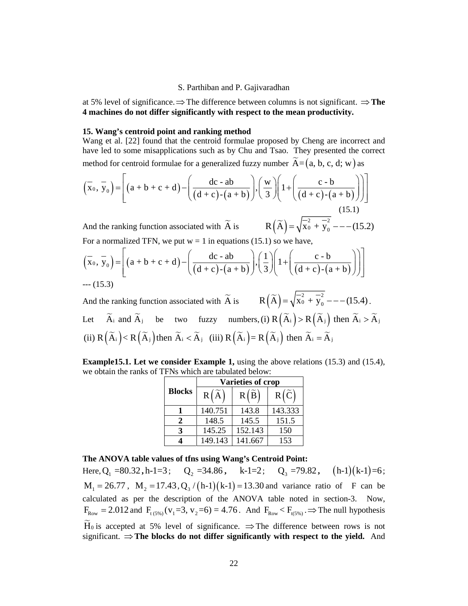at 5% level of significance.  $\Rightarrow$  The difference between columns is not significant.  $\Rightarrow$  **The 4 machines do not differ significantly with respect to the mean productivity.**

#### **15. Wang's centroid point and ranking method**

Wang et al. [22] found that the centroid formulae proposed by Cheng are incorrect and have led to some misapplications such as by Chu and Tsao. They presented the correct

S. Parthiban and P. Gajivaradhan  
at 5% level of significance. ⇒ The difference between columns is not significant. ⇒ The  
**4 machines do not differ significantly with respect to the mean productivity.**  
15. Wang's centroid point and ranking method  
Wang et al. [22] found that the centroid formulae proposed by Cheng are incorrect and  
have led to some misapplications such as by Chu and Tsao. They presented the correct  
method for centroid formulae for a generalized fuzzy number 
$$
\tilde{A}=(a, b, c, d; w)
$$
 as  

$$
(\bar{x}_0, \bar{y}_0) = \left[ (a + b + c + d) - \left( \frac{dc - ab}{(d + c) - (a + b)} \right), \left( \frac{w}{3} \right) \left( 1 + \left( \frac{c - b}{(d + c) - (a + b)} \right) \right) \right]
$$
(15.1)  
And the ranking function associated with  $\tilde{A}$  is 
$$
R(\tilde{A}) = \sqrt{\bar{x}_0^2 + \bar{y}_0^2} - \cdots
$$
(15.2)  
For a normalized TFN, we put w = 1 in equations (15.1) so we have,  

$$
(\bar{x}_0, \bar{y}_0) = \left[ (a + b + c + d) \left( \frac{dc - ab}{(d - ab)} \right) \left( 1 \right) \left( \frac{c - b}{(d - b)} \right) \right]
$$

And the ranking function associated with  $\widetilde{A}$  is  $R(\widetilde{A}) = \sqrt{\widetilde{X}_0 + \widetilde{Y}_0 -$  - - (15.2) For a normalized TFN, we put  $w = 1$  in equations (15.1) so we have,

S. Parthiban and P. Gajivaradhan  
\nat 5% level of significance. ⇒ The difference between columns is not significant. ⇒ The  
\n4 machines do not differ significantly with respect to the mean productivity.  
\n15. Wang's centroid point and ranking method  
\nWang et al. [22] found that the centroid formulae proposed by Cheng are incorrect and  
\nhave led to some misapplications such as by Chu and Tsao. They presented the correct  
\nmethod for centroid formulae for a generalized fuzzy number 
$$
\tilde{A} = (a, b, c, d; w)
$$
 as  
\n $(\bar{x}_0, \bar{y}_0) = \left[ (a + b + c + d) - \left( \frac{dc - ab}{(d + c) - (a + b)} \right) \cdot \left( \frac{w}{3} \right) \left( 1 + \left( \frac{c - b}{(d + c) - (a + b)} \right) \right) \right]$   
\nAnd the ranking function associated with  $\tilde{A}$  is  $R(\tilde{A}) = \sqrt{\frac{z_2}{x_0} + \frac{z_2}{y_0}} = -(15.2)$   
\nFor a normalized TFN, we put w = 1 in equations (15.1) so we have,  
\n $(\bar{x}_0, \bar{y}_0) = \left[ (a + b + c + d) - \left( \frac{dc - ab}{(d + c) - (a + b)} \right) \cdot \left( \frac{1}{3} \right) \left( 1 + \left( \frac{c - b}{(d + c) - (a + b)} \right) \right) \right]$   
\n--- (15.3)  
\nAnd the ranking function associated with  $\tilde{A}$  is  $R(\tilde{A}) = \sqrt{\frac{z_0}{x_0} + \frac{z_0}{y_0}} = --(15.4)$ .  
\nLet  $\tilde{A}_1$  and  $\tilde{A}_1$  be two fuzzy numbers, (i)  $R(\tilde{A}_1) > R(\tilde{A}_1)$  then  $\tilde{A}_1 > \tilde{A}_1$ 

thiban and P. Gajivaradhan<br>
e difference between columns is not significant.  $\Rightarrow$  The<br>
antly with respect to the mean productivity.<br>
anking method<br>
entroid formulae proposed by Cheng are incorrect and<br>
such as by Chu and And the ranking function associated with  $\widetilde{A}$  is  $R(\widetilde{A}) = \sqrt{\overline{X_0}^2 + \overline{y_0}^2}$  --- (15.4). c - b<br>
d + c) - (a + b)<br>
(15.1)<br>
(15.1)<br>
(2 - b)<br>
(15.2)<br>
(15.2)<br>
(2 - b)<br>
(2 - c) - (a + b)<br>
(3 - c)<br>
(3 - c)<br>
(3 - c)<br>
(3 - c)<br>
(3 - c)<br>
(3 - c)<br>
(5 - c)<br>
(3 - c)<br>
(5 - c)<br>
(5 - c)<br>
(5 - c)<br>
(5 - c)<br>
(5 - c)<br>
(5 - c)<br>
( varadhan<br>
en columns is not significant. ⇒ **The**<br> **to the mean productivity.**<br>
proposed by Cheng are incorrect and<br>
d Tsao. They presented the correct<br>  $\left(\frac{w}{3}\right)\left(1+\left(\frac{c-b}{(d+c)-(a+b)}\right)\right)$ <br>  $\left(\frac{x}{3}\right)\left(1+\left(\frac{c-b}{(d+c)-(a+b)}\$ at 5% level of significance.  $\Rightarrow$  The difference between columns is not significant.  $\Rightarrow$  The **4 machines do not differ significantly with respect to the mean productivity.**<br>
15. Wang se cantroid point and ranking method<br> Let  $\widetilde{A}_i$  and  $\widetilde{A}_j$  be two fuzzy numbers, (i)  $R(\widetilde{A}_i) > R(\widetilde{A}_j)$  then  $\widetilde{A}_i > \widetilde{A}_j$ S. Parthiban and P. Gajivaradhan<br>
level of significant.  $\Rightarrow$  The difference between columns is not significant.  $\Rightarrow$  The<br>
thines do not differ significantly with respect to the mean productivity.<br>
ang's centroid point and  $(\widetilde{A}_j)$ then  $\widetilde{A}_i < \widetilde{A}_j$  (iii)  $R(\widetilde{A}_i) = R(\widetilde{A}_j)$  then  $\widetilde{A}_i = \widetilde{A}_j$ Final materiors to not unter signincially with respect to the mean productivity.<br>
I.S. Wang's centroid point and ranking method<br>
Wang et al. [22] found that the entroid formulae proposed by Cheng are incorrect and<br>
the en (i) of formulae<br>
(i) of formulae proposed by Cheng are incorrect and<br>
th as by Chu and Tsao. They presented the correct<br>
neralized fuzzy number  $\widetilde{A} = \begin{pmatrix} a, b, c, d; w \end{pmatrix}$  as<br>  $\frac{dc - ab}{c^2 - (a + b)} \begin{pmatrix} \frac{w}{3} \end{pmatrix} \begin{pmatrix$ dc - ab<br>
+ c)-(a + b)  $\left| \cdot \left( \frac{w}{3} \right) \left( 1 + \left( \frac{c - b}{(d + c) - (a + b)} \right) \right) \right|$ <br>
with  $\widetilde{A}$  is  $R(\widetilde{A}) = \sqrt{\widetilde{x}_0^2 + \widetilde{y}_0^2}$  (15.1)<br>
1 in equations (15.1) so we have,<br>  $\frac{dc - ab}{+c} - (a + b) \left| \cdot \left( \frac{1}{3} \right) \left( 1 + \left( \$ b)  $\left[\frac{w}{3}\left(1+\left(\frac{c-b}{(d+c)-(a+b)}\right)\right)\right]$ <br>
R  $\left(\tilde{A}\right) = \sqrt{x_0^2 + y_0^2}$  (15.1)<br>
R  $\left(\tilde{A}\right) = \sqrt{x_0^2 + y_0^2}$  (15.1)<br>
D  $\left[\frac{1}{3}\right] \left(1+\left(\frac{c-b}{(d+c)-(a+b)}\right)\right)\right]$ <br>
R  $\left(\tilde{A}\right) = \sqrt{x_0^2 + y_0^2}$  ---(15.4)<br>
R  $\left(\tilde{A}\right) = \sqrt{x_0^$  $\left(1+\left(\frac{c-b}{(d+c)-(a+b)}\right)\right)$ <br>  $(\overline{A}) = \sqrt{\overline{x_0^2} + \overline{y_0^2} - \dots}$  (15.1)<br>
so we have,<br>  $\left(1+\left(\frac{c-b}{(d+c)-(a+b)}\right)\right)$ <br>  $(\overline{A}) = \sqrt{\overline{x_0^2} + \overline{y_0^2} - \dots}$  (15.4).<br>  $\left(\overline{A}_i\right) > R\left(\overline{A}_j\right)$  then  $\overline{A}_i > \overline{A}_j$ <br>  $\left(\overline{A}_i$ 

**Example15.1. Let we consider Example 1,** using the above relations (15.3) and (15.4), we obtain the ranks of TFNs which are tabulated below:

|                | <b>Varieties of crop</b> |                |                |  |
|----------------|--------------------------|----------------|----------------|--|
| <b>Blocks</b>  | $R(\widetilde{A})$       | $R(\tilde{B})$ | $R(\tilde{C})$ |  |
|                | 140.751                  | 143.8          | 143.333        |  |
| $\mathfrak{D}$ | 148.5                    | 145.5          | 151.5          |  |
| 3              | 145.25                   | 152.143        | 150            |  |
|                | 149.143                  | 141.667        | 153            |  |

# **The ANOVA table values of tfns using Wang's Centroid Point:**

 $(\overline{x}_0, \overline{y}_0) = \left[ (a + b + c + d) - \left( \frac{dc - ab}{(d + c) - (a + b)} \right), \left( \frac{1}{3} \right) \right] 1$ <br>  $- (-15.3)$ <br>
And the ranking function associated with  $\overline{A}$  is  $R(\overline{A})$ <br>
Let  $\overline{A}_i$  and  $\overline{A}_j$  be two fuzzy numbers, (i)  $R(\overline{A})$ <br>
(ii) **b** + c + d)  $-\left(\frac{dc - ab}{(d + c)-(a + b)}\right) \cdot \left(\frac{1}{3}\right) \left(1 + \left(\frac{c \cdot b}{(d + c)-(a + b)}\right)\right)$ <br>
inction associated with  $\widetilde{A}$  is  $R(\widetilde{A}) = \sqrt{x_0^2 + y_0^2}$  --- (15.4<br>
i be two fuzzy numbers, (i)  $R(\widetilde{A}_i) > R(\widetilde{A}_j)$  then  $\widetilde{A}_i$ **ab**<br> **ab**<br> **(a** + **b**)  $\left( \frac{1}{3} \right) \left( 1 + \left( \frac{c - b}{(d + c) - (a + b)} \right) \right)$ <br> **a i k i s c (A j c j c i c i c j c i c i c i c i c i c i c i c i c i c i**  $\begin{bmatrix} \n\cdot \cdot b \\
-2 \cdot (a+b) \n\end{bmatrix}$ <br>  $\begin{bmatrix} \n\frac{-2}{2} & -(-15.4) \\
\frac{-2}{3} & \frac{1}{2} \n\end{bmatrix}$  then  $\tilde{A}_i > \tilde{A}_j$ <br>  $= \tilde{A}_j$ <br>  $\begin{bmatrix} (15.3) \text{ and } (15.4), \\ (15.4), \\ \text{and } (15.4), \n\end{bmatrix}$ <br>  $\begin{bmatrix} (h-1)(k-1)=6 \\ \text{.} \\ \text{.} \\ \text{.} \end{bmatrix}$ <br>  $\begin$ (xo, y<sub>0</sub>) =  $\left[\frac{(3+5+c+4)}{(4+c)-(a+b)}\right] \cdot \left[\frac{1}{3}\right] \left[\frac{1+\left[\frac{1}{(4+c)-(a+b)}\right]\right]}{\left[\frac{1}{3}\right] \left[\frac{1+\left[\frac{1}{(4+c)-(a+b)}\right]\right]}\right]$ <br>
... (15.3)<br>
And the ranking function associated with  $\tilde{A}$  is  $\qquad R(\tilde{A}) = \sqrt{x_0^2 + y_0^2} - \cdots (15.4)$ .<br> calculated as per the description of the ANOVA table noted in section-3. Now, F (13.3)<br>
Let  $\overline{A}_1$  and  $\overline{A}_1$  be two fuzzy numbers, (i)  $R(\overline{A}_1) > R(\overline{A}_1)$  then  $\overline{A}_1 > \overline{A}_1$ <br>
(ii)  $R(\overline{A}_1) < R(\overline{A}_1)$  then  $\overline{A}_1 < \overline{A}_1$  (iii)  $R(\overline{A}_1) = R(\overline{A}_1)$  then  $\overline{A}_1 = \overline{A}_1$ <br>
Example 1 significant.  $\Rightarrow$  The blocks do not differ significantly with respect to the yield. And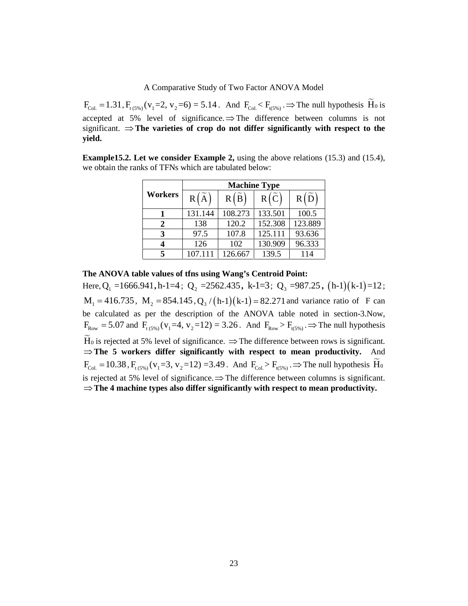A Comparative Study of Two Factor ANOVA Model<br>  $F_{\text{Col}} = 1.31$ ,  $F_{\text{t,CSW}}(v_1=2, v_2=6) = 5.14$ . And  $F_{\text{Col}} \le F_{\text{t,CSW}} \Rightarrow$  The null hypothesis  $\tilde{H}_0$  is<br>
accepted at 5% level of significance.  $\Rightarrow$  The difference betw accepted at 5% level of significance.  $\Rightarrow$  The difference between columns is not significant.  $\Rightarrow$  The varieties of crop do not differ significantly with respect to the **yield.** or ANOVA Model<br>  $E_{(s_{W_i})}$   $\Rightarrow$  The null hypothesis  $\overline{H}_0$  is<br>
fference between columns is not<br> **r significantly with respect to the**<br>
the above relations (15.3) and (15.4),<br>
w:<br> **Type**<br>  $\overline{R}(\overline{C})$   $\overline{R}(\overline{D})$ <br> A Model<br>The null hypothesis  $\tilde{H}_0$  is<br>between columns is not<br>**ntly with respect to the**<br>elations (15.3) and (15.4),<br> $\overline{R(\tilde{D})}$ <br> $\frac{100.5}{100.5}$ <br> $\frac{23.889}{96.333}$ <br> $\overline{114}$ 

**Example15.2. Let we consider Example 2,** using the above relations (15.3) and (15.4), we obtain the ranks of TFNs which are tabulated below:

| A Comparative Study of Two Factor ANOVA Model |         |                     |                |         |                                                                                                                        |  |
|-----------------------------------------------|---------|---------------------|----------------|---------|------------------------------------------------------------------------------------------------------------------------|--|
|                                               |         |                     |                |         | $V_1(v_1=2, v_2=6) = 5.14$ . And $F_{\text{Col}} < F_{\text{t(5%)}} \Rightarrow$ The null hypothesis H <sub>0</sub> is |  |
|                                               |         |                     |                |         |                                                                                                                        |  |
|                                               |         |                     |                |         |                                                                                                                        |  |
|                                               |         |                     |                |         | level of significance. $\Rightarrow$ The difference between columns is not                                             |  |
|                                               |         |                     |                |         | he varieties of crop do not differ significantly with respect to the                                                   |  |
|                                               |         |                     |                |         |                                                                                                                        |  |
|                                               |         |                     |                |         | et we consider Example 2, using the above relations $(15.3)$ and $(15.4)$ ,                                            |  |
|                                               |         |                     |                |         |                                                                                                                        |  |
|                                               |         | <b>Machine Type</b> |                |         |                                                                                                                        |  |
| Workers                                       | R[A]    | R(B)                | $R(\tilde{C})$ | R(D)    |                                                                                                                        |  |
| 1                                             | 131.144 | 108.273             | 133.501        | 100.5   |                                                                                                                        |  |
| 2                                             | 138     | 120.2               | 152.308        | 123.889 |                                                                                                                        |  |
| 3                                             | 97.5    | 107.8               | 125.111        | 93.636  |                                                                                                                        |  |
| ks of TFNs which are tabulated below:<br>4    | 126     | 102                 | 130.909        | 96.333  |                                                                                                                        |  |

# **The ANOVA table values of tfns using Wang's Centroid Point:**

A Comparative Study of Two Factor ANOV<br>  $F_{\text{Col}} = 1.31$ ,  $F_{\text{t,5%}}$  ( $v_1 = 2$ ,  $v_2 = 6$ ) = 5.14. And  $F_{\text{Col}} < F_{\text{t,5%}}$ .  $\Rightarrow$ <br>
accepted at 5% level of significance.  $\Rightarrow$  The difference lignificant.  $\Rightarrow$  The varieties Comparative Study of Two Factor ANOVA Model<br>  $=2$ ,  $v_2=6$ ) = 5.14. And  $F_{Col} < F_{t(sS_0)}$   $\Rightarrow$  The null hypothesis  $\overline{H}_0$  is<br>  $=2$ ,  $v_2=6$ ) = 5.14. And  $F_{Col} < F_{t(sS_0)}$   $\Rightarrow$  The null hypothesis is no<br> **example 2,** usi **Example 12:** F<sub>(3%)</sub> .  $\Rightarrow$  The null hypothesis  $\widetilde{H}_0$  is<br>
he difference between columns is not<br>
differ significantly with respect to the<br>
sing the above relations (15.3) and (15.4),<br>
delow:<br> **chine Type**<br> **i**) R  $(\wid$ **,** h-1 k-1 =12 ; A Comparative Study of Two Factor ANOVA Model<br>  $F_{\text{tot}} = 1.31$ ,  $F_{\text{t,iso}}$ ,  $(v_1 = 2, v_2 = 6) = 5.14$ . And  $F_{\text{tot}} < F_{\text{t,iso}}$ ,  $\Rightarrow$  The null hypothesis  $\vec{H}_0$  is<br>
excepted at 5% level of significance,  $\Rightarrow$  The difference be calculated as per the description of the ANOVA table noted in section-3.Now, F<sub>OM</sub> = 1.31, F<sub>1,0%</sub> (v<sub>1</sub>=2, v<sub>2</sub>=6) = 5.14. And F<sub>CM</sub> < F<sub>1,0%</sub> - The and Hypothesis Ho is regioned at 5% level of significance. The difference between columns is not different and the significant  $\Rightarrow$  The winder signi **The 5 workers differ significantly with respect to mean productivity.** And Frame 15.2. Let we consider Example 2, using the above relations (15.3) and (15.4),<br>
worbdain the ranks of TFNs which are tabulated below:<br>
Workers  $R(\tilde{\lambda})$   $R(\tilde{B})$   $R(\tilde{C})$   $R(\tilde{D})$ <br>
11.11.144 108.273 133.500 100.5<br> is rejected at 5% level of significance.  $\Rightarrow$  The difference between columns is significant. **The 4 machine types also differ significantly with respect to mean productivity.**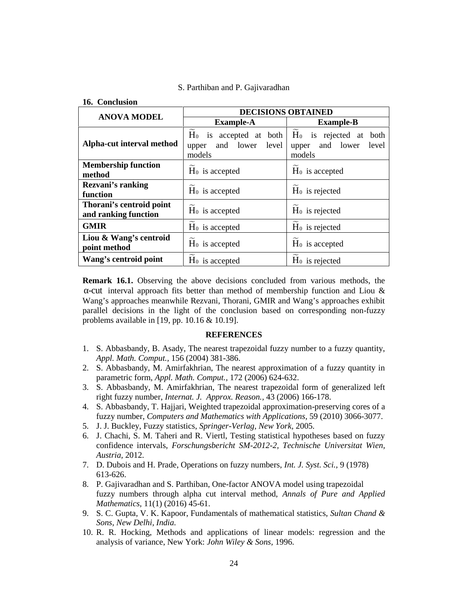**16. Conclusion**

|                                                  | <b>DECISIONS OBTAINED</b>                                       |                                                                          |  |  |
|--------------------------------------------------|-----------------------------------------------------------------|--------------------------------------------------------------------------|--|--|
| <b>ANOVA MODEL</b>                               | <b>Example-A</b>                                                | <b>Example-B</b>                                                         |  |  |
| Alpha-cut interval method                        | $H_0$ is accepted at both<br>and lower level<br>upper<br>models | $\widetilde{H}_0$ is rejected at both<br>upper and lower level<br>models |  |  |
| <b>Membership function</b><br>method             | $H_0$ is accepted                                               | $H_0$ is accepted                                                        |  |  |
| <b>Rezvani's ranking</b><br>function             | $H_0$ is accepted                                               | $H_0$ is rejected                                                        |  |  |
| Thorani's centroid point<br>and ranking function | H <sub>0</sub> is accepted                                      | H <sub>0</sub> is rejected                                               |  |  |
| <b>GMIR</b>                                      | H <sub>0</sub> is accepted                                      | H <sub>0</sub> is rejected                                               |  |  |
| Liou & Wang's centroid<br>point method           | H <sub>0</sub> is accepted                                      | H <sub>0</sub> is accepted                                               |  |  |
| Wang's centroid point                            | $H_0$ is accepted                                               | $H_0$ is rejected                                                        |  |  |

**Remark 16.1.** Observing the above decisions concluded from various methods, the -cut interval approach fits better than method of membership function and Liou  $\&$ Wang's approaches meanwhile Rezvani, Thorani, GMIR and Wang's approaches exhibit parallel decisions in the light of the conclusion based on corresponding non-fuzzy problems available in [19, pp. 10.16 & 10.19].

#### **REFERENCES**

- 1. S. Abbasbandy, B. Asady, The nearest trapezoidal fuzzy number to a fuzzy quantity, *Appl. Math. Comput.,* 156 (2004) 381-386.
- 2. S. Abbasbandy, M. Amirfakhrian, The nearest approximation of a fuzzy quantity in parametric form, *Appl. Math. Comput.,* 172 (2006) 624-632.
- 3. S. Abbasbandy, M. Amirfakhrian, The nearest trapezoidal form of generalized left right fuzzy number, *Internat. J. Approx. Reason.,* 43 (2006) 166-178.
- 4. S. Abbasbandy, T. Hajjari, Weighted trapezoidal approximation-preserving cores of a fuzzy number, *Computers and Mathematics with Applications,* 59 (2010) 3066-3077.
- 5. J. J. Buckley, Fuzzy statistics, *Springer-Verlag, New York,* 2005.
- 6. J. Chachi, S. M. Taheri and R. Viertl, Testing statistical hypotheses based on fuzzy confidence intervals, *Forschungsbericht SM-2012-2, Technische Universitat Wien, Austria,* 2012.
- 7. D. Dubois and H. Prade, Operations on fuzzy numbers, *Int. J. Syst. Sci.,* 9 (1978) 613-626.
- 8. P. Gajivaradhan and S. Parthiban, One-factor ANOVA model using trapezoidal fuzzy numbers through alpha cut interval method, *Annals of Pure and Applied Mathematics,* 11(1) (2016) 45-61.
- 9. S. C. Gupta, V. K. Kapoor, Fundamentals of mathematical statistics, *Sultan Chand & Sons, New Delhi, India.*
- 10. R. R. Hocking, Methods and applications of linear models: regression and the analysis of variance, New York: *John Wiley & Sons,* 1996.